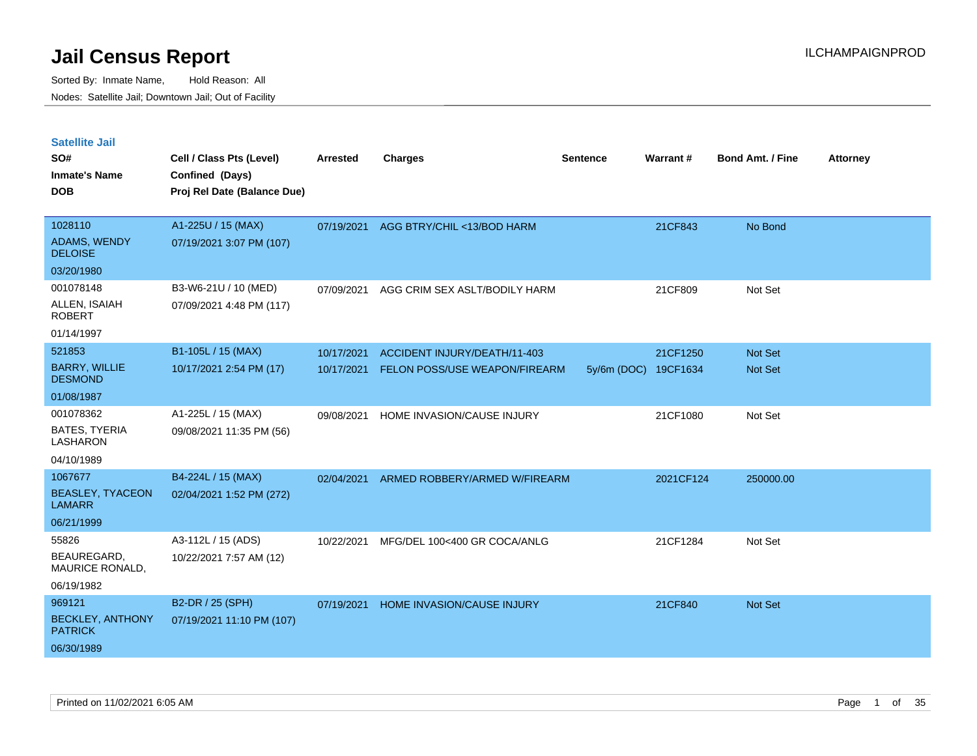Sorted By: Inmate Name, Hold Reason: All Nodes: Satellite Jail; Downtown Jail; Out of Facility

| <b>Satellite Jail</b><br>SO#<br><b>Inmate's Name</b><br><b>DOB</b> | Cell / Class Pts (Level)<br>Confined (Days)<br>Proj Rel Date (Balance Due) | <b>Arrested</b> | <b>Charges</b>                       | <b>Sentence</b>      | Warrant#  | <b>Bond Amt. / Fine</b> | <b>Attorney</b> |
|--------------------------------------------------------------------|----------------------------------------------------------------------------|-----------------|--------------------------------------|----------------------|-----------|-------------------------|-----------------|
| 1028110                                                            | A1-225U / 15 (MAX)                                                         | 07/19/2021      | AGG BTRY/CHIL <13/BOD HARM           |                      | 21CF843   | No Bond                 |                 |
| ADAMS, WENDY<br><b>DELOISE</b>                                     | 07/19/2021 3:07 PM (107)                                                   |                 |                                      |                      |           |                         |                 |
| 03/20/1980                                                         |                                                                            |                 |                                      |                      |           |                         |                 |
| 001078148                                                          | B3-W6-21U / 10 (MED)                                                       | 07/09/2021      | AGG CRIM SEX ASLT/BODILY HARM        |                      | 21CF809   | Not Set                 |                 |
| ALLEN, ISAIAH<br><b>ROBERT</b>                                     | 07/09/2021 4:48 PM (117)                                                   |                 |                                      |                      |           |                         |                 |
| 01/14/1997                                                         |                                                                            |                 |                                      |                      |           |                         |                 |
| 521853                                                             | B1-105L / 15 (MAX)                                                         | 10/17/2021      | ACCIDENT INJURY/DEATH/11-403         |                      | 21CF1250  | <b>Not Set</b>          |                 |
| <b>BARRY, WILLIE</b><br><b>DESMOND</b>                             | 10/17/2021 2:54 PM (17)                                                    | 10/17/2021      | <b>FELON POSS/USE WEAPON/FIREARM</b> | 5y/6m (DOC) 19CF1634 |           | <b>Not Set</b>          |                 |
| 01/08/1987                                                         |                                                                            |                 |                                      |                      |           |                         |                 |
| 001078362                                                          | A1-225L / 15 (MAX)                                                         | 09/08/2021      | HOME INVASION/CAUSE INJURY           |                      | 21CF1080  | Not Set                 |                 |
| <b>BATES, TYERIA</b><br><b>LASHARON</b>                            | 09/08/2021 11:35 PM (56)                                                   |                 |                                      |                      |           |                         |                 |
| 04/10/1989                                                         |                                                                            |                 |                                      |                      |           |                         |                 |
| 1067677                                                            | B4-224L / 15 (MAX)                                                         | 02/04/2021      | ARMED ROBBERY/ARMED W/FIREARM        |                      | 2021CF124 | 250000.00               |                 |
| <b>BEASLEY, TYACEON</b><br><b>LAMARR</b>                           | 02/04/2021 1:52 PM (272)                                                   |                 |                                      |                      |           |                         |                 |
| 06/21/1999                                                         |                                                                            |                 |                                      |                      |           |                         |                 |
| 55826                                                              | A3-112L / 15 (ADS)                                                         | 10/22/2021      | MFG/DEL 100<400 GR COCA/ANLG         |                      | 21CF1284  | Not Set                 |                 |
| BEAUREGARD,<br>MAURICE RONALD,                                     | 10/22/2021 7:57 AM (12)                                                    |                 |                                      |                      |           |                         |                 |
| 06/19/1982                                                         |                                                                            |                 |                                      |                      |           |                         |                 |
| 969121                                                             | B2-DR / 25 (SPH)                                                           | 07/19/2021      | HOME INVASION/CAUSE INJURY           |                      | 21CF840   | <b>Not Set</b>          |                 |
| <b>BECKLEY, ANTHONY</b>                                            | 07/19/2021 11:10 PM (107)                                                  |                 |                                      |                      |           |                         |                 |

PATRICK 06/30/1989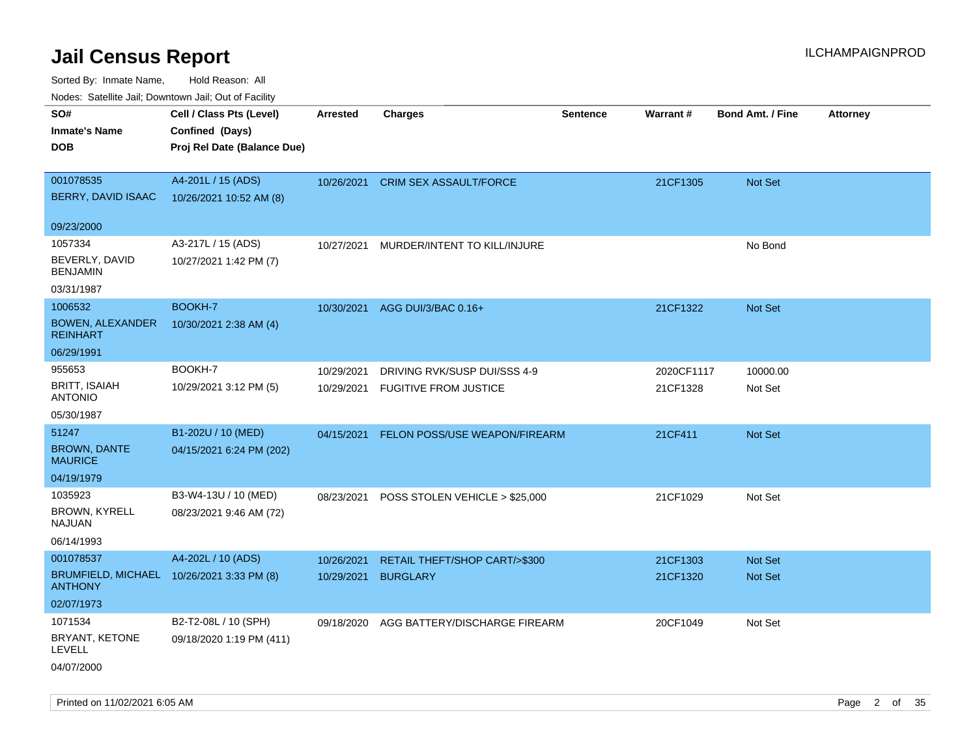| indues. Satellite Jali, Downtown Jali, Out of Facility |                             |                 |                                |          |            |                         |                 |
|--------------------------------------------------------|-----------------------------|-----------------|--------------------------------|----------|------------|-------------------------|-----------------|
| SO#                                                    | Cell / Class Pts (Level)    | <b>Arrested</b> | <b>Charges</b>                 | Sentence | Warrant#   | <b>Bond Amt. / Fine</b> | <b>Attorney</b> |
| <b>Inmate's Name</b>                                   | Confined (Days)             |                 |                                |          |            |                         |                 |
| <b>DOB</b>                                             | Proj Rel Date (Balance Due) |                 |                                |          |            |                         |                 |
|                                                        |                             |                 |                                |          |            |                         |                 |
| 001078535                                              | A4-201L / 15 (ADS)          | 10/26/2021      | <b>CRIM SEX ASSAULT/FORCE</b>  |          | 21CF1305   | Not Set                 |                 |
| BERRY, DAVID ISAAC                                     | 10/26/2021 10:52 AM (8)     |                 |                                |          |            |                         |                 |
|                                                        |                             |                 |                                |          |            |                         |                 |
| 09/23/2000                                             |                             |                 |                                |          |            |                         |                 |
| 1057334                                                | A3-217L / 15 (ADS)          | 10/27/2021      | MURDER/INTENT TO KILL/INJURE   |          |            | No Bond                 |                 |
| BEVERLY, DAVID<br><b>BENJAMIN</b>                      | 10/27/2021 1:42 PM (7)      |                 |                                |          |            |                         |                 |
| 03/31/1987                                             |                             |                 |                                |          |            |                         |                 |
| 1006532                                                | BOOKH-7                     | 10/30/2021      | AGG DUI/3/BAC 0.16+            |          | 21CF1322   | Not Set                 |                 |
| <b>BOWEN, ALEXANDER</b><br><b>REINHART</b>             | 10/30/2021 2:38 AM (4)      |                 |                                |          |            |                         |                 |
| 06/29/1991                                             |                             |                 |                                |          |            |                         |                 |
| 955653                                                 | BOOKH-7                     | 10/29/2021      | DRIVING RVK/SUSP DUI/SSS 4-9   |          | 2020CF1117 | 10000.00                |                 |
| <b>BRITT, ISAIAH</b><br><b>ANTONIO</b>                 | 10/29/2021 3:12 PM (5)      | 10/29/2021      | <b>FUGITIVE FROM JUSTICE</b>   |          | 21CF1328   | Not Set                 |                 |
| 05/30/1987                                             |                             |                 |                                |          |            |                         |                 |
| 51247                                                  | B1-202U / 10 (MED)          | 04/15/2021      | FELON POSS/USE WEAPON/FIREARM  |          | 21CF411    | <b>Not Set</b>          |                 |
| <b>BROWN, DANTE</b><br><b>MAURICE</b>                  | 04/15/2021 6:24 PM (202)    |                 |                                |          |            |                         |                 |
| 04/19/1979                                             |                             |                 |                                |          |            |                         |                 |
| 1035923                                                | B3-W4-13U / 10 (MED)        | 08/23/2021      | POSS STOLEN VEHICLE > \$25,000 |          | 21CF1029   | Not Set                 |                 |
| BROWN, KYRELL<br>NAJUAN                                | 08/23/2021 9:46 AM (72)     |                 |                                |          |            |                         |                 |
| 06/14/1993                                             |                             |                 |                                |          |            |                         |                 |
| 001078537                                              | A4-202L / 10 (ADS)          |                 |                                |          |            |                         |                 |
| BRUMFIELD, MICHAEL 10/26/2021 3:33 PM (8)              |                             | 10/26/2021      | RETAIL THEFT/SHOP CART/>\$300  |          | 21CF1303   | <b>Not Set</b>          |                 |
| <b>ANTHONY</b>                                         |                             | 10/29/2021      | <b>BURGLARY</b>                |          | 21CF1320   | <b>Not Set</b>          |                 |
| 02/07/1973                                             |                             |                 |                                |          |            |                         |                 |
| 1071534                                                | B2-T2-08L / 10 (SPH)        | 09/18/2020      | AGG BATTERY/DISCHARGE FIREARM  |          | 20CF1049   | Not Set                 |                 |
| BRYANT, KETONE<br><b>LEVELL</b>                        | 09/18/2020 1:19 PM (411)    |                 |                                |          |            |                         |                 |
| 04/07/2000                                             |                             |                 |                                |          |            |                         |                 |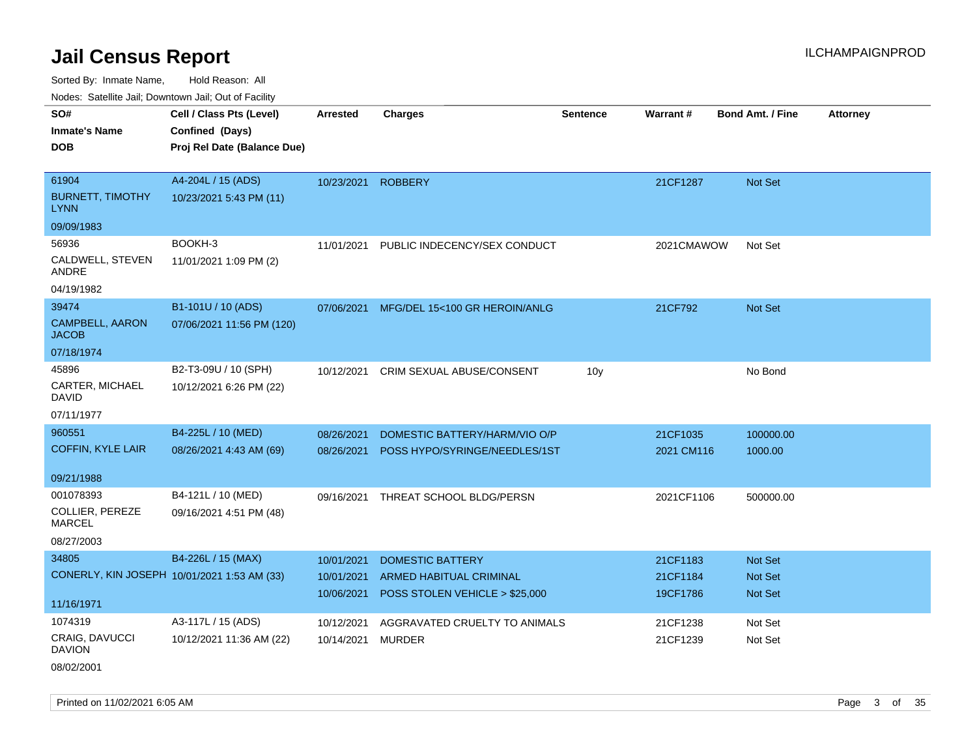Sorted By: Inmate Name, Hold Reason: All Nodes: Satellite Jail; Downtown Jail; Out of Facility

| roaco. Catolino dall, Downtown dall, Out of Fability |                             |                    |                                  |                 |            |                         |                 |
|------------------------------------------------------|-----------------------------|--------------------|----------------------------------|-----------------|------------|-------------------------|-----------------|
| SO#                                                  | Cell / Class Pts (Level)    | <b>Arrested</b>    | <b>Charges</b>                   | <b>Sentence</b> | Warrant#   | <b>Bond Amt. / Fine</b> | <b>Attorney</b> |
| <b>Inmate's Name</b>                                 | Confined (Days)             |                    |                                  |                 |            |                         |                 |
| <b>DOB</b>                                           | Proj Rel Date (Balance Due) |                    |                                  |                 |            |                         |                 |
|                                                      |                             |                    |                                  |                 |            |                         |                 |
| 61904                                                | A4-204L / 15 (ADS)          | 10/23/2021 ROBBERY |                                  |                 | 21CF1287   | Not Set                 |                 |
| <b>BURNETT, TIMOTHY</b><br><b>LYNN</b>               | 10/23/2021 5:43 PM (11)     |                    |                                  |                 |            |                         |                 |
| 09/09/1983                                           |                             |                    |                                  |                 |            |                         |                 |
| 56936                                                | BOOKH-3                     | 11/01/2021         | PUBLIC INDECENCY/SEX CONDUCT     |                 | 2021CMAWOW | Not Set                 |                 |
| CALDWELL, STEVEN<br>ANDRE                            | 11/01/2021 1:09 PM (2)      |                    |                                  |                 |            |                         |                 |
| 04/19/1982                                           |                             |                    |                                  |                 |            |                         |                 |
| 39474                                                | B1-101U / 10 (ADS)          | 07/06/2021         | MFG/DEL 15<100 GR HEROIN/ANLG    |                 | 21CF792    | Not Set                 |                 |
| <b>CAMPBELL, AARON</b><br><b>JACOB</b>               | 07/06/2021 11:56 PM (120)   |                    |                                  |                 |            |                         |                 |
| 07/18/1974                                           |                             |                    |                                  |                 |            |                         |                 |
| 45896                                                | B2-T3-09U / 10 (SPH)        | 10/12/2021         | <b>CRIM SEXUAL ABUSE/CONSENT</b> | 10 <sub>y</sub> |            | No Bond                 |                 |
| CARTER, MICHAEL<br><b>DAVID</b>                      | 10/12/2021 6:26 PM (22)     |                    |                                  |                 |            |                         |                 |
| 07/11/1977                                           |                             |                    |                                  |                 |            |                         |                 |
| 960551                                               | B4-225L / 10 (MED)          | 08/26/2021         | DOMESTIC BATTERY/HARM/VIO O/P    |                 | 21CF1035   | 100000.00               |                 |
| <b>COFFIN, KYLE LAIR</b>                             | 08/26/2021 4:43 AM (69)     | 08/26/2021         | POSS HYPO/SYRINGE/NEEDLES/1ST    |                 | 2021 CM116 | 1000.00                 |                 |
|                                                      |                             |                    |                                  |                 |            |                         |                 |
| 09/21/1988                                           |                             |                    |                                  |                 |            |                         |                 |
| 001078393                                            | B4-121L / 10 (MED)          | 09/16/2021         | THREAT SCHOOL BLDG/PERSN         |                 | 2021CF1106 | 500000.00               |                 |
| COLLIER, PEREZE<br><b>MARCEL</b>                     | 09/16/2021 4:51 PM (48)     |                    |                                  |                 |            |                         |                 |
| 08/27/2003                                           |                             |                    |                                  |                 |            |                         |                 |
| 34805                                                | B4-226L / 15 (MAX)          | 10/01/2021         | <b>DOMESTIC BATTERY</b>          |                 | 21CF1183   | <b>Not Set</b>          |                 |
| CONERLY, KIN JOSEPH 10/01/2021 1:53 AM (33)          |                             | 10/01/2021         | ARMED HABITUAL CRIMINAL          |                 | 21CF1184   | Not Set                 |                 |
|                                                      |                             | 10/06/2021         | POSS STOLEN VEHICLE > \$25,000   |                 | 19CF1786   | <b>Not Set</b>          |                 |
| 11/16/1971                                           |                             |                    |                                  |                 |            |                         |                 |
| 1074319                                              | A3-117L / 15 (ADS)          | 10/12/2021         | AGGRAVATED CRUELTY TO ANIMALS    |                 | 21CF1238   | Not Set                 |                 |
| CRAIG, DAVUCCI<br><b>DAVION</b>                      | 10/12/2021 11:36 AM (22)    | 10/14/2021         | MURDER                           |                 | 21CF1239   | Not Set                 |                 |
| 08/02/2001                                           |                             |                    |                                  |                 |            |                         |                 |

Printed on 11/02/2021 6:05 AM **Page 3 of 35**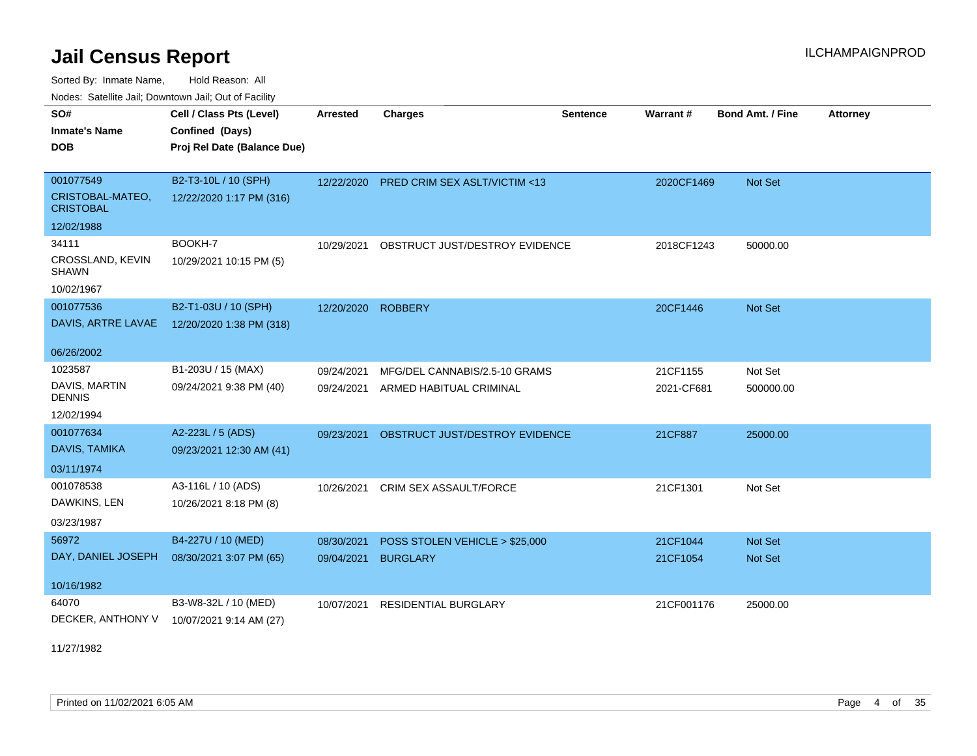Sorted By: Inmate Name, Hold Reason: All

Nodes: Satellite Jail; Downtown Jail; Out of Facility

| SO#<br><b>Inmate's Name</b><br><b>DOB</b> | Cell / Class Pts (Level)<br>Confined (Days)<br>Proj Rel Date (Balance Due) | <b>Arrested</b> | <b>Charges</b>                          | <b>Sentence</b> | Warrant#   | <b>Bond Amt. / Fine</b> | <b>Attorney</b> |
|-------------------------------------------|----------------------------------------------------------------------------|-----------------|-----------------------------------------|-----------------|------------|-------------------------|-----------------|
|                                           |                                                                            |                 |                                         |                 |            |                         |                 |
| 001077549                                 | B2-T3-10L / 10 (SPH)                                                       | 12/22/2020      | <b>PRED CRIM SEX ASLT/VICTIM &lt;13</b> |                 | 2020CF1469 | Not Set                 |                 |
| CRISTOBAL-MATEO,<br><b>CRISTOBAL</b>      | 12/22/2020 1:17 PM (316)                                                   |                 |                                         |                 |            |                         |                 |
| 12/02/1988                                |                                                                            |                 |                                         |                 |            |                         |                 |
| 34111                                     | BOOKH-7                                                                    | 10/29/2021      | OBSTRUCT JUST/DESTROY EVIDENCE          |                 | 2018CF1243 | 50000.00                |                 |
| CROSSLAND, KEVIN<br><b>SHAWN</b>          | 10/29/2021 10:15 PM (5)                                                    |                 |                                         |                 |            |                         |                 |
| 10/02/1967                                |                                                                            |                 |                                         |                 |            |                         |                 |
| 001077536                                 | B2-T1-03U / 10 (SPH)                                                       | 12/20/2020      | <b>ROBBERY</b>                          |                 | 20CF1446   | Not Set                 |                 |
| DAVIS, ARTRE LAVAE                        | 12/20/2020 1:38 PM (318)                                                   |                 |                                         |                 |            |                         |                 |
|                                           |                                                                            |                 |                                         |                 |            |                         |                 |
| 06/26/2002                                |                                                                            |                 |                                         |                 |            |                         |                 |
| 1023587                                   | B1-203U / 15 (MAX)                                                         | 09/24/2021      | MFG/DEL CANNABIS/2.5-10 GRAMS           |                 | 21CF1155   | Not Set                 |                 |
| DAVIS, MARTIN<br><b>DENNIS</b>            | 09/24/2021 9:38 PM (40)                                                    | 09/24/2021      | ARMED HABITUAL CRIMINAL                 |                 | 2021-CF681 | 500000.00               |                 |
| 12/02/1994                                |                                                                            |                 |                                         |                 |            |                         |                 |
| 001077634                                 | A2-223L / 5 (ADS)                                                          | 09/23/2021      | OBSTRUCT JUST/DESTROY EVIDENCE          |                 | 21CF887    | 25000.00                |                 |
| DAVIS, TAMIKA                             | 09/23/2021 12:30 AM (41)                                                   |                 |                                         |                 |            |                         |                 |
| 03/11/1974                                |                                                                            |                 |                                         |                 |            |                         |                 |
| 001078538                                 | A3-116L / 10 (ADS)                                                         | 10/26/2021      | CRIM SEX ASSAULT/FORCE                  |                 | 21CF1301   | Not Set                 |                 |
| DAWKINS, LEN                              | 10/26/2021 8:18 PM (8)                                                     |                 |                                         |                 |            |                         |                 |
| 03/23/1987                                |                                                                            |                 |                                         |                 |            |                         |                 |
| 56972                                     | B4-227U / 10 (MED)                                                         | 08/30/2021      | POSS STOLEN VEHICLE > \$25,000          |                 | 21CF1044   | Not Set                 |                 |
| DAY, DANIEL JOSEPH                        | 08/30/2021 3:07 PM (65)                                                    | 09/04/2021      | <b>BURGLARY</b>                         |                 | 21CF1054   | Not Set                 |                 |
|                                           |                                                                            |                 |                                         |                 |            |                         |                 |
| 10/16/1982                                |                                                                            |                 |                                         |                 |            |                         |                 |
| 64070                                     | B3-W8-32L / 10 (MED)                                                       | 10/07/2021      | RESIDENTIAL BURGLARY                    |                 | 21CF001176 | 25000.00                |                 |
| DECKER, ANTHONY V                         | 10/07/2021 9:14 AM (27)                                                    |                 |                                         |                 |            |                         |                 |

11/27/1982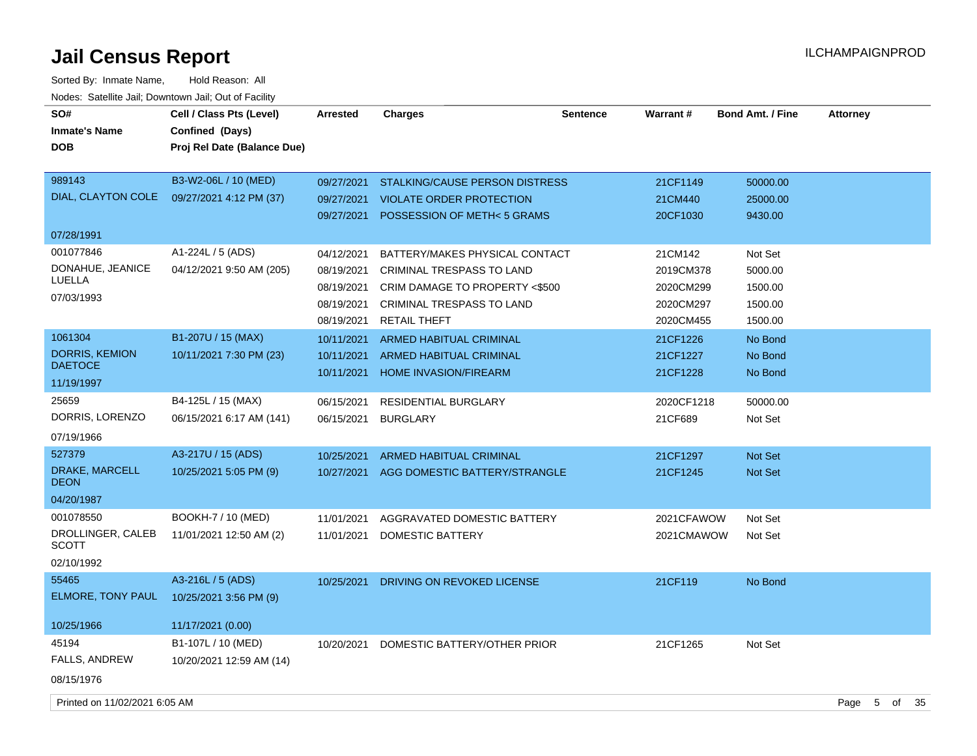| SO#                           | Cell / Class Pts (Level)    | <b>Arrested</b> | <b>Charges</b>                        | <b>Sentence</b> | Warrant#   | <b>Bond Amt. / Fine</b> | <b>Attorney</b> |   |       |  |
|-------------------------------|-----------------------------|-----------------|---------------------------------------|-----------------|------------|-------------------------|-----------------|---|-------|--|
| <b>Inmate's Name</b>          | Confined (Days)             |                 |                                       |                 |            |                         |                 |   |       |  |
| <b>DOB</b>                    | Proj Rel Date (Balance Due) |                 |                                       |                 |            |                         |                 |   |       |  |
|                               |                             |                 |                                       |                 |            |                         |                 |   |       |  |
| 989143                        | B3-W2-06L / 10 (MED)        | 09/27/2021      | <b>STALKING/CAUSE PERSON DISTRESS</b> |                 | 21CF1149   | 50000.00                |                 |   |       |  |
| DIAL, CLAYTON COLE            | 09/27/2021 4:12 PM (37)     | 09/27/2021      | <b>VIOLATE ORDER PROTECTION</b>       |                 | 21CM440    | 25000.00                |                 |   |       |  |
|                               |                             | 09/27/2021      | POSSESSION OF METH< 5 GRAMS           |                 | 20CF1030   | 9430.00                 |                 |   |       |  |
| 07/28/1991                    |                             |                 |                                       |                 |            |                         |                 |   |       |  |
| 001077846                     | A1-224L / 5 (ADS)           | 04/12/2021      | BATTERY/MAKES PHYSICAL CONTACT        |                 | 21CM142    | Not Set                 |                 |   |       |  |
| DONAHUE, JEANICE              | 04/12/2021 9:50 AM (205)    | 08/19/2021      | CRIMINAL TRESPASS TO LAND             |                 | 2019CM378  | 5000.00                 |                 |   |       |  |
| LUELLA                        |                             | 08/19/2021      | CRIM DAMAGE TO PROPERTY <\$500        |                 | 2020CM299  | 1500.00                 |                 |   |       |  |
| 07/03/1993                    |                             | 08/19/2021      | <b>CRIMINAL TRESPASS TO LAND</b>      |                 | 2020CM297  | 1500.00                 |                 |   |       |  |
|                               |                             | 08/19/2021      | <b>RETAIL THEFT</b>                   |                 | 2020CM455  | 1500.00                 |                 |   |       |  |
| 1061304                       | B1-207U / 15 (MAX)          | 10/11/2021      | <b>ARMED HABITUAL CRIMINAL</b>        |                 | 21CF1226   | No Bond                 |                 |   |       |  |
| DORRIS, KEMION                | 10/11/2021 7:30 PM (23)     | 10/11/2021      | <b>ARMED HABITUAL CRIMINAL</b>        |                 | 21CF1227   | No Bond                 |                 |   |       |  |
| <b>DAETOCE</b>                |                             | 10/11/2021      | <b>HOME INVASION/FIREARM</b>          |                 | 21CF1228   | No Bond                 |                 |   |       |  |
| 11/19/1997                    |                             |                 |                                       |                 |            |                         |                 |   |       |  |
| 25659                         | B4-125L / 15 (MAX)          | 06/15/2021      | <b>RESIDENTIAL BURGLARY</b>           |                 | 2020CF1218 | 50000.00                |                 |   |       |  |
| DORRIS, LORENZO               | 06/15/2021 6:17 AM (141)    | 06/15/2021      | <b>BURGLARY</b>                       |                 | 21CF689    | Not Set                 |                 |   |       |  |
| 07/19/1966                    |                             |                 |                                       |                 |            |                         |                 |   |       |  |
| 527379                        | A3-217U / 15 (ADS)          | 10/25/2021      | <b>ARMED HABITUAL CRIMINAL</b>        |                 | 21CF1297   | <b>Not Set</b>          |                 |   |       |  |
| DRAKE, MARCELL<br><b>DEON</b> | 10/25/2021 5:05 PM (9)      | 10/27/2021      | AGG DOMESTIC BATTERY/STRANGLE         |                 | 21CF1245   | <b>Not Set</b>          |                 |   |       |  |
| 04/20/1987                    |                             |                 |                                       |                 |            |                         |                 |   |       |  |
| 001078550                     | BOOKH-7 / 10 (MED)          | 11/01/2021      | AGGRAVATED DOMESTIC BATTERY           |                 | 2021CFAWOW | Not Set                 |                 |   |       |  |
| DROLLINGER, CALEB<br>SCOTT    | 11/01/2021 12:50 AM (2)     | 11/01/2021      | DOMESTIC BATTERY                      |                 | 2021CMAWOW | Not Set                 |                 |   |       |  |
| 02/10/1992                    |                             |                 |                                       |                 |            |                         |                 |   |       |  |
| 55465                         | A3-216L / 5 (ADS)           | 10/25/2021      | DRIVING ON REVOKED LICENSE            |                 | 21CF119    | No Bond                 |                 |   |       |  |
| ELMORE, TONY PAUL             | 10/25/2021 3:56 PM (9)      |                 |                                       |                 |            |                         |                 |   |       |  |
| 10/25/1966                    | 11/17/2021 (0.00)           |                 |                                       |                 |            |                         |                 |   |       |  |
| 45194                         | B1-107L / 10 (MED)          | 10/20/2021      | DOMESTIC BATTERY/OTHER PRIOR          |                 | 21CF1265   | Not Set                 |                 |   |       |  |
| <b>FALLS, ANDREW</b>          | 10/20/2021 12:59 AM (14)    |                 |                                       |                 |            |                         |                 |   |       |  |
| 08/15/1976                    |                             |                 |                                       |                 |            |                         |                 |   |       |  |
| Printed on 11/02/2021 6:05 AM |                             |                 |                                       |                 |            |                         | Page            | 5 | of 35 |  |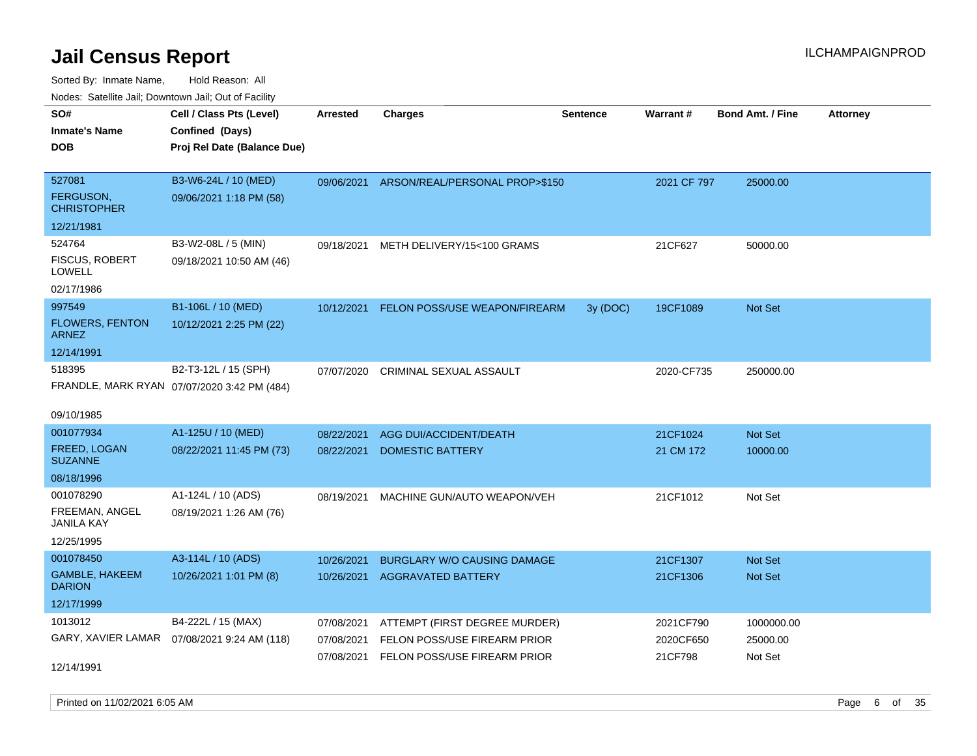Sorted By: Inmate Name, Hold Reason: All Nodes: Satellite Jail; Downtown Jail; Out of Facility

| rougs. Calcing Jan, Downtown Jan, Out of Facility |                                              |                 |                                           |                 |             |                         |                 |
|---------------------------------------------------|----------------------------------------------|-----------------|-------------------------------------------|-----------------|-------------|-------------------------|-----------------|
| SO#<br><b>Inmate's Name</b>                       | Cell / Class Pts (Level)<br>Confined (Days)  | <b>Arrested</b> | <b>Charges</b>                            | <b>Sentence</b> | Warrant#    | <b>Bond Amt. / Fine</b> | <b>Attorney</b> |
| <b>DOB</b>                                        | Proj Rel Date (Balance Due)                  |                 |                                           |                 |             |                         |                 |
| 527081                                            | B3-W6-24L / 10 (MED)                         |                 | 09/06/2021 ARSON/REAL/PERSONAL PROP>\$150 |                 | 2021 CF 797 | 25000.00                |                 |
| <b>FERGUSON,</b><br><b>CHRISTOPHER</b>            | 09/06/2021 1:18 PM (58)                      |                 |                                           |                 |             |                         |                 |
| 12/21/1981                                        |                                              |                 |                                           |                 |             |                         |                 |
| 524764                                            | B3-W2-08L / 5 (MIN)                          | 09/18/2021      | METH DELIVERY/15<100 GRAMS                |                 | 21CF627     | 50000.00                |                 |
| <b>FISCUS, ROBERT</b><br>LOWELL                   | 09/18/2021 10:50 AM (46)                     |                 |                                           |                 |             |                         |                 |
| 02/17/1986                                        |                                              |                 |                                           |                 |             |                         |                 |
| 997549                                            | B1-106L / 10 (MED)                           | 10/12/2021      | <b>FELON POSS/USE WEAPON/FIREARM</b>      | 3y (DOC)        | 19CF1089    | Not Set                 |                 |
| <b>FLOWERS, FENTON</b><br><b>ARNEZ</b>            | 10/12/2021 2:25 PM (22)                      |                 |                                           |                 |             |                         |                 |
| 12/14/1991                                        |                                              |                 |                                           |                 |             |                         |                 |
| 518395                                            | B2-T3-12L / 15 (SPH)                         | 07/07/2020      | CRIMINAL SEXUAL ASSAULT                   |                 | 2020-CF735  | 250000.00               |                 |
|                                                   | FRANDLE, MARK RYAN 07/07/2020 3:42 PM (484)  |                 |                                           |                 |             |                         |                 |
| 09/10/1985                                        |                                              |                 |                                           |                 |             |                         |                 |
| 001077934                                         | A1-125U / 10 (MED)                           | 08/22/2021      | AGG DUI/ACCIDENT/DEATH                    |                 | 21CF1024    | Not Set                 |                 |
| <b>FREED, LOGAN</b>                               | 08/22/2021 11:45 PM (73)                     | 08/22/2021      | <b>DOMESTIC BATTERY</b>                   |                 | 21 CM 172   | 10000.00                |                 |
| <b>SUZANNE</b>                                    |                                              |                 |                                           |                 |             |                         |                 |
| 08/18/1996                                        |                                              |                 |                                           |                 |             |                         |                 |
| 001078290                                         | A1-124L / 10 (ADS)                           | 08/19/2021      | MACHINE GUN/AUTO WEAPON/VEH               |                 | 21CF1012    | Not Set                 |                 |
| FREEMAN, ANGEL<br>JANILA KAY                      | 08/19/2021 1:26 AM (76)                      |                 |                                           |                 |             |                         |                 |
| 12/25/1995                                        |                                              |                 |                                           |                 |             |                         |                 |
| 001078450                                         | A3-114L / 10 (ADS)                           | 10/26/2021      | <b>BURGLARY W/O CAUSING DAMAGE</b>        |                 | 21CF1307    | <b>Not Set</b>          |                 |
| GAMBLE, HAKEEM<br><b>DARION</b>                   | 10/26/2021 1:01 PM (8)                       | 10/26/2021      | <b>AGGRAVATED BATTERY</b>                 |                 | 21CF1306    | <b>Not Set</b>          |                 |
| 12/17/1999                                        |                                              |                 |                                           |                 |             |                         |                 |
| 1013012                                           | B4-222L / 15 (MAX)                           | 07/08/2021      | ATTEMPT (FIRST DEGREE MURDER)             |                 | 2021CF790   | 1000000.00              |                 |
|                                                   | GARY, XAVIER LAMAR  07/08/2021 9:24 AM (118) | 07/08/2021      | FELON POSS/USE FIREARM PRIOR              |                 | 2020CF650   | 25000.00                |                 |
| 12/14/1991                                        |                                              | 07/08/2021      | FELON POSS/USE FIREARM PRIOR              |                 | 21CF798     | Not Set                 |                 |

Printed on 11/02/2021 6:05 AM **Page 6** of 35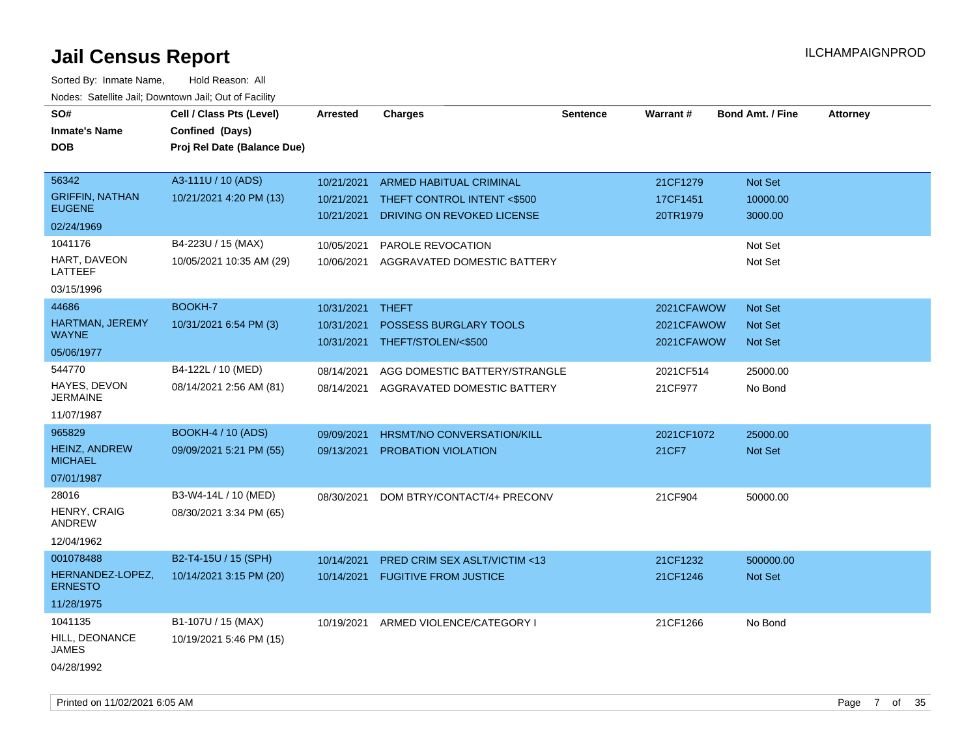| SO#<br><b>Inmate's Name</b><br><b>DOB</b> | Cell / Class Pts (Level)<br>Confined (Days)<br>Proj Rel Date (Balance Due) | <b>Arrested</b> | <b>Charges</b>                          | <b>Sentence</b> | Warrant#     | <b>Bond Amt. / Fine</b> | <b>Attorney</b> |
|-------------------------------------------|----------------------------------------------------------------------------|-----------------|-----------------------------------------|-----------------|--------------|-------------------------|-----------------|
| 56342                                     | A3-111U / 10 (ADS)                                                         | 10/21/2021      | ARMED HABITUAL CRIMINAL                 |                 | 21CF1279     | Not Set                 |                 |
| <b>GRIFFIN, NATHAN</b><br><b>EUGENE</b>   | 10/21/2021 4:20 PM (13)                                                    | 10/21/2021      | THEFT CONTROL INTENT <\$500             |                 | 17CF1451     | 10000.00                |                 |
| 02/24/1969                                |                                                                            | 10/21/2021      | DRIVING ON REVOKED LICENSE              |                 | 20TR1979     | 3000.00                 |                 |
| 1041176                                   | B4-223U / 15 (MAX)                                                         | 10/05/2021      | PAROLE REVOCATION                       |                 |              | Not Set                 |                 |
| HART, DAVEON<br>LATTEEF                   | 10/05/2021 10:35 AM (29)                                                   | 10/06/2021      | AGGRAVATED DOMESTIC BATTERY             |                 |              | Not Set                 |                 |
| 03/15/1996                                |                                                                            |                 |                                         |                 |              |                         |                 |
| 44686                                     | BOOKH-7                                                                    | 10/31/2021      | <b>THEFT</b>                            |                 | 2021CFAWOW   | Not Set                 |                 |
| HARTMAN, JEREMY                           | 10/31/2021 6:54 PM (3)                                                     | 10/31/2021      | POSSESS BURGLARY TOOLS                  |                 | 2021CFAWOW   | Not Set                 |                 |
| <b>WAYNE</b>                              |                                                                            | 10/31/2021      | THEFT/STOLEN/<\$500                     |                 | 2021CFAWOW   | <b>Not Set</b>          |                 |
| 05/06/1977                                |                                                                            |                 |                                         |                 |              |                         |                 |
| 544770<br>HAYES, DEVON                    | B4-122L / 10 (MED)                                                         | 08/14/2021      | AGG DOMESTIC BATTERY/STRANGLE           |                 | 2021CF514    | 25000.00                |                 |
| JERMAINE                                  | 08/14/2021 2:56 AM (81)                                                    | 08/14/2021      | AGGRAVATED DOMESTIC BATTERY             |                 | 21CF977      | No Bond                 |                 |
| 11/07/1987                                |                                                                            |                 |                                         |                 |              |                         |                 |
| 965829                                    | <b>BOOKH-4 / 10 (ADS)</b>                                                  | 09/09/2021      | <b>HRSMT/NO CONVERSATION/KILL</b>       |                 | 2021CF1072   | 25000.00                |                 |
| <b>HEINZ, ANDREW</b><br><b>MICHAEL</b>    | 09/09/2021 5:21 PM (55)                                                    | 09/13/2021      | PROBATION VIOLATION                     |                 | <b>21CF7</b> | Not Set                 |                 |
| 07/01/1987                                |                                                                            |                 |                                         |                 |              |                         |                 |
| 28016                                     | B3-W4-14L / 10 (MED)                                                       | 08/30/2021      | DOM BTRY/CONTACT/4+ PRECONV             |                 | 21CF904      | 50000.00                |                 |
| HENRY, CRAIG<br>ANDREW                    | 08/30/2021 3:34 PM (65)                                                    |                 |                                         |                 |              |                         |                 |
| 12/04/1962                                |                                                                            |                 |                                         |                 |              |                         |                 |
| 001078488                                 | B2-T4-15U / 15 (SPH)                                                       | 10/14/2021      | <b>PRED CRIM SEX ASLT/VICTIM &lt;13</b> |                 | 21CF1232     | 500000.00               |                 |
| HERNANDEZ-LOPEZ,<br><b>ERNESTO</b>        | 10/14/2021 3:15 PM (20)                                                    | 10/14/2021      | <b>FUGITIVE FROM JUSTICE</b>            |                 | 21CF1246     | Not Set                 |                 |
| 11/28/1975                                |                                                                            |                 |                                         |                 |              |                         |                 |
| 1041135                                   | B1-107U / 15 (MAX)                                                         | 10/19/2021      | ARMED VIOLENCE/CATEGORY I               |                 | 21CF1266     | No Bond                 |                 |
| HILL, DEONANCE<br><b>JAMES</b>            | 10/19/2021 5:46 PM (15)                                                    |                 |                                         |                 |              |                         |                 |
| 04/28/1992                                |                                                                            |                 |                                         |                 |              |                         |                 |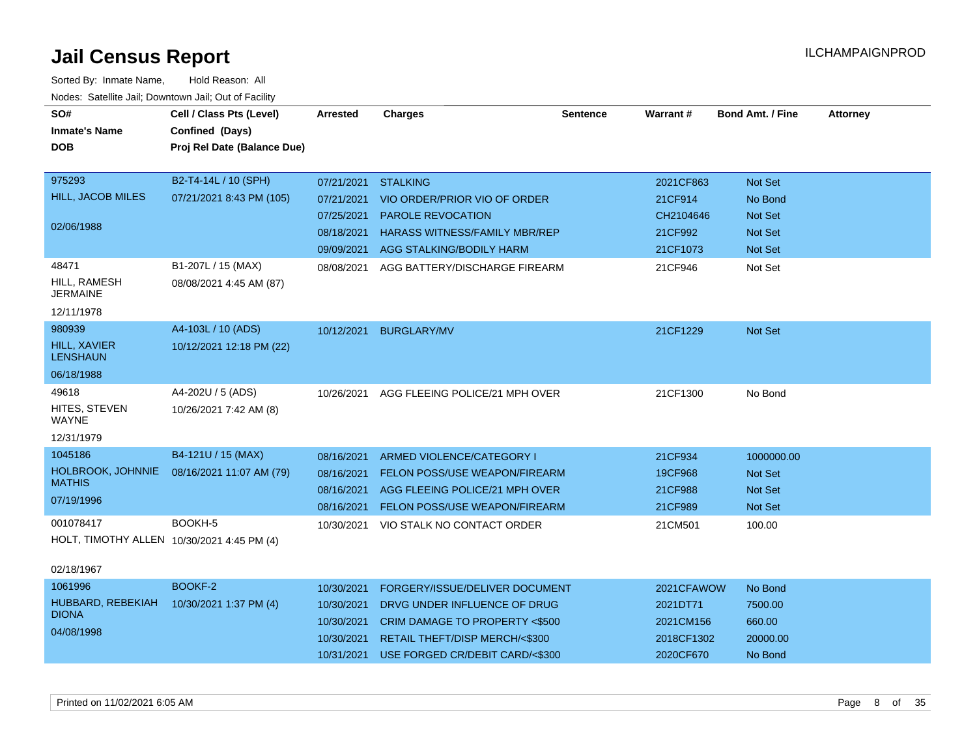| SO#<br><b>Inmate's Name</b><br><b>DOB</b>                                                                                     | Cell / Class Pts (Level)<br>Confined (Days)<br>Proj Rel Date (Balance Due) | <b>Arrested</b>                                                    | <b>Charges</b>                                                                                                                                                                | <b>Sentence</b> | Warrant#                                                       | <b>Bond Amt. / Fine</b>                                                  | <b>Attorney</b> |
|-------------------------------------------------------------------------------------------------------------------------------|----------------------------------------------------------------------------|--------------------------------------------------------------------|-------------------------------------------------------------------------------------------------------------------------------------------------------------------------------|-----------------|----------------------------------------------------------------|--------------------------------------------------------------------------|-----------------|
| 975293<br><b>HILL, JACOB MILES</b><br>02/06/1988                                                                              | B2-T4-14L / 10 (SPH)<br>07/21/2021 8:43 PM (105)                           | 07/21/2021<br>07/21/2021<br>07/25/2021<br>08/18/2021<br>09/09/2021 | <b>STALKING</b><br>VIO ORDER/PRIOR VIO OF ORDER<br>PAROLE REVOCATION<br><b>HARASS WITNESS/FAMILY MBR/REP</b><br>AGG STALKING/BODILY HARM                                      |                 | 2021CF863<br>21CF914<br>CH2104646<br>21CF992<br>21CF1073       | Not Set<br>No Bond<br><b>Not Set</b><br><b>Not Set</b><br><b>Not Set</b> |                 |
| 48471<br>HILL, RAMESH<br><b>JERMAINE</b><br>12/11/1978                                                                        | B1-207L / 15 (MAX)<br>08/08/2021 4:45 AM (87)                              | 08/08/2021                                                         | AGG BATTERY/DISCHARGE FIREARM                                                                                                                                                 |                 | 21CF946                                                        | Not Set                                                                  |                 |
| 980939<br><b>HILL, XAVIER</b><br><b>LENSHAUN</b><br>06/18/1988                                                                | A4-103L / 10 (ADS)<br>10/12/2021 12:18 PM (22)                             | 10/12/2021                                                         | <b>BURGLARY/MV</b>                                                                                                                                                            |                 | 21CF1229                                                       | <b>Not Set</b>                                                           |                 |
| 49618<br>HITES, STEVEN<br>WAYNE<br>12/31/1979                                                                                 | A4-202U / 5 (ADS)<br>10/26/2021 7:42 AM (8)                                | 10/26/2021                                                         | AGG FLEEING POLICE/21 MPH OVER                                                                                                                                                |                 | 21CF1300                                                       | No Bond                                                                  |                 |
| 1045186<br><b>HOLBROOK, JOHNNIE</b><br><b>MATHIS</b><br>07/19/1996<br>001078417<br>HOLT, TIMOTHY ALLEN 10/30/2021 4:45 PM (4) | B4-121U / 15 (MAX)<br>08/16/2021 11:07 AM (79)<br>BOOKH-5                  | 08/16/2021<br>08/16/2021<br>08/16/2021<br>08/16/2021               | ARMED VIOLENCE/CATEGORY I<br><b>FELON POSS/USE WEAPON/FIREARM</b><br>AGG FLEEING POLICE/21 MPH OVER<br>FELON POSS/USE WEAPON/FIREARM<br>10/30/2021 VIO STALK NO CONTACT ORDER |                 | 21CF934<br>19CF968<br>21CF988<br>21CF989<br>21CM501            | 1000000.00<br><b>Not Set</b><br><b>Not Set</b><br>Not Set<br>100.00      |                 |
| 02/18/1967<br>1061996<br>HUBBARD, REBEKIAH<br><b>DIONA</b><br>04/08/1998                                                      | BOOKF-2<br>10/30/2021 1:37 PM (4)                                          | 10/30/2021<br>10/30/2021<br>10/30/2021<br>10/30/2021<br>10/31/2021 | FORGERY/ISSUE/DELIVER DOCUMENT<br>DRVG UNDER INFLUENCE OF DRUG<br>CRIM DAMAGE TO PROPERTY <\$500<br>RETAIL THEFT/DISP MERCH/<\$300<br>USE FORGED CR/DEBIT CARD/<\$300         |                 | 2021CFAWOW<br>2021DT71<br>2021CM156<br>2018CF1302<br>2020CF670 | No Bond<br>7500.00<br>660.00<br>20000.00<br>No Bond                      |                 |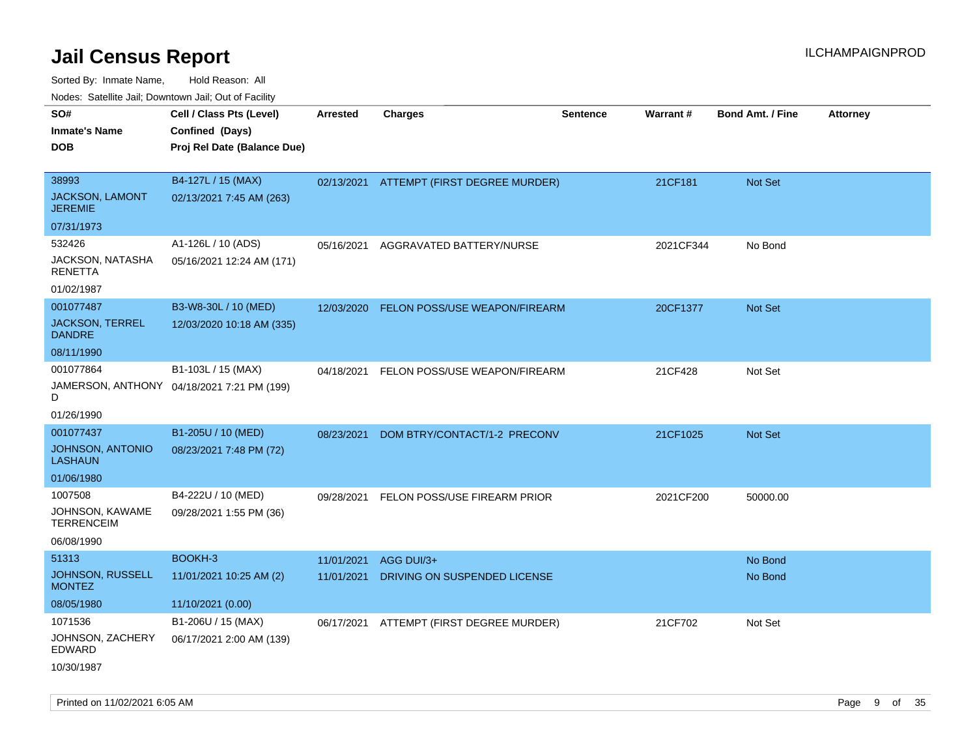Sorted By: Inmate Name, Hold Reason: All

| SO#                                     | Cell / Class Pts (Level)                   | <b>Arrested</b> | <b>Charges</b>                           | <b>Sentence</b> | Warrant#  | <b>Bond Amt. / Fine</b> | <b>Attorney</b> |
|-----------------------------------------|--------------------------------------------|-----------------|------------------------------------------|-----------------|-----------|-------------------------|-----------------|
| <b>Inmate's Name</b>                    | Confined (Days)                            |                 |                                          |                 |           |                         |                 |
| <b>DOB</b>                              | Proj Rel Date (Balance Due)                |                 |                                          |                 |           |                         |                 |
|                                         |                                            |                 |                                          |                 |           |                         |                 |
| 38993                                   | B4-127L / 15 (MAX)                         |                 | 02/13/2021 ATTEMPT (FIRST DEGREE MURDER) |                 | 21CF181   | <b>Not Set</b>          |                 |
| JACKSON, LAMONT<br><b>JEREMIE</b>       | 02/13/2021 7:45 AM (263)                   |                 |                                          |                 |           |                         |                 |
| 07/31/1973                              |                                            |                 |                                          |                 |           |                         |                 |
| 532426                                  | A1-126L / 10 (ADS)                         | 05/16/2021      | AGGRAVATED BATTERY/NURSE                 |                 | 2021CF344 | No Bond                 |                 |
| JACKSON, NATASHA<br><b>RENETTA</b>      | 05/16/2021 12:24 AM (171)                  |                 |                                          |                 |           |                         |                 |
| 01/02/1987                              |                                            |                 |                                          |                 |           |                         |                 |
| 001077487                               | B3-W8-30L / 10 (MED)                       |                 | 12/03/2020 FELON POSS/USE WEAPON/FIREARM |                 | 20CF1377  | Not Set                 |                 |
| <b>JACKSON, TERREL</b><br><b>DANDRE</b> | 12/03/2020 10:18 AM (335)                  |                 |                                          |                 |           |                         |                 |
| 08/11/1990                              |                                            |                 |                                          |                 |           |                         |                 |
| 001077864                               | B1-103L / 15 (MAX)                         | 04/18/2021      | FELON POSS/USE WEAPON/FIREARM            |                 | 21CF428   | Not Set                 |                 |
| D                                       | JAMERSON, ANTHONY 04/18/2021 7:21 PM (199) |                 |                                          |                 |           |                         |                 |
| 01/26/1990                              |                                            |                 |                                          |                 |           |                         |                 |
| 001077437                               | B1-205U / 10 (MED)                         | 08/23/2021      | DOM BTRY/CONTACT/1-2 PRECONV             |                 | 21CF1025  | Not Set                 |                 |
| JOHNSON, ANTONIO<br><b>LASHAUN</b>      | 08/23/2021 7:48 PM (72)                    |                 |                                          |                 |           |                         |                 |
| 01/06/1980                              |                                            |                 |                                          |                 |           |                         |                 |
| 1007508                                 | B4-222U / 10 (MED)                         |                 | 09/28/2021 FELON POSS/USE FIREARM PRIOR  |                 | 2021CF200 | 50000.00                |                 |
| JOHNSON, KAWAME<br><b>TERRENCEIM</b>    | 09/28/2021 1:55 PM (36)                    |                 |                                          |                 |           |                         |                 |
| 06/08/1990                              |                                            |                 |                                          |                 |           |                         |                 |
| 51313                                   | BOOKH-3                                    | 11/01/2021      | AGG DUI/3+                               |                 |           | No Bond                 |                 |
| JOHNSON, RUSSELL<br><b>MONTEZ</b>       | 11/01/2021 10:25 AM (2)                    | 11/01/2021      | DRIVING ON SUSPENDED LICENSE             |                 |           | No Bond                 |                 |
| 08/05/1980                              | 11/10/2021 (0.00)                          |                 |                                          |                 |           |                         |                 |
| 1071536                                 | B1-206U / 15 (MAX)                         | 06/17/2021      | ATTEMPT (FIRST DEGREE MURDER)            |                 | 21CF702   | Not Set                 |                 |
| JOHNSON, ZACHERY<br><b>EDWARD</b>       | 06/17/2021 2:00 AM (139)                   |                 |                                          |                 |           |                         |                 |
| 10/30/1987                              |                                            |                 |                                          |                 |           |                         |                 |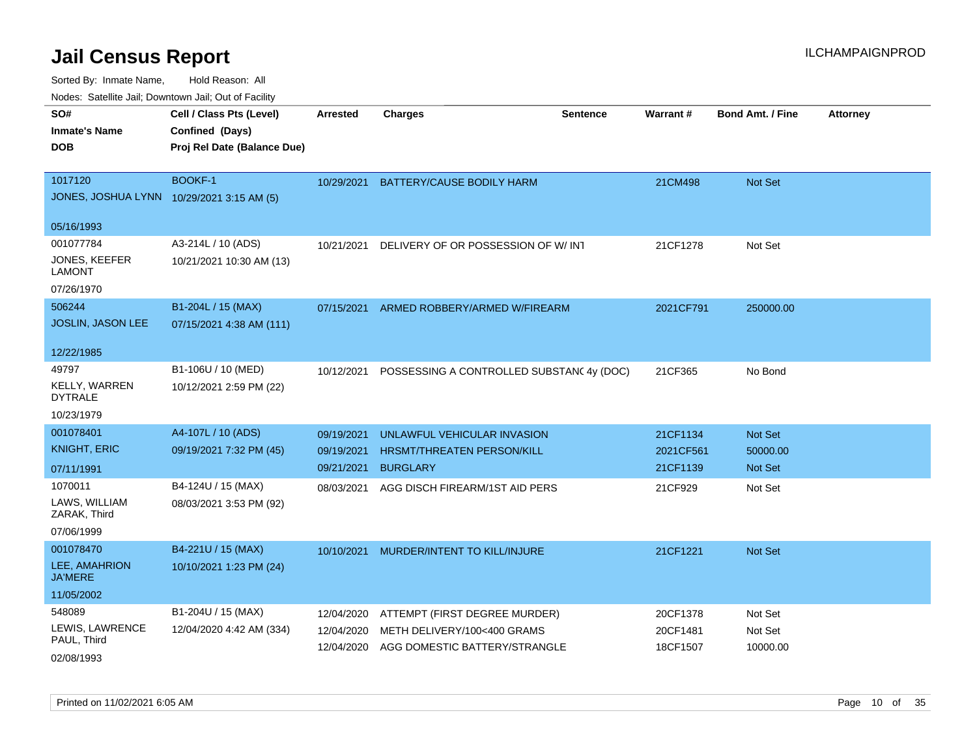| voues. Salemie Jan, Downtown Jan, Out of Facility |                             |                 |                                          |                 |           |                         |                 |
|---------------------------------------------------|-----------------------------|-----------------|------------------------------------------|-----------------|-----------|-------------------------|-----------------|
| SO#                                               | Cell / Class Pts (Level)    | <b>Arrested</b> | <b>Charges</b>                           | <b>Sentence</b> | Warrant#  | <b>Bond Amt. / Fine</b> | <b>Attorney</b> |
| <b>Inmate's Name</b>                              | Confined (Days)             |                 |                                          |                 |           |                         |                 |
| DOB                                               | Proj Rel Date (Balance Due) |                 |                                          |                 |           |                         |                 |
|                                                   |                             |                 |                                          |                 |           |                         |                 |
| 1017120                                           | BOOKF-1                     | 10/29/2021      | BATTERY/CAUSE BODILY HARM                |                 | 21CM498   | Not Set                 |                 |
| JONES, JOSHUA LYNN 10/29/2021 3:15 AM (5)         |                             |                 |                                          |                 |           |                         |                 |
| 05/16/1993                                        |                             |                 |                                          |                 |           |                         |                 |
| 001077784                                         | A3-214L / 10 (ADS)          | 10/21/2021      | DELIVERY OF OR POSSESSION OF W/INT       |                 | 21CF1278  | Not Set                 |                 |
| <b>JONES, KEEFER</b><br>LAMONT                    | 10/21/2021 10:30 AM (13)    |                 |                                          |                 |           |                         |                 |
| 07/26/1970                                        |                             |                 |                                          |                 |           |                         |                 |
| 506244                                            | B1-204L / 15 (MAX)          | 07/15/2021      | ARMED ROBBERY/ARMED W/FIREARM            |                 | 2021CF791 | 250000.00               |                 |
| JOSLIN, JASON LEE                                 | 07/15/2021 4:38 AM (111)    |                 |                                          |                 |           |                         |                 |
|                                                   |                             |                 |                                          |                 |           |                         |                 |
| 12/22/1985                                        |                             |                 |                                          |                 |           |                         |                 |
| 49797                                             | B1-106U / 10 (MED)          | 10/12/2021      | POSSESSING A CONTROLLED SUBSTAN(4y (DOC) |                 | 21CF365   | No Bond                 |                 |
| <b>KELLY, WARREN</b><br>DYTRALE                   | 10/12/2021 2:59 PM (22)     |                 |                                          |                 |           |                         |                 |
| 10/23/1979                                        |                             |                 |                                          |                 |           |                         |                 |
| 001078401                                         | A4-107L / 10 (ADS)          | 09/19/2021      | UNLAWFUL VEHICULAR INVASION              |                 | 21CF1134  | <b>Not Set</b>          |                 |
| <b>KNIGHT, ERIC</b>                               | 09/19/2021 7:32 PM (45)     | 09/19/2021      | HRSMT/THREATEN PERSON/KILL               |                 | 2021CF561 | 50000.00                |                 |
| 07/11/1991                                        |                             | 09/21/2021      | <b>BURGLARY</b>                          |                 | 21CF1139  | <b>Not Set</b>          |                 |
| 1070011                                           | B4-124U / 15 (MAX)          | 08/03/2021      | AGG DISCH FIREARM/1ST AID PERS           |                 | 21CF929   | Not Set                 |                 |
| LAWS, WILLIAM<br>ZARAK, Third                     | 08/03/2021 3:53 PM (92)     |                 |                                          |                 |           |                         |                 |
| 07/06/1999                                        |                             |                 |                                          |                 |           |                         |                 |
| 001078470                                         | B4-221U / 15 (MAX)          | 10/10/2021      | MURDER/INTENT TO KILL/INJURE             |                 | 21CF1221  | <b>Not Set</b>          |                 |
| LEE, AMAHRION<br><b>JA'MERE</b>                   | 10/10/2021 1:23 PM (24)     |                 |                                          |                 |           |                         |                 |
| 11/05/2002                                        |                             |                 |                                          |                 |           |                         |                 |
| 548089                                            | B1-204U / 15 (MAX)          | 12/04/2020      | ATTEMPT (FIRST DEGREE MURDER)            |                 | 20CF1378  | Not Set                 |                 |
| LEWIS, LAWRENCE                                   | 12/04/2020 4:42 AM (334)    | 12/04/2020      | METH DELIVERY/100<400 GRAMS              |                 | 20CF1481  | Not Set                 |                 |
| PAUL, Third                                       |                             | 12/04/2020      | AGG DOMESTIC BATTERY/STRANGLE            |                 | 18CF1507  | 10000.00                |                 |
| 02/08/1993                                        |                             |                 |                                          |                 |           |                         |                 |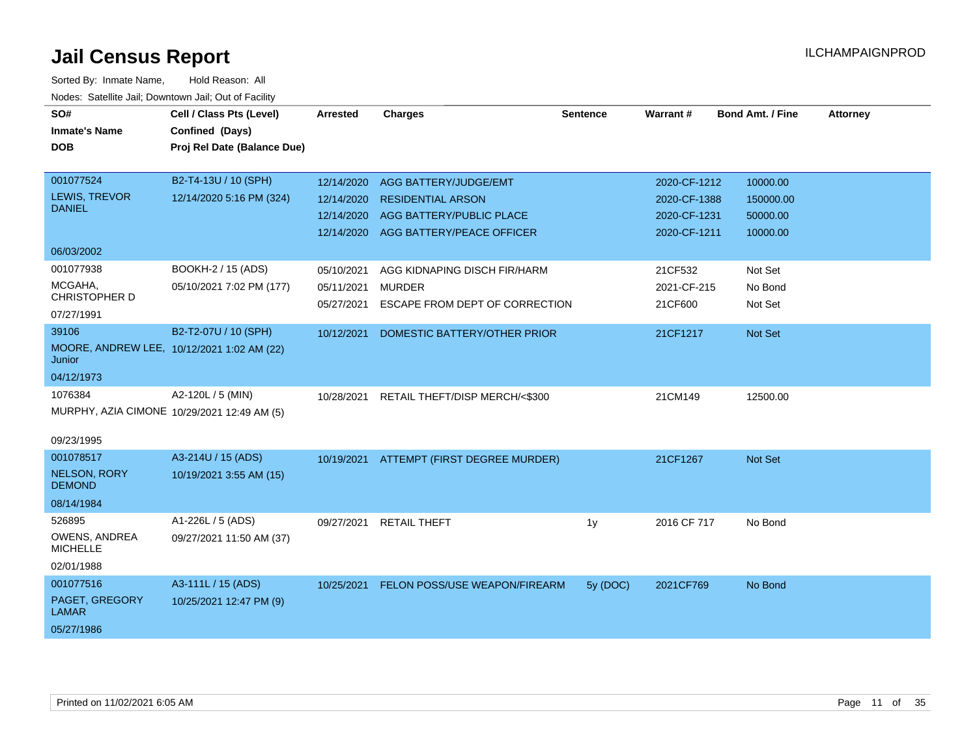| SO#<br><b>Inmate's Name</b><br><b>DOB</b>                                          | Cell / Class Pts (Level)<br>Confined (Days)<br>Proj Rel Date (Balance Due) | <b>Arrested</b>                        | <b>Charges</b>                                                                                                        | <b>Sentence</b> | Warrant#                                                     | <b>Bond Amt. / Fine</b>                       | <b>Attorney</b> |
|------------------------------------------------------------------------------------|----------------------------------------------------------------------------|----------------------------------------|-----------------------------------------------------------------------------------------------------------------------|-----------------|--------------------------------------------------------------|-----------------------------------------------|-----------------|
| 001077524<br><b>LEWIS, TREVOR</b><br><b>DANIEL</b>                                 | B2-T4-13U / 10 (SPH)<br>12/14/2020 5:16 PM (324)                           | 12/14/2020<br>12/14/2020<br>12/14/2020 | AGG BATTERY/JUDGE/EMT<br><b>RESIDENTIAL ARSON</b><br>AGG BATTERY/PUBLIC PLACE<br>12/14/2020 AGG BATTERY/PEACE OFFICER |                 | 2020-CF-1212<br>2020-CF-1388<br>2020-CF-1231<br>2020-CF-1211 | 10000.00<br>150000.00<br>50000.00<br>10000.00 |                 |
| 06/03/2002<br>001077938                                                            | BOOKH-2 / 15 (ADS)                                                         | 05/10/2021                             | AGG KIDNAPING DISCH FIR/HARM                                                                                          |                 | 21CF532                                                      | Not Set                                       |                 |
| MCGAHA,<br>CHRISTOPHER D<br>07/27/1991                                             | 05/10/2021 7:02 PM (177)                                                   | 05/11/2021<br>05/27/2021               | <b>MURDER</b><br>ESCAPE FROM DEPT OF CORRECTION                                                                       |                 | 2021-CF-215<br>21CF600                                       | No Bond<br>Not Set                            |                 |
| 39106<br>MOORE, ANDREW LEE, 10/12/2021 1:02 AM (22)<br>Junior                      | B2-T2-07U / 10 (SPH)                                                       | 10/12/2021                             | DOMESTIC BATTERY/OTHER PRIOR                                                                                          |                 | 21CF1217                                                     | Not Set                                       |                 |
| 04/12/1973<br>1076384<br>MURPHY, AZIA CIMONE 10/29/2021 12:49 AM (5)<br>09/23/1995 | A2-120L / 5 (MIN)                                                          | 10/28/2021                             | RETAIL THEFT/DISP MERCH/<\$300                                                                                        |                 | 21CM149                                                      | 12500.00                                      |                 |
| 001078517<br><b>NELSON, RORY</b><br><b>DEMOND</b><br>08/14/1984                    | A3-214U / 15 (ADS)<br>10/19/2021 3:55 AM (15)                              |                                        | 10/19/2021 ATTEMPT (FIRST DEGREE MURDER)                                                                              |                 | 21CF1267                                                     | <b>Not Set</b>                                |                 |
| 526895<br><b>OWENS, ANDREA</b><br><b>MICHELLE</b><br>02/01/1988                    | A1-226L / 5 (ADS)<br>09/27/2021 11:50 AM (37)                              | 09/27/2021                             | <b>RETAIL THEFT</b>                                                                                                   | 1y              | 2016 CF 717                                                  | No Bond                                       |                 |
| 001077516<br>PAGET, GREGORY<br><b>LAMAR</b><br>05/27/1986                          | A3-111L / 15 (ADS)<br>10/25/2021 12:47 PM (9)                              | 10/25/2021                             | <b>FELON POSS/USE WEAPON/FIREARM</b>                                                                                  | 5y (DOC)        | 2021CF769                                                    | No Bond                                       |                 |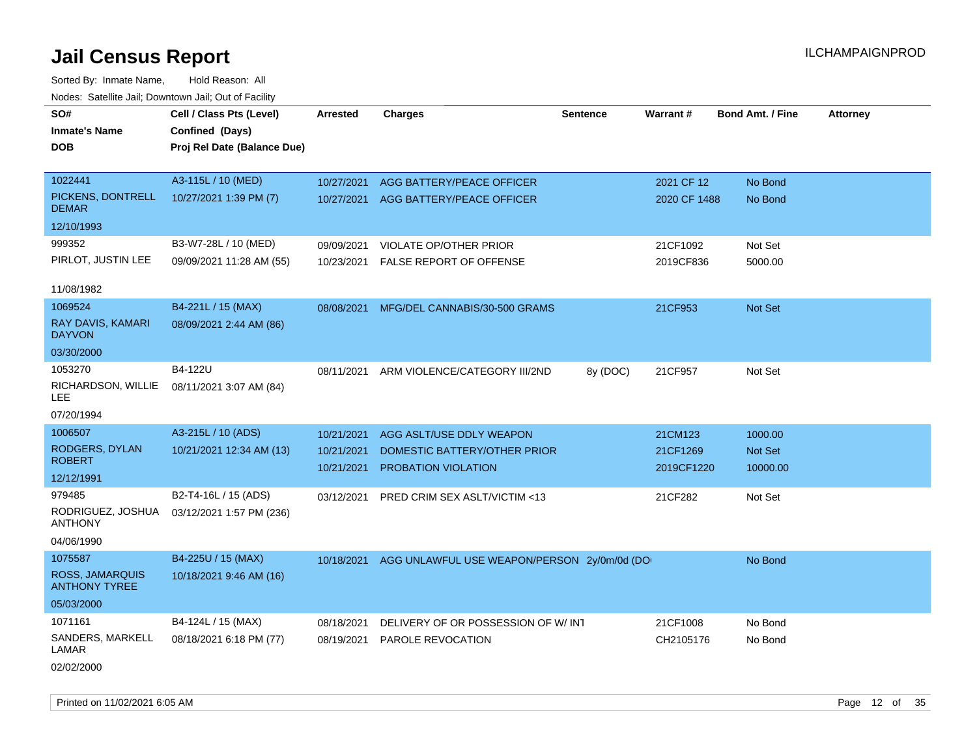Sorted By: Inmate Name, Hold Reason: All Nodes: Satellite Jail; Downtown Jail; Out of Facility

| SO#                                     | Cell / Class Pts (Level)    | Arrested   | <b>Charges</b>                                         | <b>Sentence</b> | Warrant#     | <b>Bond Amt. / Fine</b> | <b>Attorney</b> |
|-----------------------------------------|-----------------------------|------------|--------------------------------------------------------|-----------------|--------------|-------------------------|-----------------|
| Inmate's Name                           | Confined (Days)             |            |                                                        |                 |              |                         |                 |
| DOB                                     | Proj Rel Date (Balance Due) |            |                                                        |                 |              |                         |                 |
|                                         |                             |            |                                                        |                 |              |                         |                 |
| 1022441                                 | A3-115L / 10 (MED)          | 10/27/2021 | AGG BATTERY/PEACE OFFICER                              |                 | 2021 CF 12   | No Bond                 |                 |
| PICKENS, DONTRELL<br><b>DEMAR</b>       | 10/27/2021 1:39 PM (7)      | 10/27/2021 | AGG BATTERY/PEACE OFFICER                              |                 | 2020 CF 1488 | No Bond                 |                 |
| 12/10/1993                              |                             |            |                                                        |                 |              |                         |                 |
| 999352                                  | B3-W7-28L / 10 (MED)        | 09/09/2021 | VIOLATE OP/OTHER PRIOR                                 |                 | 21CF1092     | Not Set                 |                 |
| PIRLOT, JUSTIN LEE                      | 09/09/2021 11:28 AM (55)    | 10/23/2021 | <b>FALSE REPORT OF OFFENSE</b>                         |                 | 2019CF836    | 5000.00                 |                 |
| 11/08/1982                              |                             |            |                                                        |                 |              |                         |                 |
| 1069524                                 | B4-221L / 15 (MAX)          | 08/08/2021 | MFG/DEL CANNABIS/30-500 GRAMS                          |                 | 21CF953      | Not Set                 |                 |
| RAY DAVIS, KAMARI<br><b>DAYVON</b>      | 08/09/2021 2:44 AM (86)     |            |                                                        |                 |              |                         |                 |
| 03/30/2000                              |                             |            |                                                        |                 |              |                         |                 |
| 1053270                                 | B4-122U                     | 08/11/2021 | ARM VIOLENCE/CATEGORY III/2ND                          | 8y (DOC)        | 21CF957      | Not Set                 |                 |
| RICHARDSON, WILLIE<br>LEE               | 08/11/2021 3:07 AM (84)     |            |                                                        |                 |              |                         |                 |
| 07/20/1994                              |                             |            |                                                        |                 |              |                         |                 |
| 1006507                                 | A3-215L / 10 (ADS)          | 10/21/2021 | AGG ASLT/USE DDLY WEAPON                               |                 | 21CM123      | 1000.00                 |                 |
| RODGERS, DYLAN                          | 10/21/2021 12:34 AM (13)    | 10/21/2021 | DOMESTIC BATTERY/OTHER PRIOR                           |                 | 21CF1269     | <b>Not Set</b>          |                 |
| <b>ROBERT</b>                           |                             | 10/21/2021 | <b>PROBATION VIOLATION</b>                             |                 | 2019CF1220   | 10000.00                |                 |
| 12/12/1991<br>979485                    | B2-T4-16L / 15 (ADS)        |            |                                                        |                 |              |                         |                 |
| RODRIGUEZ, JOSHUA                       | 03/12/2021 1:57 PM (236)    | 03/12/2021 | PRED CRIM SEX ASLT/VICTIM <13                          |                 | 21CF282      | Not Set                 |                 |
| ANTHONY                                 |                             |            |                                                        |                 |              |                         |                 |
| 04/06/1990                              |                             |            |                                                        |                 |              |                         |                 |
| 1075587                                 | B4-225U / 15 (MAX)          |            | 10/18/2021 AGG UNLAWFUL USE WEAPON/PERSON 2y/0m/0d (DO |                 |              | No Bond                 |                 |
| ROSS, JAMARQUIS<br><b>ANTHONY TYREE</b> | 10/18/2021 9:46 AM (16)     |            |                                                        |                 |              |                         |                 |
| 05/03/2000                              |                             |            |                                                        |                 |              |                         |                 |
| 1071161                                 | B4-124L / 15 (MAX)          | 08/18/2021 | DELIVERY OF OR POSSESSION OF W/INT                     |                 | 21CF1008     | No Bond                 |                 |
| SANDERS, MARKELL<br>LAMAR               | 08/18/2021 6:18 PM (77)     | 08/19/2021 | <b>PAROLE REVOCATION</b>                               |                 | CH2105176    | No Bond                 |                 |
| 02/02/2000                              |                             |            |                                                        |                 |              |                         |                 |

Printed on 11/02/2021 6:05 AM **Page 12** of 35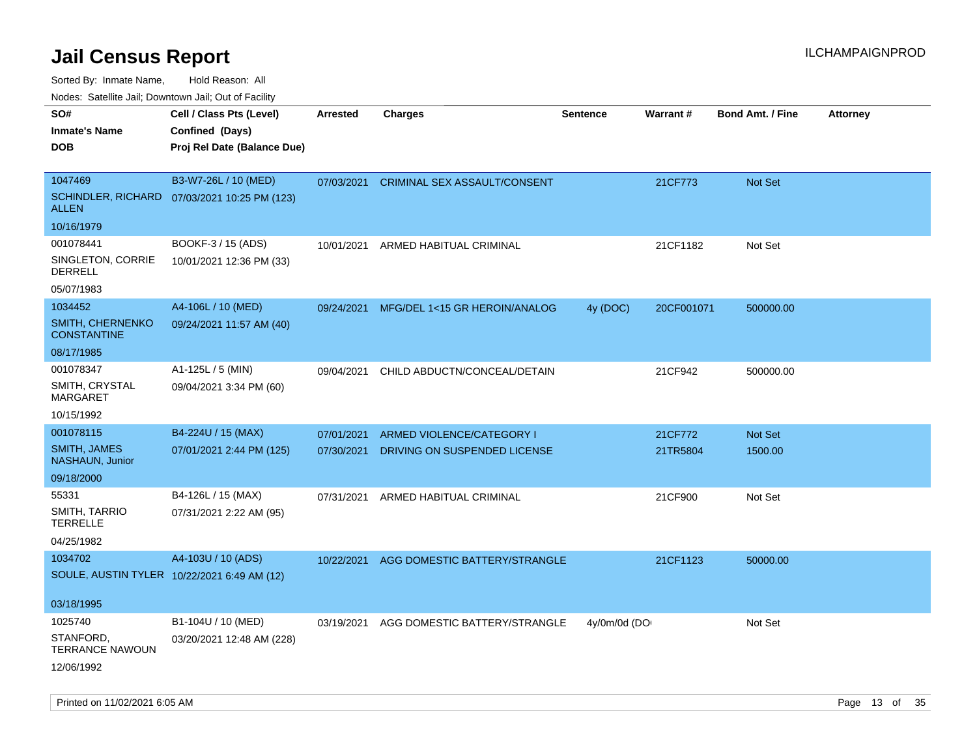Sorted By: Inmate Name, Hold Reason: All

Nodes: Satellite Jail; Downtown Jail; Out of Facility

| SO#<br><b>Inmate's Name</b><br><b>DOB</b>            | Cell / Class Pts (Level)<br>Confined (Days)<br>Proj Rel Date (Balance Due) | <b>Arrested</b> | <b>Charges</b>                          | <b>Sentence</b> | Warrant#   | Bond Amt. / Fine | Attorney |
|------------------------------------------------------|----------------------------------------------------------------------------|-----------------|-----------------------------------------|-----------------|------------|------------------|----------|
| 1047469<br><b>SCHINDLER, RICHARD</b><br><b>ALLEN</b> | B3-W7-26L / 10 (MED)<br>07/03/2021 10:25 PM (123)                          |                 | 07/03/2021 CRIMINAL SEX ASSAULT/CONSENT |                 | 21CF773    | Not Set          |          |
| 10/16/1979                                           |                                                                            |                 |                                         |                 |            |                  |          |
| 001078441                                            | BOOKF-3 / 15 (ADS)                                                         | 10/01/2021      | ARMED HABITUAL CRIMINAL                 |                 | 21CF1182   | Not Set          |          |
| SINGLETON, CORRIE<br><b>DERRELL</b>                  | 10/01/2021 12:36 PM (33)                                                   |                 |                                         |                 |            |                  |          |
| 05/07/1983                                           |                                                                            |                 |                                         |                 |            |                  |          |
| 1034452                                              | A4-106L / 10 (MED)                                                         | 09/24/2021      | MFG/DEL 1<15 GR HEROIN/ANALOG           | 4y (DOC)        | 20CF001071 | 500000.00        |          |
| SMITH, CHERNENKO<br><b>CONSTANTINE</b>               | 09/24/2021 11:57 AM (40)                                                   |                 |                                         |                 |            |                  |          |
| 08/17/1985                                           |                                                                            |                 |                                         |                 |            |                  |          |
| 001078347<br>SMITH, CRYSTAL<br><b>MARGARET</b>       | A1-125L / 5 (MIN)<br>09/04/2021 3:34 PM (60)                               | 09/04/2021      | CHILD ABDUCTN/CONCEAL/DETAIN            |                 | 21CF942    | 500000.00        |          |
| 10/15/1992                                           |                                                                            |                 |                                         |                 |            |                  |          |
| 001078115                                            | B4-224U / 15 (MAX)                                                         | 07/01/2021      | ARMED VIOLENCE/CATEGORY I               |                 | 21CF772    | Not Set          |          |
| <b>SMITH, JAMES</b><br>NASHAUN, Junior               | 07/01/2021 2:44 PM (125)                                                   | 07/30/2021      | DRIVING ON SUSPENDED LICENSE            |                 | 21TR5804   | 1500.00          |          |
| 09/18/2000                                           |                                                                            |                 |                                         |                 |            |                  |          |
| 55331                                                | B4-126L / 15 (MAX)                                                         | 07/31/2021      | ARMED HABITUAL CRIMINAL                 |                 | 21CF900    | Not Set          |          |
| SMITH, TARRIO<br><b>TERRELLE</b>                     | 07/31/2021 2:22 AM (95)                                                    |                 |                                         |                 |            |                  |          |
| 04/25/1982                                           |                                                                            |                 |                                         |                 |            |                  |          |
| 1034702                                              | A4-103U / 10 (ADS)                                                         | 10/22/2021      | AGG DOMESTIC BATTERY/STRANGLE           |                 | 21CF1123   | 50000.00         |          |
|                                                      | SOULE, AUSTIN TYLER 10/22/2021 6:49 AM (12)                                |                 |                                         |                 |            |                  |          |
| 03/18/1995                                           |                                                                            |                 |                                         |                 |            |                  |          |
| 1025740                                              | B1-104U / 10 (MED)                                                         | 03/19/2021      | AGG DOMESTIC BATTERY/STRANGLE           | 4y/0m/0d (DO    |            | Not Set          |          |
| STANFORD,<br><b>TERRANCE NAWOUN</b>                  | 03/20/2021 12:48 AM (228)                                                  |                 |                                         |                 |            |                  |          |
| 12/06/1992                                           |                                                                            |                 |                                         |                 |            |                  |          |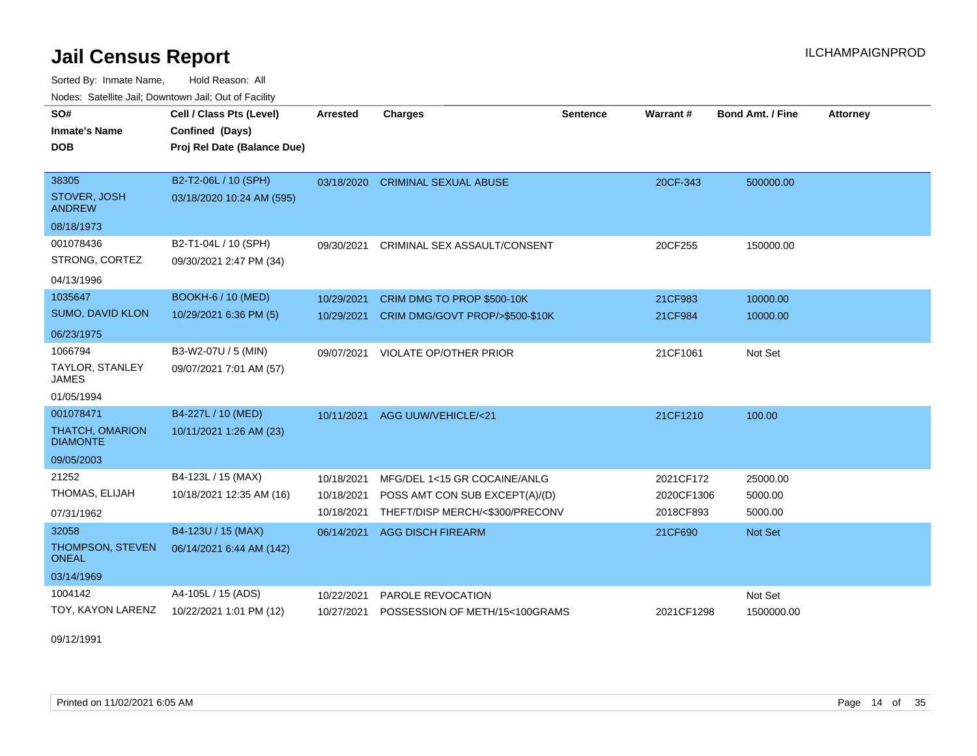Sorted By: Inmate Name, Hold Reason: All Nodes: Satellite Jail; Downtown Jail; Out of Facility

| SO#<br><b>Inmate's Name</b><br><b>DOB</b>                            | Cell / Class Pts (Level)<br>Confined (Days)<br>Proj Rel Date (Balance Due) | <b>Arrested</b>                        | <b>Charges</b>                                                                                    | <b>Sentence</b> | Warrant#                             | <b>Bond Amt. / Fine</b>        | <b>Attorney</b> |
|----------------------------------------------------------------------|----------------------------------------------------------------------------|----------------------------------------|---------------------------------------------------------------------------------------------------|-----------------|--------------------------------------|--------------------------------|-----------------|
| 38305<br>STOVER, JOSH<br><b>ANDREW</b><br>08/18/1973                 | B2-T2-06L / 10 (SPH)<br>03/18/2020 10:24 AM (595)                          |                                        | 03/18/2020 CRIMINAL SEXUAL ABUSE                                                                  |                 | 20CF-343                             | 500000.00                      |                 |
| 001078436<br>STRONG, CORTEZ<br>04/13/1996                            | B2-T1-04L / 10 (SPH)<br>09/30/2021 2:47 PM (34)                            | 09/30/2021                             | CRIMINAL SEX ASSAULT/CONSENT                                                                      |                 | 20CF255                              | 150000.00                      |                 |
| 1035647<br><b>SUMO, DAVID KLON</b><br>06/23/1975                     | <b>BOOKH-6 / 10 (MED)</b><br>10/29/2021 6:36 PM (5)                        | 10/29/2021<br>10/29/2021               | CRIM DMG TO PROP \$500-10K<br>CRIM DMG/GOVT PROP/>\$500-\$10K                                     |                 | 21CF983<br>21CF984                   | 10000.00<br>10000.00           |                 |
| 1066794<br><b>TAYLOR, STANLEY</b><br><b>JAMES</b><br>01/05/1994      | B3-W2-07U / 5 (MIN)<br>09/07/2021 7:01 AM (57)                             | 09/07/2021                             | <b>VIOLATE OP/OTHER PRIOR</b>                                                                     |                 | 21CF1061                             | Not Set                        |                 |
| 001078471<br><b>THATCH, OMARION</b><br><b>DIAMONTE</b><br>09/05/2003 | B4-227L / 10 (MED)<br>10/11/2021 1:26 AM (23)                              | 10/11/2021                             | AGG UUW/VEHICLE/<21                                                                               |                 | 21CF1210                             | 100.00                         |                 |
| 21252<br>THOMAS, ELIJAH<br>07/31/1962                                | B4-123L / 15 (MAX)<br>10/18/2021 12:35 AM (16)                             | 10/18/2021<br>10/18/2021<br>10/18/2021 | MFG/DEL 1<15 GR COCAINE/ANLG<br>POSS AMT CON SUB EXCEPT(A)/(D)<br>THEFT/DISP MERCH/<\$300/PRECONV |                 | 2021CF172<br>2020CF1306<br>2018CF893 | 25000.00<br>5000.00<br>5000.00 |                 |
| 32058<br>THOMPSON, STEVEN<br><b>ONEAL</b><br>03/14/1969              | B4-123U / 15 (MAX)<br>06/14/2021 6:44 AM (142)                             | 06/14/2021                             | <b>AGG DISCH FIREARM</b>                                                                          |                 | 21CF690                              | Not Set                        |                 |
| 1004142<br>TOY, KAYON LARENZ                                         | A4-105L / 15 (ADS)<br>10/22/2021 1:01 PM (12)                              | 10/22/2021<br>10/27/2021               | PAROLE REVOCATION<br>POSSESSION OF METH/15<100GRAMS                                               |                 | 2021CF1298                           | Not Set<br>1500000.00          |                 |

09/12/1991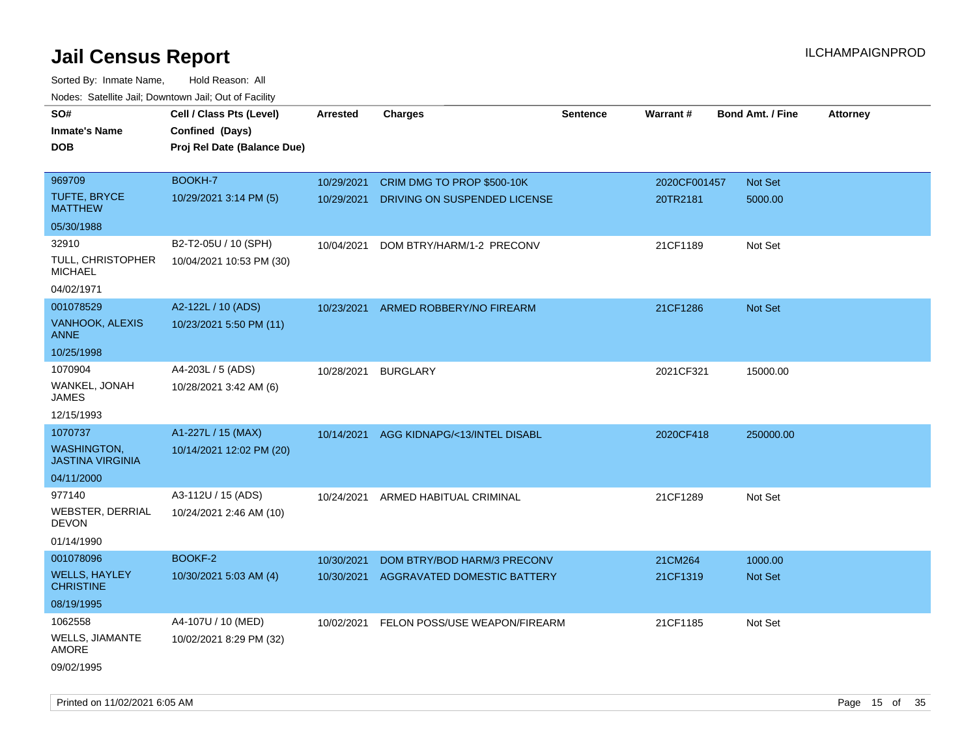Sorted By: Inmate Name, Hold Reason: All Nodes: Satellite Jail; Downtown Jail; Out of Facility

| <b>NOULD:</b> Catoline bail, Downtown bail, Out of I dollty |                             |            |                                    |                 |              |                         |                 |
|-------------------------------------------------------------|-----------------------------|------------|------------------------------------|-----------------|--------------|-------------------------|-----------------|
| SO#                                                         | Cell / Class Pts (Level)    | Arrested   | Charges                            | <b>Sentence</b> | Warrant#     | <b>Bond Amt. / Fine</b> | <b>Attorney</b> |
| <b>Inmate's Name</b>                                        | Confined (Days)             |            |                                    |                 |              |                         |                 |
| <b>DOB</b>                                                  | Proj Rel Date (Balance Due) |            |                                    |                 |              |                         |                 |
|                                                             |                             |            |                                    |                 |              |                         |                 |
| 969709                                                      | BOOKH-7                     | 10/29/2021 | CRIM DMG TO PROP \$500-10K         |                 | 2020CF001457 | Not Set                 |                 |
| <b>TUFTE, BRYCE</b><br><b>MATTHEW</b>                       | 10/29/2021 3:14 PM (5)      | 10/29/2021 | DRIVING ON SUSPENDED LICENSE       |                 | 20TR2181     | 5000.00                 |                 |
| 05/30/1988                                                  |                             |            |                                    |                 |              |                         |                 |
| 32910                                                       | B2-T2-05U / 10 (SPH)        | 10/04/2021 | DOM BTRY/HARM/1-2 PRECONV          |                 | 21CF1189     | Not Set                 |                 |
| TULL, CHRISTOPHER<br><b>MICHAEL</b>                         | 10/04/2021 10:53 PM (30)    |            |                                    |                 |              |                         |                 |
| 04/02/1971                                                  |                             |            |                                    |                 |              |                         |                 |
| 001078529                                                   | A2-122L / 10 (ADS)          | 10/23/2021 | ARMED ROBBERY/NO FIREARM           |                 | 21CF1286     | <b>Not Set</b>          |                 |
| VANHOOK, ALEXIS<br><b>ANNE</b>                              | 10/23/2021 5:50 PM (11)     |            |                                    |                 |              |                         |                 |
| 10/25/1998                                                  |                             |            |                                    |                 |              |                         |                 |
| 1070904                                                     | A4-203L / 5 (ADS)           | 10/28/2021 | <b>BURGLARY</b>                    |                 | 2021CF321    | 15000.00                |                 |
| WANKEL, JONAH<br>JAMES                                      | 10/28/2021 3:42 AM (6)      |            |                                    |                 |              |                         |                 |
| 12/15/1993                                                  |                             |            |                                    |                 |              |                         |                 |
| 1070737                                                     | A1-227L / 15 (MAX)          | 10/14/2021 | AGG KIDNAPG/<13/INTEL DISABL       |                 | 2020CF418    | 250000.00               |                 |
| <b>WASHINGTON,</b><br><b>JASTINA VIRGINIA</b>               | 10/14/2021 12:02 PM (20)    |            |                                    |                 |              |                         |                 |
| 04/11/2000                                                  |                             |            |                                    |                 |              |                         |                 |
| 977140                                                      | A3-112U / 15 (ADS)          |            | 10/24/2021 ARMED HABITUAL CRIMINAL |                 | 21CF1289     | Not Set                 |                 |
| <b>WEBSTER, DERRIAL</b><br><b>DEVON</b>                     | 10/24/2021 2:46 AM (10)     |            |                                    |                 |              |                         |                 |
| 01/14/1990                                                  |                             |            |                                    |                 |              |                         |                 |
| 001078096                                                   | <b>BOOKF-2</b>              | 10/30/2021 | DOM BTRY/BOD HARM/3 PRECONV        |                 | 21CM264      | 1000.00                 |                 |
| <b>WELLS, HAYLEY</b><br><b>CHRISTINE</b>                    | 10/30/2021 5:03 AM (4)      | 10/30/2021 | AGGRAVATED DOMESTIC BATTERY        |                 | 21CF1319     | <b>Not Set</b>          |                 |
| 08/19/1995                                                  |                             |            |                                    |                 |              |                         |                 |
| 1062558                                                     | A4-107U / 10 (MED)          | 10/02/2021 | FELON POSS/USE WEAPON/FIREARM      |                 | 21CF1185     | Not Set                 |                 |
| <b>WELLS, JIAMANTE</b><br><b>AMORE</b>                      | 10/02/2021 8:29 PM (32)     |            |                                    |                 |              |                         |                 |
| 09/02/1995                                                  |                             |            |                                    |                 |              |                         |                 |

Printed on 11/02/2021 6:05 AM **Page 15** of 35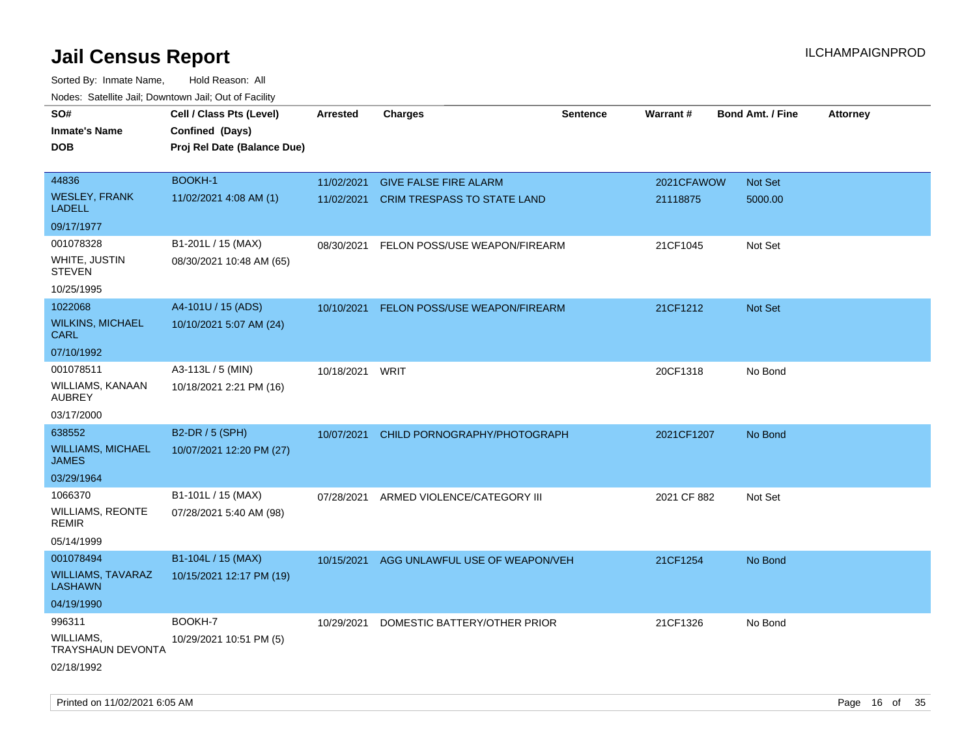| roaco. Calcinio dan, Downtown dan, Oal or Fability |                                                                            |                 |                                    |                 |             |                  |                 |
|----------------------------------------------------|----------------------------------------------------------------------------|-----------------|------------------------------------|-----------------|-------------|------------------|-----------------|
| SO#<br>Inmate's Name<br>DOB                        | Cell / Class Pts (Level)<br>Confined (Days)<br>Proj Rel Date (Balance Due) | <b>Arrested</b> | <b>Charges</b>                     | <b>Sentence</b> | Warrant#    | Bond Amt. / Fine | <b>Attorney</b> |
| 44836                                              | <b>BOOKH-1</b>                                                             | 11/02/2021      | <b>GIVE FALSE FIRE ALARM</b>       |                 | 2021CFAWOW  | <b>Not Set</b>   |                 |
| WESLEY, FRANK<br>LADELL                            | 11/02/2021 4:08 AM (1)                                                     | 11/02/2021      | <b>CRIM TRESPASS TO STATE LAND</b> |                 | 21118875    | 5000.00          |                 |
| 09/17/1977                                         |                                                                            |                 |                                    |                 |             |                  |                 |
| 001078328                                          | B1-201L / 15 (MAX)                                                         | 08/30/2021      | FELON POSS/USE WEAPON/FIREARM      |                 | 21CF1045    | Not Set          |                 |
| WHITE, JUSTIN<br>STEVEN                            | 08/30/2021 10:48 AM (65)                                                   |                 |                                    |                 |             |                  |                 |
| 10/25/1995                                         |                                                                            |                 |                                    |                 |             |                  |                 |
| 1022068                                            | A4-101U / 15 (ADS)                                                         | 10/10/2021      | FELON POSS/USE WEAPON/FIREARM      |                 | 21CF1212    | <b>Not Set</b>   |                 |
| WILKINS, MICHAEL<br>CARL                           | 10/10/2021 5:07 AM (24)                                                    |                 |                                    |                 |             |                  |                 |
| 07/10/1992                                         |                                                                            |                 |                                    |                 |             |                  |                 |
| 001078511                                          | A3-113L / 5 (MIN)                                                          | 10/18/2021      | WRIT                               |                 | 20CF1318    | No Bond          |                 |
| WILLIAMS, KANAAN<br>AUBREY                         | 10/18/2021 2:21 PM (16)                                                    |                 |                                    |                 |             |                  |                 |
| 03/17/2000                                         |                                                                            |                 |                                    |                 |             |                  |                 |
| 638552                                             | B2-DR / 5 (SPH)                                                            | 10/07/2021      | CHILD PORNOGRAPHY/PHOTOGRAPH       |                 | 2021CF1207  | No Bond          |                 |
| <b>WILLIAMS, MICHAEL</b><br>JAMES                  | 10/07/2021 12:20 PM (27)                                                   |                 |                                    |                 |             |                  |                 |
| 03/29/1964                                         |                                                                            |                 |                                    |                 |             |                  |                 |
| 1066370                                            | B1-101L / 15 (MAX)                                                         | 07/28/2021      | ARMED VIOLENCE/CATEGORY III        |                 | 2021 CF 882 | Not Set          |                 |
| WILLIAMS, REONTE<br>REMIR                          | 07/28/2021 5:40 AM (98)                                                    |                 |                                    |                 |             |                  |                 |
| 05/14/1999                                         |                                                                            |                 |                                    |                 |             |                  |                 |
| 001078494                                          | B1-104L / 15 (MAX)                                                         | 10/15/2021      | AGG UNLAWFUL USE OF WEAPON/VEH     |                 | 21CF1254    | No Bond          |                 |
| WILLIAMS, TAVARAZ<br>LASHAWN                       | 10/15/2021 12:17 PM (19)                                                   |                 |                                    |                 |             |                  |                 |
| 04/19/1990                                         |                                                                            |                 |                                    |                 |             |                  |                 |
| 996311                                             | BOOKH-7                                                                    | 10/29/2021      | DOMESTIC BATTERY/OTHER PRIOR       |                 | 21CF1326    | No Bond          |                 |
| WILLIAMS.<br>TRAYSHAUN DEVONTA                     | 10/29/2021 10:51 PM (5)                                                    |                 |                                    |                 |             |                  |                 |
| 02/18/1992                                         |                                                                            |                 |                                    |                 |             |                  |                 |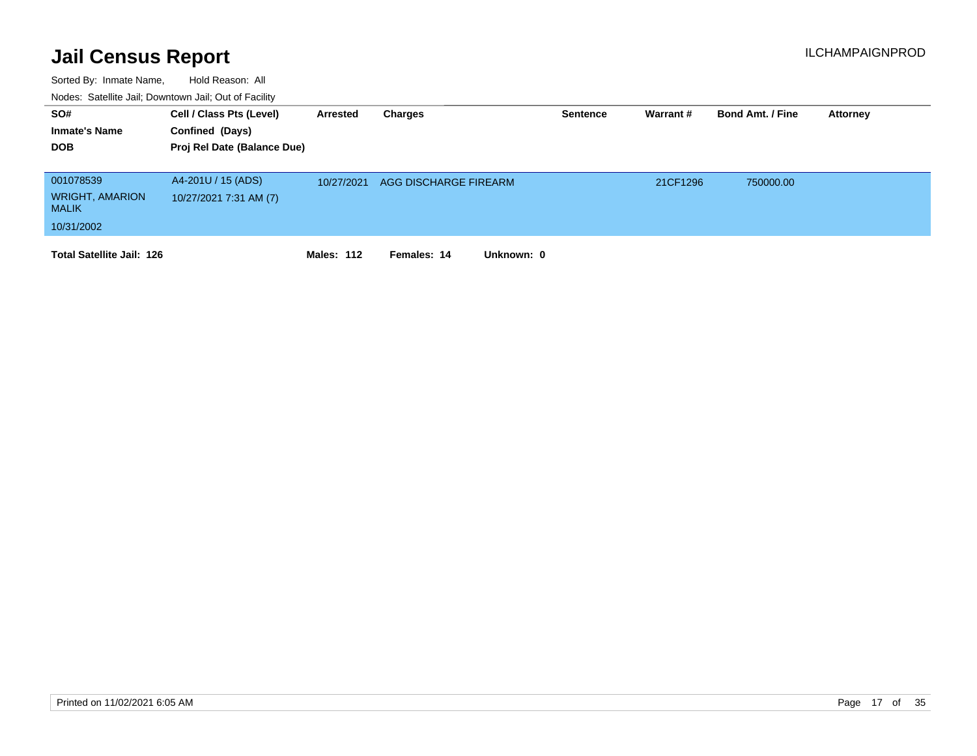| SO#<br><b>Inmate's Name</b><br><b>DOB</b>                         | Cell / Class Pts (Level)<br>Confined (Days)<br>Proj Rel Date (Balance Due) | Arrested   | Charges                   | Sentence | Warrant # | <b>Bond Amt. / Fine</b> | <b>Attorney</b> |
|-------------------------------------------------------------------|----------------------------------------------------------------------------|------------|---------------------------|----------|-----------|-------------------------|-----------------|
| 001078539<br><b>WRIGHT, AMARION</b><br><b>MALIK</b><br>10/31/2002 | A4-201U / 15 (ADS)<br>10/27/2021 7:31 AM (7)                               | 10/27/2021 | AGG DISCHARGE FIREARM     |          | 21CF1296  | 750000.00               |                 |
| <b>Total Satellite Jail: 126</b>                                  |                                                                            | Males: 112 | Unknown: 0<br>Females: 14 |          |           |                         |                 |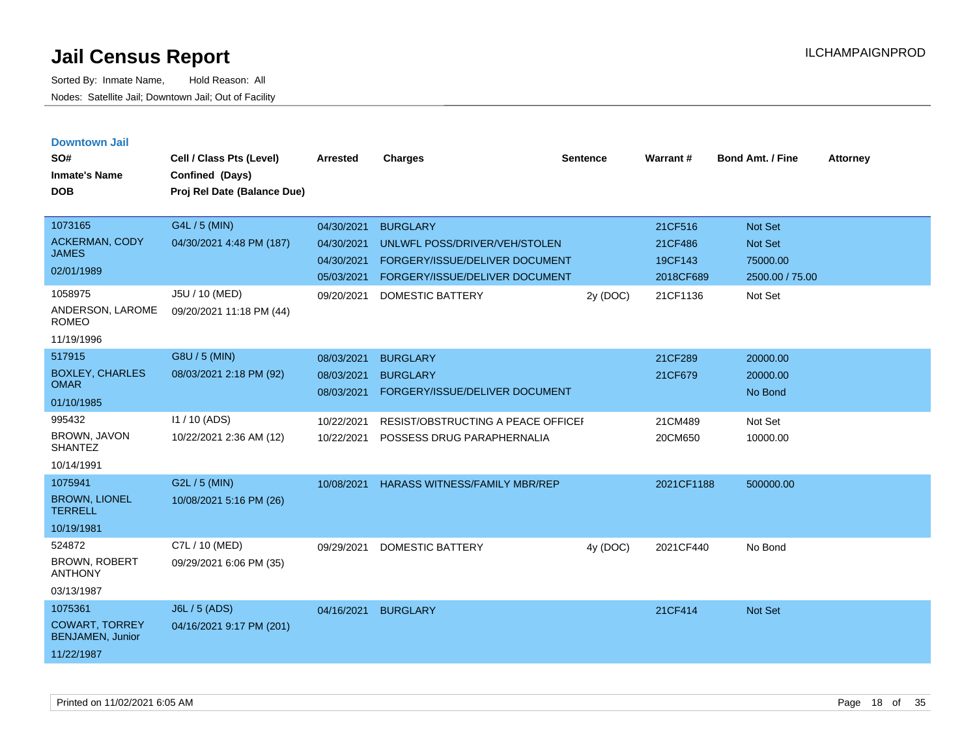**Downtown Jail**

**SO#**

Sorted By: Inmate Name, Hold Reason: All Nodes: Satellite Jail; Downtown Jail; Out of Facility

| SO#                                    | Cell / Class Pts (Level)    | <b>Arrested</b> | <b>Charges</b>                       | <b>Sentence</b> | Warrant#   | <b>Bond Amt. / Fine</b> | Attorney |
|----------------------------------------|-----------------------------|-----------------|--------------------------------------|-----------------|------------|-------------------------|----------|
| <b>Inmate's Name</b>                   | Confined (Days)             |                 |                                      |                 |            |                         |          |
| <b>DOB</b>                             | Proj Rel Date (Balance Due) |                 |                                      |                 |            |                         |          |
|                                        |                             |                 |                                      |                 |            |                         |          |
| 1073165                                | G4L / 5 (MIN)               | 04/30/2021      | <b>BURGLARY</b>                      |                 | 21CF516    | Not Set                 |          |
| <b>ACKERMAN, CODY</b><br><b>JAMES</b>  | 04/30/2021 4:48 PM (187)    | 04/30/2021      | UNLWFL POSS/DRIVER/VEH/STOLEN        |                 | 21CF486    | Not Set                 |          |
| 02/01/1989                             |                             | 04/30/2021      | FORGERY/ISSUE/DELIVER DOCUMENT       |                 | 19CF143    | 75000.00                |          |
|                                        |                             | 05/03/2021      | FORGERY/ISSUE/DELIVER DOCUMENT       |                 | 2018CF689  | 2500.00 / 75.00         |          |
| 1058975                                | J5U / 10 (MED)              | 09/20/2021      | <b>DOMESTIC BATTERY</b>              | 2y (DOC)        | 21CF1136   | Not Set                 |          |
| ANDERSON, LAROME<br><b>ROMEO</b>       | 09/20/2021 11:18 PM (44)    |                 |                                      |                 |            |                         |          |
| 11/19/1996                             |                             |                 |                                      |                 |            |                         |          |
| 517915                                 | G8U / 5 (MIN)               | 08/03/2021      | <b>BURGLARY</b>                      |                 | 21CF289    | 20000.00                |          |
| <b>BOXLEY, CHARLES</b>                 | 08/03/2021 2:18 PM (92)     | 08/03/2021      | <b>BURGLARY</b>                      |                 | 21CF679    | 20000.00                |          |
| <b>OMAR</b>                            |                             | 08/03/2021      | FORGERY/ISSUE/DELIVER DOCUMENT       |                 |            | No Bond                 |          |
| 01/10/1985                             |                             |                 |                                      |                 |            |                         |          |
| 995432                                 | I1 / 10 (ADS)               | 10/22/2021      | RESIST/OBSTRUCTING A PEACE OFFICEL   |                 | 21CM489    | Not Set                 |          |
| BROWN, JAVON<br><b>SHANTEZ</b>         | 10/22/2021 2:36 AM (12)     | 10/22/2021      | POSSESS DRUG PARAPHERNALIA           |                 | 20CM650    | 10000.00                |          |
| 10/14/1991                             |                             |                 |                                      |                 |            |                         |          |
| 1075941                                | G2L / 5 (MIN)               | 10/08/2021      | <b>HARASS WITNESS/FAMILY MBR/REP</b> |                 | 2021CF1188 | 500000.00               |          |
| <b>BROWN, LIONEL</b><br><b>TERRELL</b> | 10/08/2021 5:16 PM (26)     |                 |                                      |                 |            |                         |          |
| 10/19/1981                             |                             |                 |                                      |                 |            |                         |          |
| 524872                                 | C7L / 10 (MED)              | 09/29/2021      | <b>DOMESTIC BATTERY</b>              | 4y (DOC)        | 2021CF440  | No Bond                 |          |
| <b>BROWN, ROBERT</b><br><b>ANTHONY</b> | 09/29/2021 6:06 PM (35)     |                 |                                      |                 |            |                         |          |

03/13/1987

| 1075361                                   | J6L / 5 (ADS)            | 04/16/2021 | <b>BURGLARY</b> | 21CF414 | <b>Not Set</b> |
|-------------------------------------------|--------------------------|------------|-----------------|---------|----------------|
| <b>COWART, TORREY</b><br>BENJAMEN, Junior | 04/16/2021 9:17 PM (201) |            |                 |         |                |
| 11/22/1987                                |                          |            |                 |         |                |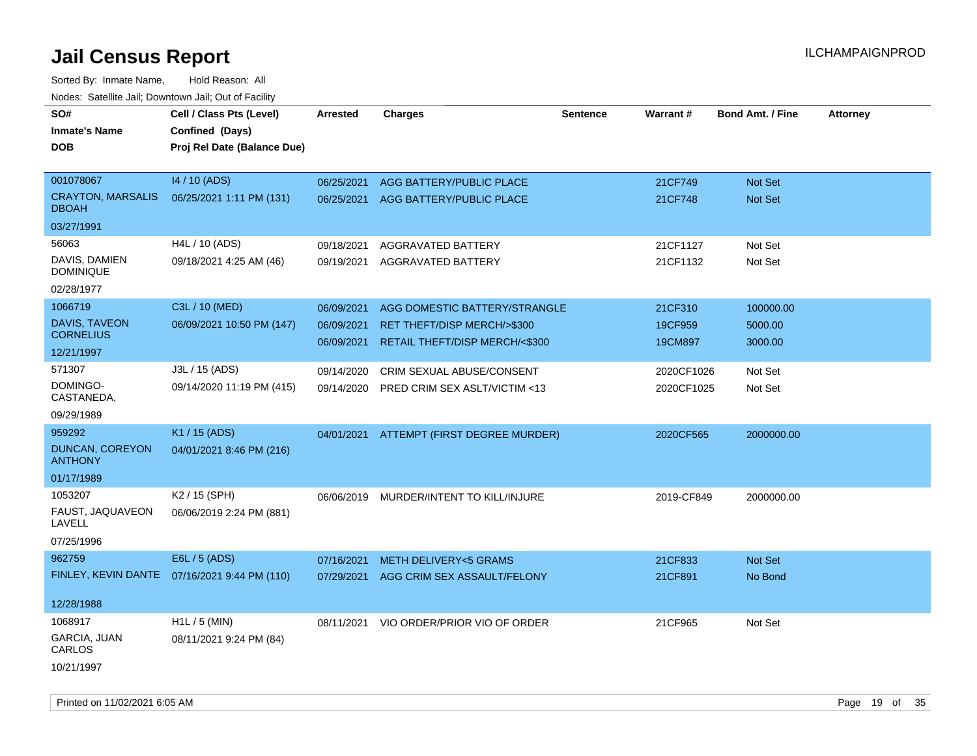Sorted By: Inmate Name, Hold Reason: All Nodes: Satellite Jail; Downtown Jail; Out of Facility

| vouco. Catomic can, Downtown can, Out of Facility |                                              |                 |                                          |                 |            |                         |                 |
|---------------------------------------------------|----------------------------------------------|-----------------|------------------------------------------|-----------------|------------|-------------------------|-----------------|
| SO#                                               | Cell / Class Pts (Level)                     | <b>Arrested</b> | <b>Charges</b>                           | <b>Sentence</b> | Warrant#   | <b>Bond Amt. / Fine</b> | <b>Attorney</b> |
| <b>Inmate's Name</b>                              | Confined (Days)                              |                 |                                          |                 |            |                         |                 |
| <b>DOB</b>                                        | Proj Rel Date (Balance Due)                  |                 |                                          |                 |            |                         |                 |
|                                                   |                                              |                 |                                          |                 |            |                         |                 |
| 001078067                                         | 14 / 10 (ADS)                                | 06/25/2021      | AGG BATTERY/PUBLIC PLACE                 |                 | 21CF749    | Not Set                 |                 |
| <b>CRAYTON, MARSALIS</b><br><b>DBOAH</b>          | 06/25/2021 1:11 PM (131)                     |                 | 06/25/2021 AGG BATTERY/PUBLIC PLACE      |                 | 21CF748    | Not Set                 |                 |
| 03/27/1991                                        |                                              |                 |                                          |                 |            |                         |                 |
| 56063                                             | H4L / 10 (ADS)                               | 09/18/2021      | AGGRAVATED BATTERY                       |                 | 21CF1127   | Not Set                 |                 |
| DAVIS, DAMIEN<br><b>DOMINIQUE</b>                 | 09/18/2021 4:25 AM (46)                      | 09/19/2021      | <b>AGGRAVATED BATTERY</b>                |                 | 21CF1132   | Not Set                 |                 |
| 02/28/1977                                        |                                              |                 |                                          |                 |            |                         |                 |
| 1066719                                           | C3L / 10 (MED)                               | 06/09/2021      | AGG DOMESTIC BATTERY/STRANGLE            |                 | 21CF310    | 100000.00               |                 |
| DAVIS, TAVEON                                     | 06/09/2021 10:50 PM (147)                    | 06/09/2021      | RET THEFT/DISP MERCH/>\$300              |                 | 19CF959    | 5000.00                 |                 |
| <b>CORNELIUS</b>                                  |                                              | 06/09/2021      | RETAIL THEFT/DISP MERCH/<\$300           |                 | 19CM897    | 3000.00                 |                 |
| 12/21/1997                                        |                                              |                 |                                          |                 |            |                         |                 |
| 571307                                            | J3L / 15 (ADS)                               | 09/14/2020      | CRIM SEXUAL ABUSE/CONSENT                |                 | 2020CF1026 | Not Set                 |                 |
| DOMINGO-<br>CASTANEDA,                            | 09/14/2020 11:19 PM (415)                    | 09/14/2020      | PRED CRIM SEX ASLT/VICTIM <13            |                 | 2020CF1025 | Not Set                 |                 |
| 09/29/1989                                        |                                              |                 |                                          |                 |            |                         |                 |
| 959292                                            | K1 / 15 (ADS)                                |                 | 04/01/2021 ATTEMPT (FIRST DEGREE MURDER) |                 | 2020CF565  | 2000000.00              |                 |
| <b>DUNCAN, COREYON</b><br><b>ANTHONY</b>          | 04/01/2021 8:46 PM (216)                     |                 |                                          |                 |            |                         |                 |
| 01/17/1989                                        |                                              |                 |                                          |                 |            |                         |                 |
| 1053207                                           | K <sub>2</sub> / 15 (SPH)                    |                 | 06/06/2019 MURDER/INTENT TO KILL/INJURE  |                 | 2019-CF849 | 2000000.00              |                 |
| FAUST, JAQUAVEON<br>LAVELL                        | 06/06/2019 2:24 PM (881)                     |                 |                                          |                 |            |                         |                 |
| 07/25/1996                                        |                                              |                 |                                          |                 |            |                         |                 |
| 962759                                            | E6L / 5 (ADS)                                | 07/16/2021      | <b>METH DELIVERY&lt;5 GRAMS</b>          |                 | 21CF833    | Not Set                 |                 |
|                                                   | FINLEY, KEVIN DANTE 07/16/2021 9:44 PM (110) | 07/29/2021      | AGG CRIM SEX ASSAULT/FELONY              |                 | 21CF891    | No Bond                 |                 |
|                                                   |                                              |                 |                                          |                 |            |                         |                 |
| 12/28/1988                                        |                                              |                 |                                          |                 |            |                         |                 |
| 1068917                                           | $H1L / 5$ (MIN)                              | 08/11/2021      | VIO ORDER/PRIOR VIO OF ORDER             |                 | 21CF965    | Not Set                 |                 |
| GARCIA, JUAN<br>CARLOS                            | 08/11/2021 9:24 PM (84)                      |                 |                                          |                 |            |                         |                 |
| 10/21/1997                                        |                                              |                 |                                          |                 |            |                         |                 |

Printed on 11/02/2021 6:05 AM **Page 19 of 35**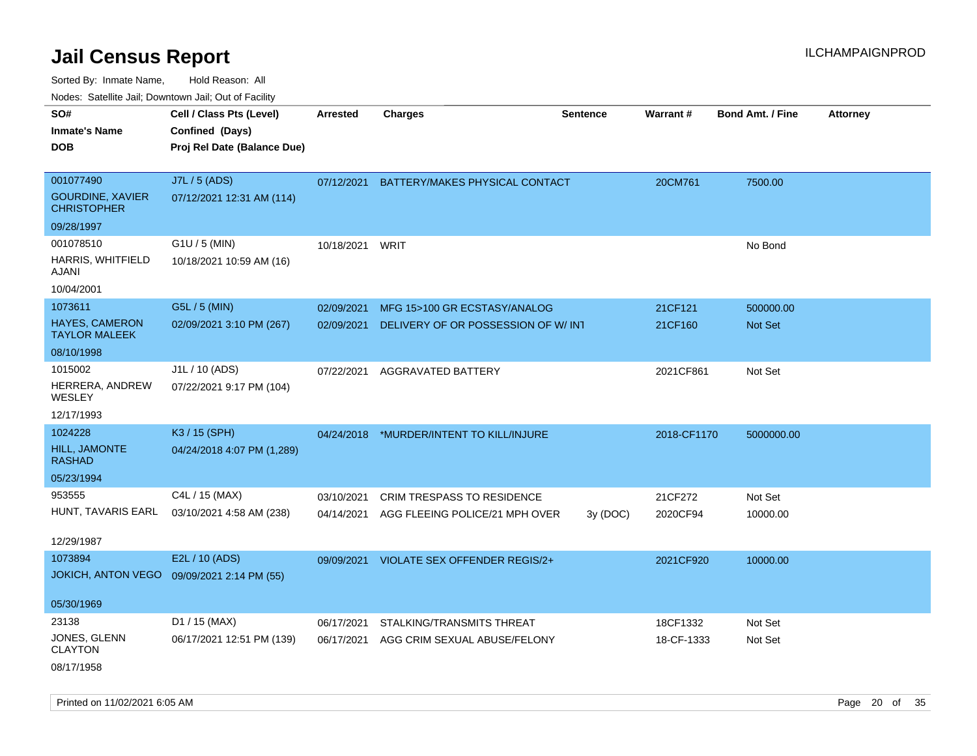Sorted By: Inmate Name, Hold Reason: All

Nodes: Satellite Jail; Downtown Jail; Out of Facility

| SO#<br><b>Inmate's Name</b><br><b>DOB</b>                  | Cell / Class Pts (Level)<br>Confined (Days)<br>Proj Rel Date (Balance Due) | <b>Arrested</b> | <b>Charges</b>                       | <b>Sentence</b> | Warrant#    | <b>Bond Amt. / Fine</b> | <b>Attorney</b> |
|------------------------------------------------------------|----------------------------------------------------------------------------|-----------------|--------------------------------------|-----------------|-------------|-------------------------|-----------------|
|                                                            |                                                                            |                 |                                      |                 |             |                         |                 |
| 001077490<br><b>GOURDINE, XAVIER</b><br><b>CHRISTOPHER</b> | J7L / 5 (ADS)<br>07/12/2021 12:31 AM (114)                                 | 07/12/2021      | BATTERY/MAKES PHYSICAL CONTACT       |                 | 20CM761     | 7500.00                 |                 |
| 09/28/1997                                                 |                                                                            |                 |                                      |                 |             |                         |                 |
| 001078510                                                  | G1U / 5 (MIN)                                                              | 10/18/2021      | WRIT                                 |                 |             | No Bond                 |                 |
| HARRIS, WHITFIELD<br>AJANI                                 | 10/18/2021 10:59 AM (16)                                                   |                 |                                      |                 |             |                         |                 |
| 10/04/2001                                                 |                                                                            |                 |                                      |                 |             |                         |                 |
| 1073611                                                    | G5L / 5 (MIN)                                                              | 02/09/2021      | MFG 15>100 GR ECSTASY/ANALOG         |                 | 21CF121     | 500000.00               |                 |
| <b>HAYES, CAMERON</b><br><b>TAYLOR MALEEK</b>              | 02/09/2021 3:10 PM (267)                                                   | 02/09/2021      | DELIVERY OF OR POSSESSION OF W/INT   |                 | 21CF160     | <b>Not Set</b>          |                 |
| 08/10/1998                                                 |                                                                            |                 |                                      |                 |             |                         |                 |
| 1015002<br>HERRERA, ANDREW<br>WESLEY                       | J1L / 10 (ADS)<br>07/22/2021 9:17 PM (104)                                 | 07/22/2021      | AGGRAVATED BATTERY                   |                 | 2021CF861   | Not Set                 |                 |
| 12/17/1993                                                 |                                                                            |                 |                                      |                 |             |                         |                 |
| 1024228                                                    | K3 / 15 (SPH)                                                              | 04/24/2018      | *MURDER/INTENT TO KILL/INJURE        |                 | 2018-CF1170 | 5000000.00              |                 |
| <b>HILL, JAMONTE</b><br><b>RASHAD</b>                      | 04/24/2018 4:07 PM (1,289)                                                 |                 |                                      |                 |             |                         |                 |
| 05/23/1994                                                 |                                                                            |                 |                                      |                 |             |                         |                 |
| 953555                                                     | C4L / 15 (MAX)                                                             | 03/10/2021      | <b>CRIM TRESPASS TO RESIDENCE</b>    |                 | 21CF272     | Not Set                 |                 |
| HUNT, TAVARIS EARL                                         | 03/10/2021 4:58 AM (238)                                                   | 04/14/2021      | AGG FLEEING POLICE/21 MPH OVER       | 3y(DOC)         | 2020CF94    | 10000.00                |                 |
| 12/29/1987                                                 |                                                                            |                 |                                      |                 |             |                         |                 |
| 1073894                                                    | E2L / 10 (ADS)                                                             | 09/09/2021      | <b>VIOLATE SEX OFFENDER REGIS/2+</b> |                 | 2021CF920   | 10000.00                |                 |
| <b>JOKICH, ANTON VEGO</b>                                  | 09/09/2021 2:14 PM (55)                                                    |                 |                                      |                 |             |                         |                 |
| 05/30/1969                                                 |                                                                            |                 |                                      |                 |             |                         |                 |
| 23138                                                      | D1 / 15 (MAX)                                                              | 06/17/2021      | STALKING/TRANSMITS THREAT            |                 | 18CF1332    | Not Set                 |                 |
| JONES, GLENN<br><b>CLAYTON</b>                             | 06/17/2021 12:51 PM (139)                                                  | 06/17/2021      | AGG CRIM SEXUAL ABUSE/FELONY         |                 | 18-CF-1333  | Not Set                 |                 |
| 08/17/1958                                                 |                                                                            |                 |                                      |                 |             |                         |                 |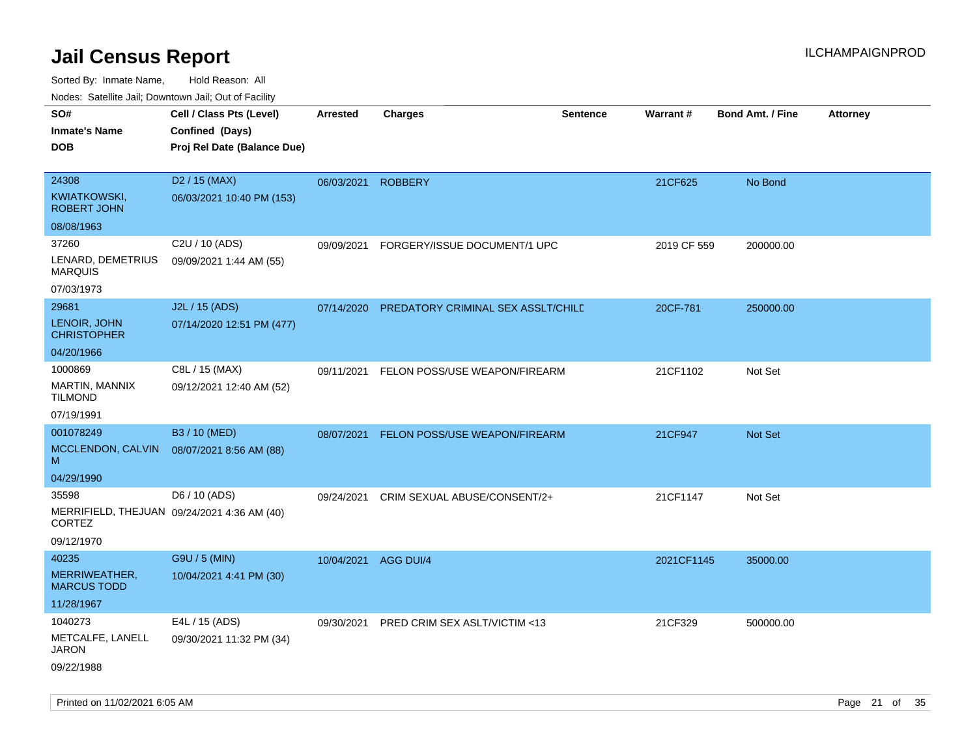| roaco. Odiollito dall, Downtown dall, Out of Fability                        |                                                                            |                 |                                         |                 |             |                         |                 |
|------------------------------------------------------------------------------|----------------------------------------------------------------------------|-----------------|-----------------------------------------|-----------------|-------------|-------------------------|-----------------|
| SO#<br><b>Inmate's Name</b><br>DOB                                           | Cell / Class Pts (Level)<br>Confined (Days)<br>Proj Rel Date (Balance Due) | <b>Arrested</b> | <b>Charges</b>                          | <b>Sentence</b> | Warrant#    | <b>Bond Amt. / Fine</b> | <b>Attorney</b> |
| 24308<br>KWIATKOWSKI,<br><b>ROBERT JOHN</b>                                  | D <sub>2</sub> / 15 (MAX)<br>06/03/2021 10:40 PM (153)                     | 06/03/2021      | <b>ROBBERY</b>                          |                 | 21CF625     | No Bond                 |                 |
| 08/08/1963                                                                   |                                                                            |                 |                                         |                 |             |                         |                 |
| 37260<br>LENARD, DEMETRIUS<br><b>MARQUIS</b><br>07/03/1973                   | C2U / 10 (ADS)<br>09/09/2021 1:44 AM (55)                                  | 09/09/2021      | FORGERY/ISSUE DOCUMENT/1 UPC            |                 | 2019 CF 559 | 200000.00               |                 |
| 29681                                                                        | J2L / 15 (ADS)                                                             | 07/14/2020      | PREDATORY CRIMINAL SEX ASSLT/CHILD      |                 | 20CF-781    | 250000.00               |                 |
| LENOIR, JOHN<br><b>CHRISTOPHER</b>                                           | 07/14/2020 12:51 PM (477)                                                  |                 |                                         |                 |             |                         |                 |
| 04/20/1966                                                                   |                                                                            |                 |                                         |                 |             |                         |                 |
| 1000869<br>MARTIN, MANNIX<br><b>TILMOND</b>                                  | C8L / 15 (MAX)<br>09/12/2021 12:40 AM (52)                                 | 09/11/2021      | FELON POSS/USE WEAPON/FIREARM           |                 | 21CF1102    | Not Set                 |                 |
| 07/19/1991                                                                   |                                                                            |                 |                                         |                 |             |                         |                 |
| 001078249                                                                    | B3 / 10 (MED)                                                              | 08/07/2021      | FELON POSS/USE WEAPON/FIREARM           |                 | 21CF947     | Not Set                 |                 |
| MCCLENDON, CALVIN<br>M                                                       | 08/07/2021 8:56 AM (88)                                                    |                 |                                         |                 |             |                         |                 |
| 04/29/1990                                                                   |                                                                            |                 |                                         |                 |             |                         |                 |
| 35598<br>MERRIFIELD, THEJUAN 09/24/2021 4:36 AM (40)<br>CORTEZ<br>09/12/1970 | D6 / 10 (ADS)                                                              | 09/24/2021      | CRIM SEXUAL ABUSE/CONSENT/2+            |                 | 21CF1147    | Not Set                 |                 |
| 40235                                                                        | G9U / 5 (MIN)                                                              | 10/04/2021      | AGG DUI/4                               |                 | 2021CF1145  | 35000.00                |                 |
| MERRIWEATHER,<br><b>MARCUS TODD</b>                                          | 10/04/2021 4:41 PM (30)                                                    |                 |                                         |                 |             |                         |                 |
| 11/28/1967                                                                   |                                                                            |                 |                                         |                 |             |                         |                 |
| 1040273                                                                      | E4L / 15 (ADS)                                                             | 09/30/2021      | <b>PRED CRIM SEX ASLT/VICTIM &lt;13</b> |                 | 21CF329     | 500000.00               |                 |
| METCALFE, LANELL<br><b>JARON</b>                                             | 09/30/2021 11:32 PM (34)                                                   |                 |                                         |                 |             |                         |                 |
| 09/22/1988                                                                   |                                                                            |                 |                                         |                 |             |                         |                 |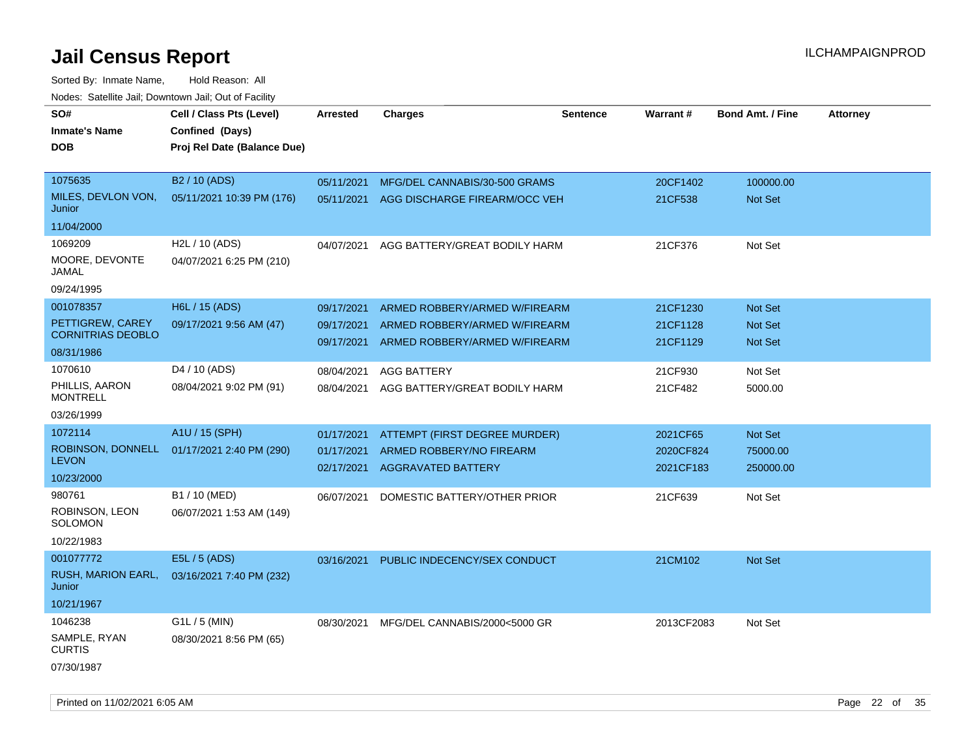| SO#<br><b>Inmate's Name</b><br><b>DOB</b>    | Cell / Class Pts (Level)<br>Confined (Days)<br>Proj Rel Date (Balance Due) | Arrested                 | <b>Charges</b>                | Sentence | <b>Warrant#</b> | <b>Bond Amt. / Fine</b> | <b>Attorney</b> |
|----------------------------------------------|----------------------------------------------------------------------------|--------------------------|-------------------------------|----------|-----------------|-------------------------|-----------------|
| 1075635                                      | B <sub>2</sub> / 10 (ADS)                                                  | 05/11/2021               | MFG/DEL CANNABIS/30-500 GRAMS |          | 20CF1402        | 100000.00               |                 |
| MILES, DEVLON VON,<br>Junior                 | 05/11/2021 10:39 PM (176)                                                  | 05/11/2021               | AGG DISCHARGE FIREARM/OCC VEH |          | 21CF538         | <b>Not Set</b>          |                 |
| 11/04/2000                                   |                                                                            |                          |                               |          |                 |                         |                 |
| 1069209                                      | H2L / 10 (ADS)                                                             | 04/07/2021               | AGG BATTERY/GREAT BODILY HARM |          | 21CF376         | Not Set                 |                 |
| MOORE, DEVONTE<br>JAMAL                      | 04/07/2021 6:25 PM (210)                                                   |                          |                               |          |                 |                         |                 |
| 09/24/1995                                   |                                                                            |                          |                               |          |                 |                         |                 |
| 001078357                                    | H6L / 15 (ADS)                                                             | 09/17/2021               | ARMED ROBBERY/ARMED W/FIREARM |          | 21CF1230        | <b>Not Set</b>          |                 |
| PETTIGREW, CAREY<br><b>CORNITRIAS DEOBLO</b> | 09/17/2021 9:56 AM (47)                                                    | 09/17/2021               | ARMED ROBBERY/ARMED W/FIREARM |          | 21CF1128        | <b>Not Set</b>          |                 |
| 08/31/1986                                   |                                                                            | 09/17/2021               | ARMED ROBBERY/ARMED W/FIREARM |          | 21CF1129        | <b>Not Set</b>          |                 |
| 1070610                                      | D <sub>4</sub> / 10 (ADS)                                                  |                          |                               |          |                 |                         |                 |
| PHILLIS, AARON                               | 08/04/2021 9:02 PM (91)                                                    | 08/04/2021<br>08/04/2021 | <b>AGG BATTERY</b>            |          | 21CF930         | Not Set                 |                 |
| <b>MONTRELL</b>                              |                                                                            |                          | AGG BATTERY/GREAT BODILY HARM |          | 21CF482         | 5000.00                 |                 |
| 03/26/1999                                   |                                                                            |                          |                               |          |                 |                         |                 |
| 1072114                                      | A1U / 15 (SPH)                                                             | 01/17/2021               | ATTEMPT (FIRST DEGREE MURDER) |          | 2021CF65        | Not Set                 |                 |
| ROBINSON, DONNELL                            | 01/17/2021 2:40 PM (290)                                                   | 01/17/2021               | ARMED ROBBERY/NO FIREARM      |          | 2020CF824       | 75000.00                |                 |
| <b>LEVON</b>                                 |                                                                            | 02/17/2021               | <b>AGGRAVATED BATTERY</b>     |          | 2021CF183       | 250000.00               |                 |
| 10/23/2000<br>980761                         | B1 / 10 (MED)                                                              |                          |                               |          |                 |                         |                 |
| ROBINSON, LEON                               | 06/07/2021 1:53 AM (149)                                                   | 06/07/2021               | DOMESTIC BATTERY/OTHER PRIOR  |          | 21CF639         | Not Set                 |                 |
| SOLOMON                                      |                                                                            |                          |                               |          |                 |                         |                 |
| 10/22/1983                                   |                                                                            |                          |                               |          |                 |                         |                 |
| 001077772                                    | E5L / 5 (ADS)                                                              | 03/16/2021               | PUBLIC INDECENCY/SEX CONDUCT  |          | 21CM102         | <b>Not Set</b>          |                 |
| RUSH, MARION EARL,<br>Junior                 | 03/16/2021 7:40 PM (232)                                                   |                          |                               |          |                 |                         |                 |
| 10/21/1967                                   |                                                                            |                          |                               |          |                 |                         |                 |
| 1046238                                      | $G1L / 5$ (MIN)                                                            | 08/30/2021               | MFG/DEL CANNABIS/2000<5000 GR |          | 2013CF2083      | Not Set                 |                 |
| SAMPLE, RYAN<br><b>CURTIS</b>                | 08/30/2021 8:56 PM (65)                                                    |                          |                               |          |                 |                         |                 |
| 07/30/1987                                   |                                                                            |                          |                               |          |                 |                         |                 |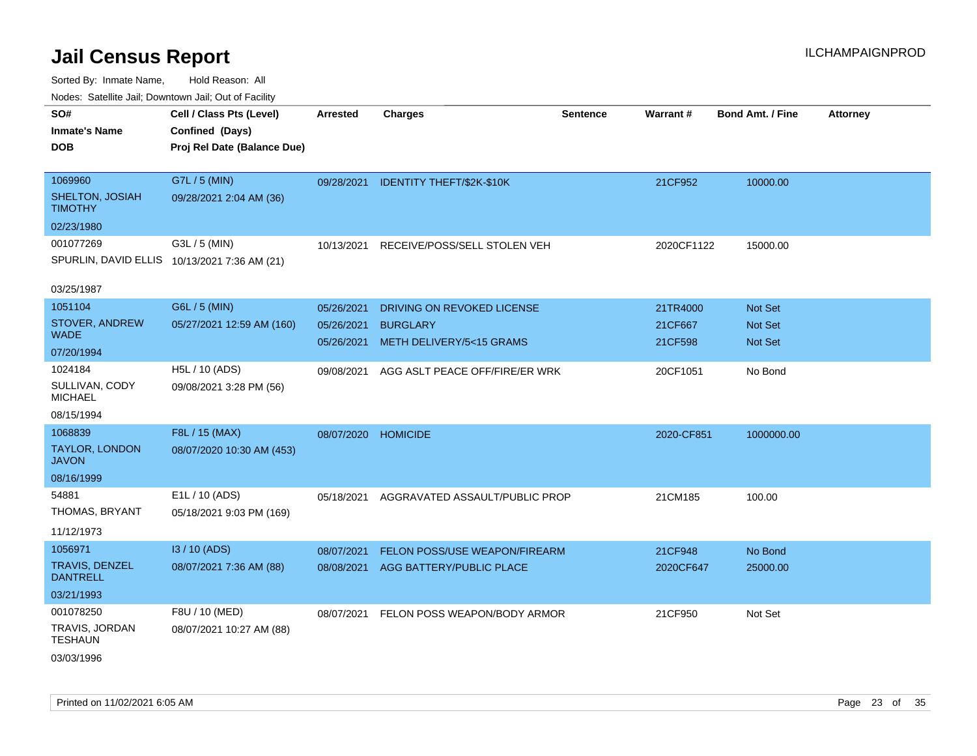| Nudes. Satellite Jali, Downtown Jali, Out of Facility |                                              |                 |                                      |                 |            |                         |                 |
|-------------------------------------------------------|----------------------------------------------|-----------------|--------------------------------------|-----------------|------------|-------------------------|-----------------|
| SO#                                                   | Cell / Class Pts (Level)                     | <b>Arrested</b> | <b>Charges</b>                       | <b>Sentence</b> | Warrant#   | <b>Bond Amt. / Fine</b> | <b>Attorney</b> |
| <b>Inmate's Name</b>                                  | Confined (Days)                              |                 |                                      |                 |            |                         |                 |
| DOB                                                   | Proj Rel Date (Balance Due)                  |                 |                                      |                 |            |                         |                 |
|                                                       |                                              |                 |                                      |                 |            |                         |                 |
| 1069960                                               | G7L / 5 (MIN)                                |                 | 09/28/2021 IDENTITY THEFT/\$2K-\$10K |                 | 21CF952    | 10000.00                |                 |
| SHELTON, JOSIAH<br>TIMOTHY                            | 09/28/2021 2:04 AM (36)                      |                 |                                      |                 |            |                         |                 |
| 02/23/1980                                            |                                              |                 |                                      |                 |            |                         |                 |
| 001077269                                             | G3L / 5 (MIN)                                | 10/13/2021      | RECEIVE/POSS/SELL STOLEN VEH         |                 | 2020CF1122 | 15000.00                |                 |
|                                                       | SPURLIN, DAVID ELLIS 10/13/2021 7:36 AM (21) |                 |                                      |                 |            |                         |                 |
|                                                       |                                              |                 |                                      |                 |            |                         |                 |
| 03/25/1987                                            |                                              |                 |                                      |                 |            |                         |                 |
| 1051104                                               | G6L / 5 (MIN)                                | 05/26/2021      | DRIVING ON REVOKED LICENSE           |                 | 21TR4000   | <b>Not Set</b>          |                 |
| STOVER, ANDREW<br>WADE                                | 05/27/2021 12:59 AM (160)                    | 05/26/2021      | <b>BURGLARY</b>                      |                 | 21CF667    | <b>Not Set</b>          |                 |
| 07/20/1994                                            |                                              | 05/26/2021      | METH DELIVERY/5<15 GRAMS             |                 | 21CF598    | <b>Not Set</b>          |                 |
| 1024184                                               | H5L / 10 (ADS)                               |                 |                                      |                 |            |                         |                 |
| SULLIVAN, CODY                                        | 09/08/2021 3:28 PM (56)                      | 09/08/2021      | AGG ASLT PEACE OFF/FIRE/ER WRK       |                 | 20CF1051   | No Bond                 |                 |
| MICHAEL                                               |                                              |                 |                                      |                 |            |                         |                 |
| 08/15/1994                                            |                                              |                 |                                      |                 |            |                         |                 |
| 1068839                                               | F8L / 15 (MAX)                               | 08/07/2020      | <b>HOMICIDE</b>                      |                 | 2020-CF851 | 1000000.00              |                 |
| TAYLOR, LONDON<br>JAVON                               | 08/07/2020 10:30 AM (453)                    |                 |                                      |                 |            |                         |                 |
| 08/16/1999                                            |                                              |                 |                                      |                 |            |                         |                 |
| 54881                                                 | E1L / 10 (ADS)                               | 05/18/2021      | AGGRAVATED ASSAULT/PUBLIC PROP       |                 | 21CM185    | 100.00                  |                 |
| THOMAS, BRYANT                                        | 05/18/2021 9:03 PM (169)                     |                 |                                      |                 |            |                         |                 |
| 11/12/1973                                            |                                              |                 |                                      |                 |            |                         |                 |
| 1056971                                               | I3 / 10 (ADS)                                | 08/07/2021      | FELON POSS/USE WEAPON/FIREARM        |                 | 21CF948    | No Bond                 |                 |
| TRAVIS, DENZEL                                        | 08/07/2021 7:36 AM (88)                      |                 | 08/08/2021 AGG BATTERY/PUBLIC PLACE  |                 | 2020CF647  | 25000.00                |                 |
| <b>DANTRELL</b>                                       |                                              |                 |                                      |                 |            |                         |                 |
| 03/21/1993                                            |                                              |                 |                                      |                 |            |                         |                 |
| 001078250                                             | F8U / 10 (MED)                               | 08/07/2021      | FELON POSS WEAPON/BODY ARMOR         |                 | 21CF950    | Not Set                 |                 |
| TRAVIS, JORDAN<br>TESHAUN                             | 08/07/2021 10:27 AM (88)                     |                 |                                      |                 |            |                         |                 |
| 03/03/1996                                            |                                              |                 |                                      |                 |            |                         |                 |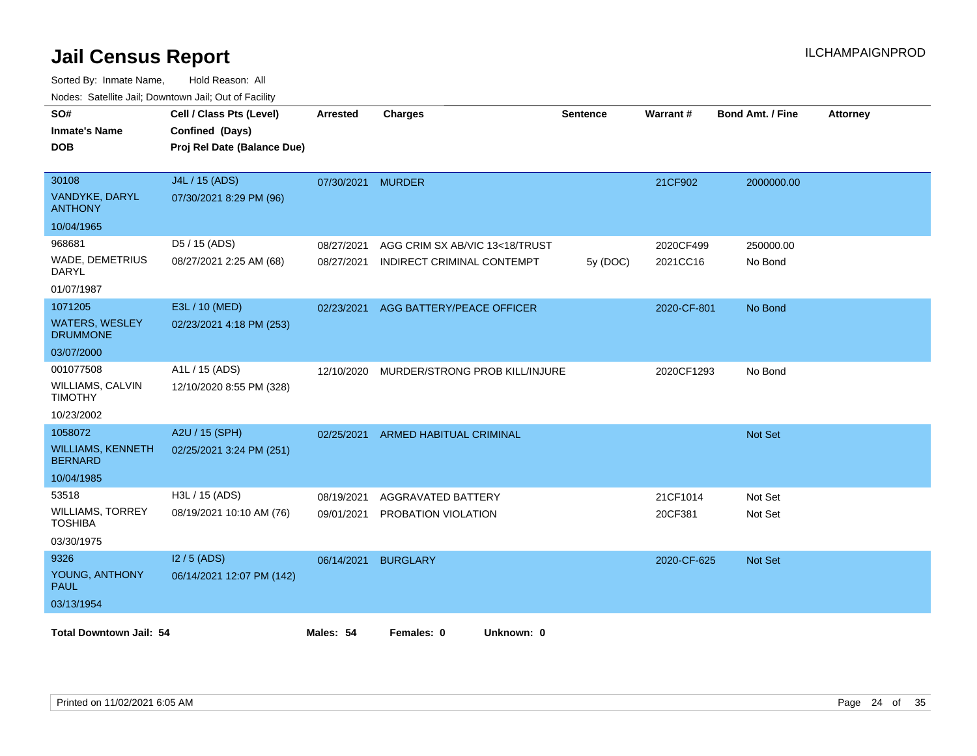| nouco. Catolino cali, Downtown cali, Out of Facility |                             |            |                                |                 |             |                         |                 |  |
|------------------------------------------------------|-----------------------------|------------|--------------------------------|-----------------|-------------|-------------------------|-----------------|--|
| SO#                                                  | Cell / Class Pts (Level)    | Arrested   | <b>Charges</b>                 | <b>Sentence</b> | Warrant#    | <b>Bond Amt. / Fine</b> | <b>Attorney</b> |  |
| <b>Inmate's Name</b>                                 | Confined (Days)             |            |                                |                 |             |                         |                 |  |
| <b>DOB</b>                                           | Proj Rel Date (Balance Due) |            |                                |                 |             |                         |                 |  |
|                                                      |                             |            |                                |                 |             |                         |                 |  |
| 30108                                                | J4L / 15 (ADS)              | 07/30/2021 | <b>MURDER</b>                  |                 | 21CF902     | 2000000.00              |                 |  |
| VANDYKE, DARYL<br><b>ANTHONY</b>                     | 07/30/2021 8:29 PM (96)     |            |                                |                 |             |                         |                 |  |
| 10/04/1965                                           |                             |            |                                |                 |             |                         |                 |  |
| 968681                                               | D5 / 15 (ADS)               | 08/27/2021 | AGG CRIM SX AB/VIC 13<18/TRUST |                 | 2020CF499   | 250000.00               |                 |  |
| WADE, DEMETRIUS<br>DARYL                             | 08/27/2021 2:25 AM (68)     | 08/27/2021 | INDIRECT CRIMINAL CONTEMPT     | 5y (DOC)        | 2021CC16    | No Bond                 |                 |  |
| 01/07/1987                                           |                             |            |                                |                 |             |                         |                 |  |
| 1071205                                              | E3L / 10 (MED)              | 02/23/2021 | AGG BATTERY/PEACE OFFICER      |                 | 2020-CF-801 | No Bond                 |                 |  |
| <b>WATERS, WESLEY</b><br><b>DRUMMONE</b>             | 02/23/2021 4:18 PM (253)    |            |                                |                 |             |                         |                 |  |
| 03/07/2000                                           |                             |            |                                |                 |             |                         |                 |  |
| 001077508                                            | A1L / 15 (ADS)              | 12/10/2020 | MURDER/STRONG PROB KILL/INJURE |                 | 2020CF1293  | No Bond                 |                 |  |
| <b>WILLIAMS, CALVIN</b><br><b>TIMOTHY</b>            | 12/10/2020 8:55 PM (328)    |            |                                |                 |             |                         |                 |  |
| 10/23/2002                                           |                             |            |                                |                 |             |                         |                 |  |
| 1058072                                              | A2U / 15 (SPH)              | 02/25/2021 | <b>ARMED HABITUAL CRIMINAL</b> |                 |             | Not Set                 |                 |  |
| <b>WILLIAMS, KENNETH</b><br><b>BERNARD</b>           | 02/25/2021 3:24 PM (251)    |            |                                |                 |             |                         |                 |  |
| 10/04/1985                                           |                             |            |                                |                 |             |                         |                 |  |
| 53518                                                | H3L / 15 (ADS)              | 08/19/2021 | AGGRAVATED BATTERY             |                 | 21CF1014    | Not Set                 |                 |  |
| <b>WILLIAMS, TORREY</b><br><b>TOSHIBA</b>            | 08/19/2021 10:10 AM (76)    | 09/01/2021 | PROBATION VIOLATION            |                 | 20CF381     | Not Set                 |                 |  |
| 03/30/1975                                           |                             |            |                                |                 |             |                         |                 |  |
| 9326                                                 | $12/5$ (ADS)                | 06/14/2021 | <b>BURGLARY</b>                |                 | 2020-CF-625 | <b>Not Set</b>          |                 |  |
| YOUNG, ANTHONY<br>PAUL                               | 06/14/2021 12:07 PM (142)   |            |                                |                 |             |                         |                 |  |
| 03/13/1954                                           |                             |            |                                |                 |             |                         |                 |  |
| <b>Total Downtown Jail: 54</b>                       |                             | Males: 54  | Females: 0<br>Unknown: 0       |                 |             |                         |                 |  |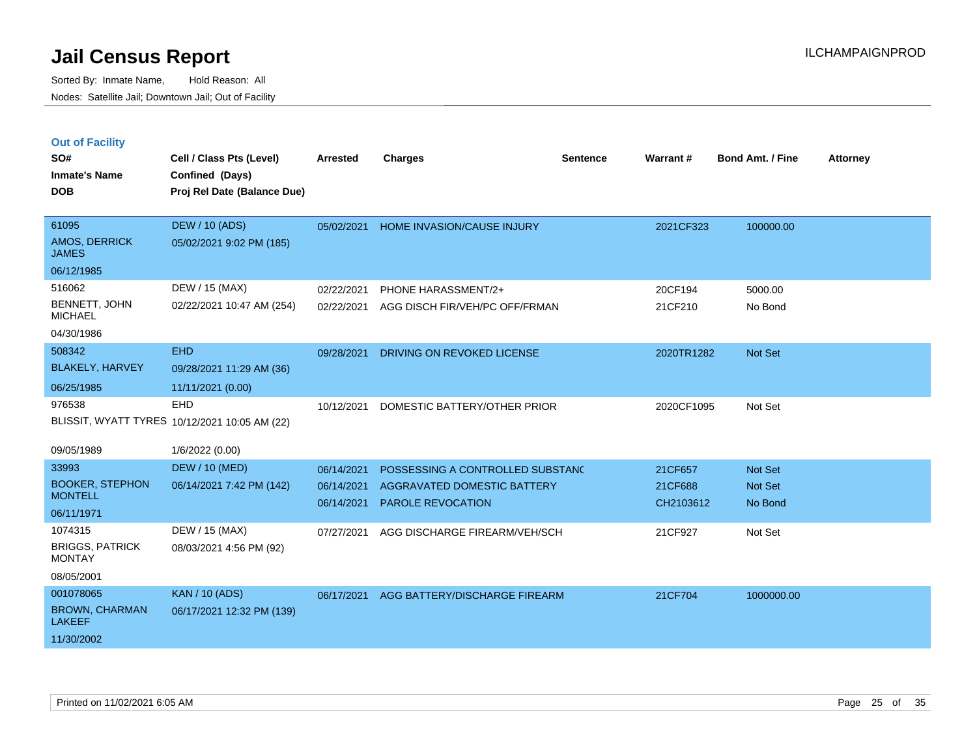|  | <b>Out of Facility</b> |  |
|--|------------------------|--|

| SO#<br><b>Inmate's Name</b><br><b>DOB</b>                         | Cell / Class Pts (Level)<br>Confined (Days)<br>Proj Rel Date (Balance Due) | <b>Arrested</b>                        | <b>Charges</b>                                                                       | <b>Sentence</b> | Warrant#                        | <b>Bond Amt. / Fine</b>              | <b>Attorney</b> |
|-------------------------------------------------------------------|----------------------------------------------------------------------------|----------------------------------------|--------------------------------------------------------------------------------------|-----------------|---------------------------------|--------------------------------------|-----------------|
| 61095<br>AMOS, DERRICK<br><b>JAMES</b><br>06/12/1985              | <b>DEW / 10 (ADS)</b><br>05/02/2021 9:02 PM (185)                          | 05/02/2021                             | HOME INVASION/CAUSE INJURY                                                           |                 | 2021CF323                       | 100000.00                            |                 |
| 516062<br>BENNETT, JOHN<br><b>MICHAEL</b><br>04/30/1986           | DEW / 15 (MAX)<br>02/22/2021 10:47 AM (254)                                | 02/22/2021<br>02/22/2021               | PHONE HARASSMENT/2+<br>AGG DISCH FIR/VEH/PC OFF/FRMAN                                |                 | 20CF194<br>21CF210              | 5000.00<br>No Bond                   |                 |
| 508342<br><b>BLAKELY, HARVEY</b><br>06/25/1985                    | <b>EHD</b><br>09/28/2021 11:29 AM (36)<br>11/11/2021 (0.00)                | 09/28/2021                             | DRIVING ON REVOKED LICENSE                                                           |                 | 2020TR1282                      | Not Set                              |                 |
| 976538<br>09/05/1989                                              | EHD<br>BLISSIT, WYATT TYRES 10/12/2021 10:05 AM (22)<br>1/6/2022 (0.00)    | 10/12/2021                             | DOMESTIC BATTERY/OTHER PRIOR                                                         |                 | 2020CF1095                      | Not Set                              |                 |
| 33993<br><b>BOOKER, STEPHON</b><br><b>MONTELL</b><br>06/11/1971   | <b>DEW / 10 (MED)</b><br>06/14/2021 7:42 PM (142)                          | 06/14/2021<br>06/14/2021<br>06/14/2021 | POSSESSING A CONTROLLED SUBSTAND<br>AGGRAVATED DOMESTIC BATTERY<br>PAROLE REVOCATION |                 | 21CF657<br>21CF688<br>CH2103612 | Not Set<br><b>Not Set</b><br>No Bond |                 |
| 1074315<br><b>BRIGGS, PATRICK</b><br><b>MONTAY</b><br>08/05/2001  | DEW / 15 (MAX)<br>08/03/2021 4:56 PM (92)                                  | 07/27/2021                             | AGG DISCHARGE FIREARM/VEH/SCH                                                        |                 | 21CF927                         | Not Set                              |                 |
| 001078065<br><b>BROWN, CHARMAN</b><br><b>LAKEEF</b><br>11/30/2002 | <b>KAN / 10 (ADS)</b><br>06/17/2021 12:32 PM (139)                         | 06/17/2021                             | AGG BATTERY/DISCHARGE FIREARM                                                        |                 | 21CF704                         | 1000000.00                           |                 |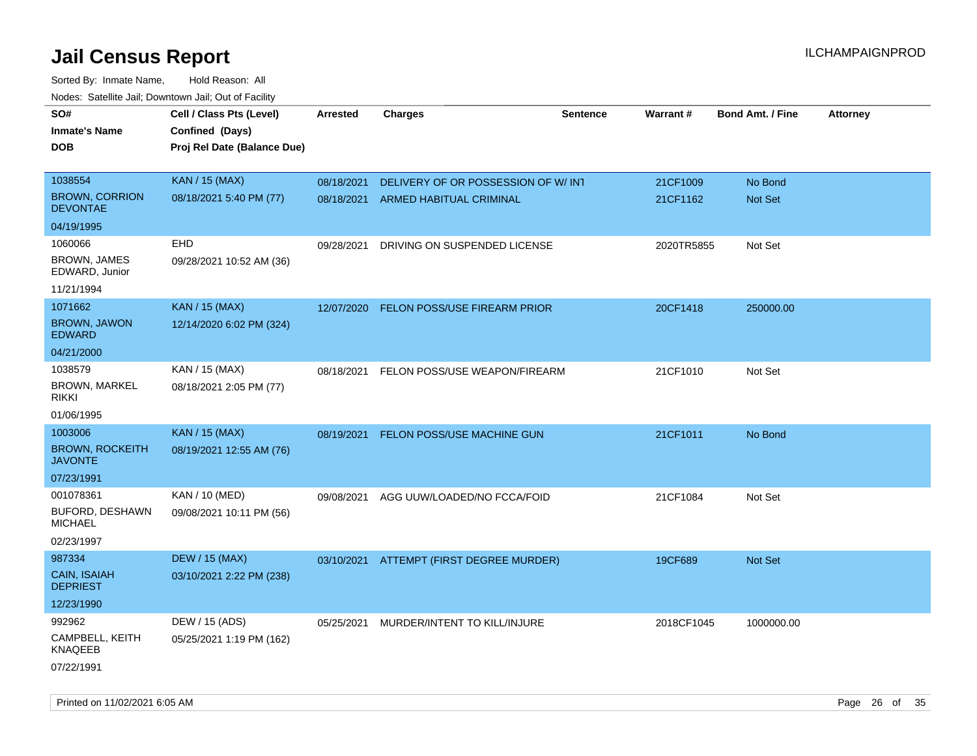| rouce. Calcinic Jan, Downtown Jan, Out or Facility |                                             |                 |                                     |          |            |                         |                 |
|----------------------------------------------------|---------------------------------------------|-----------------|-------------------------------------|----------|------------|-------------------------|-----------------|
| SO#<br><b>Inmate's Name</b>                        | Cell / Class Pts (Level)<br>Confined (Days) | <b>Arrested</b> | <b>Charges</b>                      | Sentence | Warrant#   | <b>Bond Amt. / Fine</b> | <b>Attorney</b> |
| DOB                                                | Proj Rel Date (Balance Due)                 |                 |                                     |          |            |                         |                 |
| 1038554                                            | <b>KAN / 15 (MAX)</b>                       | 08/18/2021      | DELIVERY OF OR POSSESSION OF W/INT  |          | 21CF1009   | No Bond                 |                 |
| <b>BROWN, CORRION</b><br><b>DEVONTAE</b>           | 08/18/2021 5:40 PM (77)                     | 08/18/2021      | ARMED HABITUAL CRIMINAL             |          | 21CF1162   | Not Set                 |                 |
| 04/19/1995                                         |                                             |                 |                                     |          |            |                         |                 |
| 1060066                                            | EHD                                         | 09/28/2021      | DRIVING ON SUSPENDED LICENSE        |          | 2020TR5855 | Not Set                 |                 |
| <b>BROWN, JAMES</b><br>EDWARD, Junior              | 09/28/2021 10:52 AM (36)                    |                 |                                     |          |            |                         |                 |
| 11/21/1994                                         |                                             |                 |                                     |          |            |                         |                 |
| 1071662                                            | <b>KAN / 15 (MAX)</b>                       | 12/07/2020      | <b>FELON POSS/USE FIREARM PRIOR</b> |          | 20CF1418   | 250000.00               |                 |
| <b>BROWN, JAWON</b><br><b>EDWARD</b>               | 12/14/2020 6:02 PM (324)                    |                 |                                     |          |            |                         |                 |
| 04/21/2000                                         |                                             |                 |                                     |          |            |                         |                 |
| 1038579                                            | KAN / 15 (MAX)                              | 08/18/2021      | FELON POSS/USE WEAPON/FIREARM       |          | 21CF1010   | Not Set                 |                 |
| <b>BROWN, MARKEL</b><br>rikki                      | 08/18/2021 2:05 PM (77)                     |                 |                                     |          |            |                         |                 |
| 01/06/1995                                         |                                             |                 |                                     |          |            |                         |                 |
| 1003006                                            | <b>KAN / 15 (MAX)</b>                       | 08/19/2021      | FELON POSS/USE MACHINE GUN          |          | 21CF1011   | No Bond                 |                 |
| <b>BROWN, ROCKEITH</b><br><b>JAVONTE</b>           | 08/19/2021 12:55 AM (76)                    |                 |                                     |          |            |                         |                 |
| 07/23/1991                                         |                                             |                 |                                     |          |            |                         |                 |
| 001078361                                          | KAN / 10 (MED)                              | 09/08/2021      | AGG UUW/LOADED/NO FCCA/FOID         |          | 21CF1084   | Not Set                 |                 |
| BUFORD, DESHAWN<br><b>MICHAEL</b>                  | 09/08/2021 10:11 PM (56)                    |                 |                                     |          |            |                         |                 |
| 02/23/1997                                         |                                             |                 |                                     |          |            |                         |                 |
| 987334                                             | <b>DEW / 15 (MAX)</b>                       | 03/10/2021      | ATTEMPT (FIRST DEGREE MURDER)       |          | 19CF689    | <b>Not Set</b>          |                 |
| CAIN, ISAIAH<br><b>DEPRIEST</b>                    | 03/10/2021 2:22 PM (238)                    |                 |                                     |          |            |                         |                 |
| 12/23/1990                                         |                                             |                 |                                     |          |            |                         |                 |
| 992962                                             | DEW / 15 (ADS)                              | 05/25/2021      | MURDER/INTENT TO KILL/INJURE        |          | 2018CF1045 | 1000000.00              |                 |
| CAMPBELL, KEITH<br><b>KNAQEEB</b>                  | 05/25/2021 1:19 PM (162)                    |                 |                                     |          |            |                         |                 |
| 07/22/1991                                         |                                             |                 |                                     |          |            |                         |                 |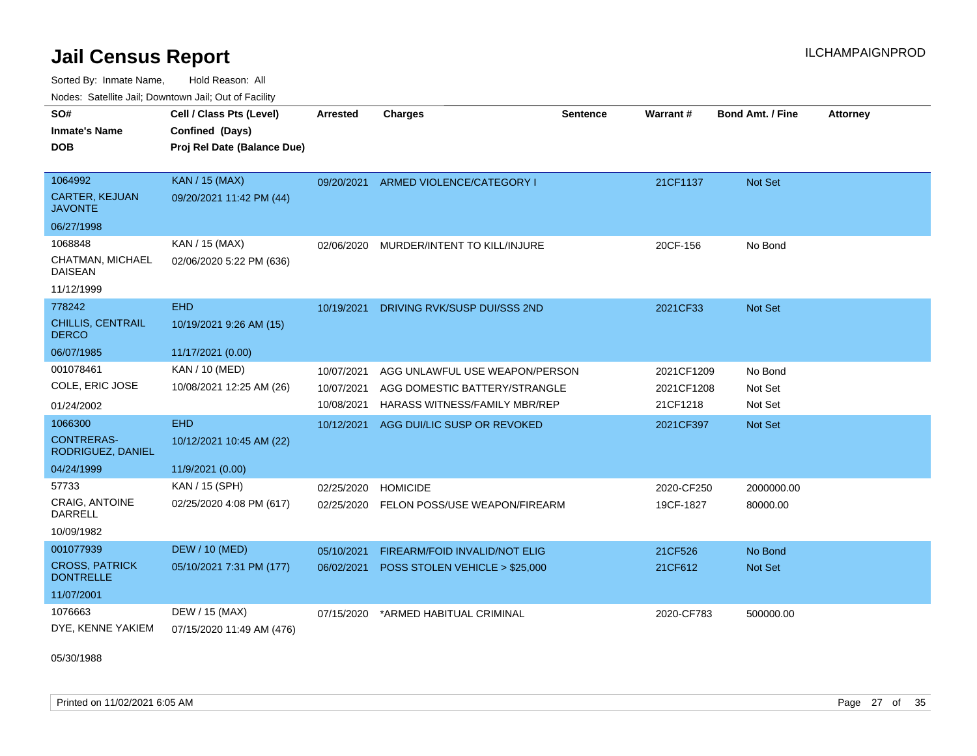Sorted By: Inmate Name, Hold Reason: All Nodes: Satellite Jail; Downtown Jail; Out of Facility

| SO#<br><b>Inmate's Name</b><br>DOB        | Cell / Class Pts (Level)<br>Confined (Days)<br>Proj Rel Date (Balance Due) | <b>Arrested</b> | <b>Charges</b>                 | <b>Sentence</b> | Warrant#   | <b>Bond Amt. / Fine</b> | <b>Attorney</b> |
|-------------------------------------------|----------------------------------------------------------------------------|-----------------|--------------------------------|-----------------|------------|-------------------------|-----------------|
|                                           |                                                                            |                 |                                |                 |            |                         |                 |
| 1064992                                   | <b>KAN / 15 (MAX)</b>                                                      | 09/20/2021      | ARMED VIOLENCE/CATEGORY I      |                 | 21CF1137   | Not Set                 |                 |
| <b>CARTER, KEJUAN</b><br><b>JAVONTE</b>   | 09/20/2021 11:42 PM (44)                                                   |                 |                                |                 |            |                         |                 |
| 06/27/1998                                |                                                                            |                 |                                |                 |            |                         |                 |
| 1068848                                   | KAN / 15 (MAX)                                                             | 02/06/2020      | MURDER/INTENT TO KILL/INJURE   |                 | 20CF-156   | No Bond                 |                 |
| CHATMAN, MICHAEL<br><b>DAISEAN</b>        | 02/06/2020 5:22 PM (636)                                                   |                 |                                |                 |            |                         |                 |
| 11/12/1999                                |                                                                            |                 |                                |                 |            |                         |                 |
| 778242                                    | <b>EHD</b>                                                                 | 10/19/2021      | DRIVING RVK/SUSP DUI/SSS 2ND   |                 | 2021CF33   | <b>Not Set</b>          |                 |
| CHILLIS, CENTRAIL<br><b>DERCO</b>         | 10/19/2021 9:26 AM (15)                                                    |                 |                                |                 |            |                         |                 |
| 06/07/1985                                | 11/17/2021 (0.00)                                                          |                 |                                |                 |            |                         |                 |
| 001078461                                 | <b>KAN / 10 (MED)</b>                                                      | 10/07/2021      | AGG UNLAWFUL USE WEAPON/PERSON |                 | 2021CF1209 | No Bond                 |                 |
| COLE, ERIC JOSE                           | 10/08/2021 12:25 AM (26)                                                   | 10/07/2021      | AGG DOMESTIC BATTERY/STRANGLE  |                 | 2021CF1208 | Not Set                 |                 |
| 01/24/2002                                |                                                                            | 10/08/2021      | HARASS WITNESS/FAMILY MBR/REP  |                 | 21CF1218   | Not Set                 |                 |
| 1066300                                   | <b>EHD</b>                                                                 | 10/12/2021      | AGG DUI/LIC SUSP OR REVOKED    |                 | 2021CF397  | Not Set                 |                 |
| <b>CONTRERAS-</b><br>RODRIGUEZ, DANIEL    | 10/12/2021 10:45 AM (22)                                                   |                 |                                |                 |            |                         |                 |
| 04/24/1999                                | 11/9/2021 (0.00)                                                           |                 |                                |                 |            |                         |                 |
| 57733                                     | KAN / 15 (SPH)                                                             | 02/25/2020      | <b>HOMICIDE</b>                |                 | 2020-CF250 | 2000000.00              |                 |
| <b>CRAIG, ANTOINE</b><br>DARRELL          | 02/25/2020 4:08 PM (617)                                                   | 02/25/2020      | FELON POSS/USE WEAPON/FIREARM  |                 | 19CF-1827  | 80000.00                |                 |
| 10/09/1982                                |                                                                            |                 |                                |                 |            |                         |                 |
| 001077939                                 | <b>DEW / 10 (MED)</b>                                                      | 05/10/2021      | FIREARM/FOID INVALID/NOT ELIG  |                 | 21CF526    | No Bond                 |                 |
| <b>CROSS, PATRICK</b><br><b>DONTRELLE</b> | 05/10/2021 7:31 PM (177)                                                   | 06/02/2021      | POSS STOLEN VEHICLE > \$25,000 |                 | 21CF612    | Not Set                 |                 |
| 11/07/2001                                |                                                                            |                 |                                |                 |            |                         |                 |
| 1076663                                   | DEW / 15 (MAX)                                                             | 07/15/2020      | *ARMED HABITUAL CRIMINAL       |                 | 2020-CF783 | 500000.00               |                 |
| DYE, KENNE YAKIEM                         | 07/15/2020 11:49 AM (476)                                                  |                 |                                |                 |            |                         |                 |

05/30/1988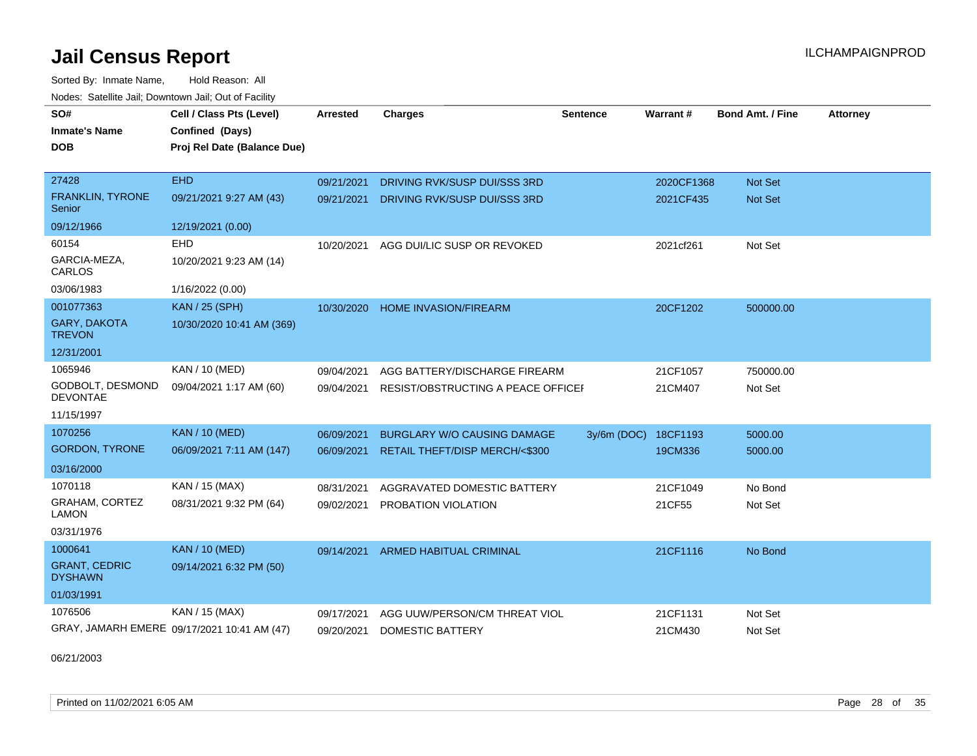Sorted By: Inmate Name, Hold Reason: All Nodes: Satellite Jail; Downtown Jail; Out of Facility

| SO#                                    | Cell / Class Pts (Level)                    | <b>Arrested</b> | <b>Charges</b>                     | <b>Sentence</b> | <b>Warrant#</b> | <b>Bond Amt. / Fine</b> | <b>Attorney</b> |
|----------------------------------------|---------------------------------------------|-----------------|------------------------------------|-----------------|-----------------|-------------------------|-----------------|
| <b>Inmate's Name</b>                   | Confined (Days)                             |                 |                                    |                 |                 |                         |                 |
| <b>DOB</b>                             | Proj Rel Date (Balance Due)                 |                 |                                    |                 |                 |                         |                 |
|                                        |                                             |                 |                                    |                 |                 |                         |                 |
| 27428                                  | <b>EHD</b>                                  | 09/21/2021      | DRIVING RVK/SUSP DUI/SSS 3RD       |                 | 2020CF1368      | <b>Not Set</b>          |                 |
| FRANKLIN, TYRONE<br>Senior             | 09/21/2021 9:27 AM (43)                     | 09/21/2021      | DRIVING RVK/SUSP DUI/SSS 3RD       |                 | 2021CF435       | Not Set                 |                 |
| 09/12/1966                             | 12/19/2021 (0.00)                           |                 |                                    |                 |                 |                         |                 |
| 60154                                  | <b>EHD</b>                                  | 10/20/2021      | AGG DUI/LIC SUSP OR REVOKED        |                 | 2021cf261       | Not Set                 |                 |
| GARCIA-MEZA,<br>CARLOS                 | 10/20/2021 9:23 AM (14)                     |                 |                                    |                 |                 |                         |                 |
| 03/06/1983                             | 1/16/2022 (0.00)                            |                 |                                    |                 |                 |                         |                 |
| 001077363                              | <b>KAN / 25 (SPH)</b>                       | 10/30/2020      | <b>HOME INVASION/FIREARM</b>       |                 | 20CF1202        | 500000.00               |                 |
| <b>GARY, DAKOTA</b><br><b>TREVON</b>   | 10/30/2020 10:41 AM (369)                   |                 |                                    |                 |                 |                         |                 |
| 12/31/2001                             |                                             |                 |                                    |                 |                 |                         |                 |
| 1065946                                | <b>KAN / 10 (MED)</b>                       | 09/04/2021      | AGG BATTERY/DISCHARGE FIREARM      |                 | 21CF1057        | 750000.00               |                 |
| GODBOLT, DESMOND<br><b>DEVONTAE</b>    | 09/04/2021 1:17 AM (60)                     | 09/04/2021      | RESIST/OBSTRUCTING A PEACE OFFICEF |                 | 21CM407         | Not Set                 |                 |
| 11/15/1997                             |                                             |                 |                                    |                 |                 |                         |                 |
| 1070256                                | <b>KAN / 10 (MED)</b>                       | 06/09/2021      | <b>BURGLARY W/O CAUSING DAMAGE</b> | 3y/6m (DOC)     | 18CF1193        | 5000.00                 |                 |
| <b>GORDON, TYRONE</b>                  | 06/09/2021 7:11 AM (147)                    | 06/09/2021      | RETAIL THEFT/DISP MERCH/<\$300     |                 | 19CM336         | 5000.00                 |                 |
| 03/16/2000                             |                                             |                 |                                    |                 |                 |                         |                 |
| 1070118                                | KAN / 15 (MAX)                              | 08/31/2021      | AGGRAVATED DOMESTIC BATTERY        |                 | 21CF1049        | No Bond                 |                 |
| GRAHAM, CORTEZ<br><b>LAMON</b>         | 08/31/2021 9:32 PM (64)                     | 09/02/2021      | PROBATION VIOLATION                |                 | 21CF55          | Not Set                 |                 |
| 03/31/1976                             |                                             |                 |                                    |                 |                 |                         |                 |
| 1000641                                | <b>KAN / 10 (MED)</b>                       | 09/14/2021      | ARMED HABITUAL CRIMINAL            |                 | 21CF1116        | No Bond                 |                 |
| <b>GRANT, CEDRIC</b><br><b>DYSHAWN</b> | 09/14/2021 6:32 PM (50)                     |                 |                                    |                 |                 |                         |                 |
| 01/03/1991                             |                                             |                 |                                    |                 |                 |                         |                 |
| 1076506                                | KAN / 15 (MAX)                              | 09/17/2021      | AGG UUW/PERSON/CM THREAT VIOL      |                 | 21CF1131        | Not Set                 |                 |
|                                        | GRAY, JAMARH EMERE 09/17/2021 10:41 AM (47) | 09/20/2021      | <b>DOMESTIC BATTERY</b>            |                 | 21CM430         | Not Set                 |                 |

06/21/2003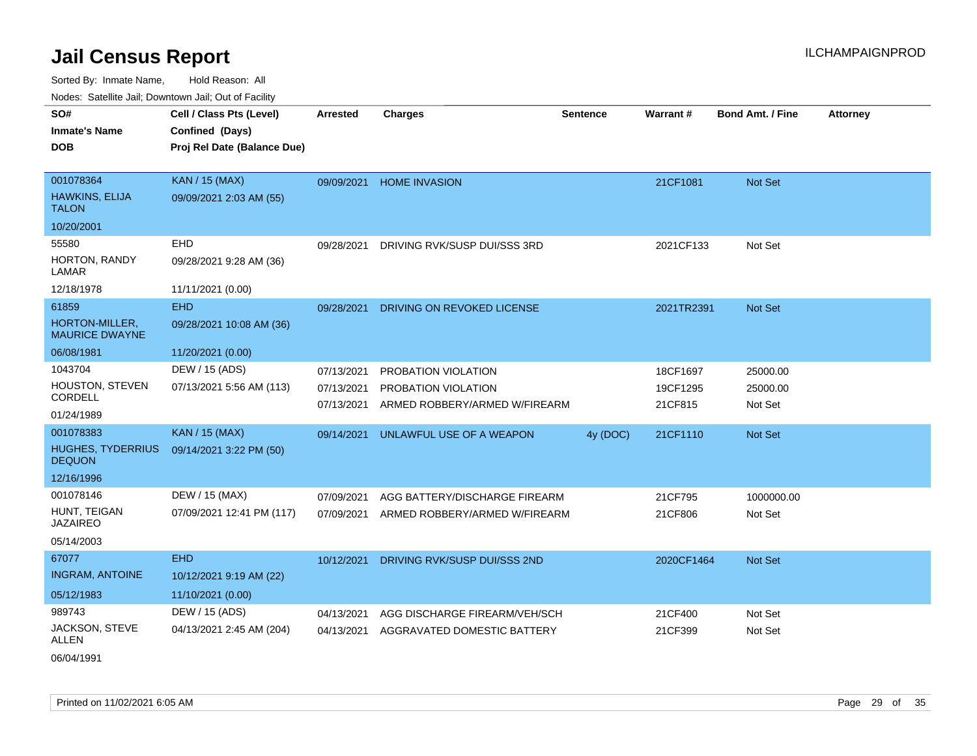| SO#                                       | Cell / Class Pts (Level)    | <b>Arrested</b> | <b>Charges</b>                | <b>Sentence</b> | Warrant#   | <b>Bond Amt. / Fine</b> | <b>Attorney</b> |
|-------------------------------------------|-----------------------------|-----------------|-------------------------------|-----------------|------------|-------------------------|-----------------|
| <b>Inmate's Name</b>                      | Confined (Days)             |                 |                               |                 |            |                         |                 |
| <b>DOB</b>                                | Proj Rel Date (Balance Due) |                 |                               |                 |            |                         |                 |
|                                           |                             |                 |                               |                 |            |                         |                 |
| 001078364                                 | <b>KAN / 15 (MAX)</b>       | 09/09/2021      | <b>HOME INVASION</b>          |                 | 21CF1081   | Not Set                 |                 |
| HAWKINS, ELIJA<br><b>TALON</b>            | 09/09/2021 2:03 AM (55)     |                 |                               |                 |            |                         |                 |
| 10/20/2001                                |                             |                 |                               |                 |            |                         |                 |
| 55580                                     | EHD                         | 09/28/2021      | DRIVING RVK/SUSP DUI/SSS 3RD  |                 | 2021CF133  | Not Set                 |                 |
| HORTON, RANDY<br>LAMAR                    | 09/28/2021 9:28 AM (36)     |                 |                               |                 |            |                         |                 |
| 12/18/1978                                | 11/11/2021 (0.00)           |                 |                               |                 |            |                         |                 |
| 61859                                     | <b>EHD</b>                  | 09/28/2021      | DRIVING ON REVOKED LICENSE    |                 | 2021TR2391 | Not Set                 |                 |
| HORTON-MILLER,<br><b>MAURICE DWAYNE</b>   | 09/28/2021 10:08 AM (36)    |                 |                               |                 |            |                         |                 |
| 06/08/1981                                | 11/20/2021 (0.00)           |                 |                               |                 |            |                         |                 |
| 1043704                                   | DEW / 15 (ADS)              | 07/13/2021      | PROBATION VIOLATION           |                 | 18CF1697   | 25000.00                |                 |
| HOUSTON, STEVEN                           | 07/13/2021 5:56 AM (113)    | 07/13/2021      | PROBATION VIOLATION           |                 | 19CF1295   | 25000.00                |                 |
| CORDELL                                   |                             | 07/13/2021      | ARMED ROBBERY/ARMED W/FIREARM |                 | 21CF815    | Not Set                 |                 |
| 01/24/1989                                |                             |                 |                               |                 |            |                         |                 |
| 001078383                                 | <b>KAN / 15 (MAX)</b>       | 09/14/2021      | UNLAWFUL USE OF A WEAPON      | 4y (DOC)        | 21CF1110   | Not Set                 |                 |
| <b>HUGHES, TYDERRIUS</b><br><b>DEQUON</b> | 09/14/2021 3:22 PM (50)     |                 |                               |                 |            |                         |                 |
| 12/16/1996                                |                             |                 |                               |                 |            |                         |                 |
| 001078146                                 | DEW / 15 (MAX)              | 07/09/2021      | AGG BATTERY/DISCHARGE FIREARM |                 | 21CF795    | 1000000.00              |                 |
| HUNT, TEIGAN<br><b>JAZAIREO</b>           | 07/09/2021 12:41 PM (117)   | 07/09/2021      | ARMED ROBBERY/ARMED W/FIREARM |                 | 21CF806    | Not Set                 |                 |
| 05/14/2003                                |                             |                 |                               |                 |            |                         |                 |
| 67077                                     | <b>EHD</b>                  | 10/12/2021      | DRIVING RVK/SUSP DUI/SSS 2ND  |                 | 2020CF1464 | <b>Not Set</b>          |                 |
| <b>INGRAM, ANTOINE</b>                    | 10/12/2021 9:19 AM (22)     |                 |                               |                 |            |                         |                 |
| 05/12/1983                                | 11/10/2021 (0.00)           |                 |                               |                 |            |                         |                 |
| 989743                                    | DEW / 15 (ADS)              | 04/13/2021      | AGG DISCHARGE FIREARM/VEH/SCH |                 | 21CF400    | Not Set                 |                 |
| JACKSON, STEVE<br>ALLEN                   | 04/13/2021 2:45 AM (204)    | 04/13/2021      | AGGRAVATED DOMESTIC BATTERY   |                 | 21CF399    | Not Set                 |                 |
| 06/04/1991                                |                             |                 |                               |                 |            |                         |                 |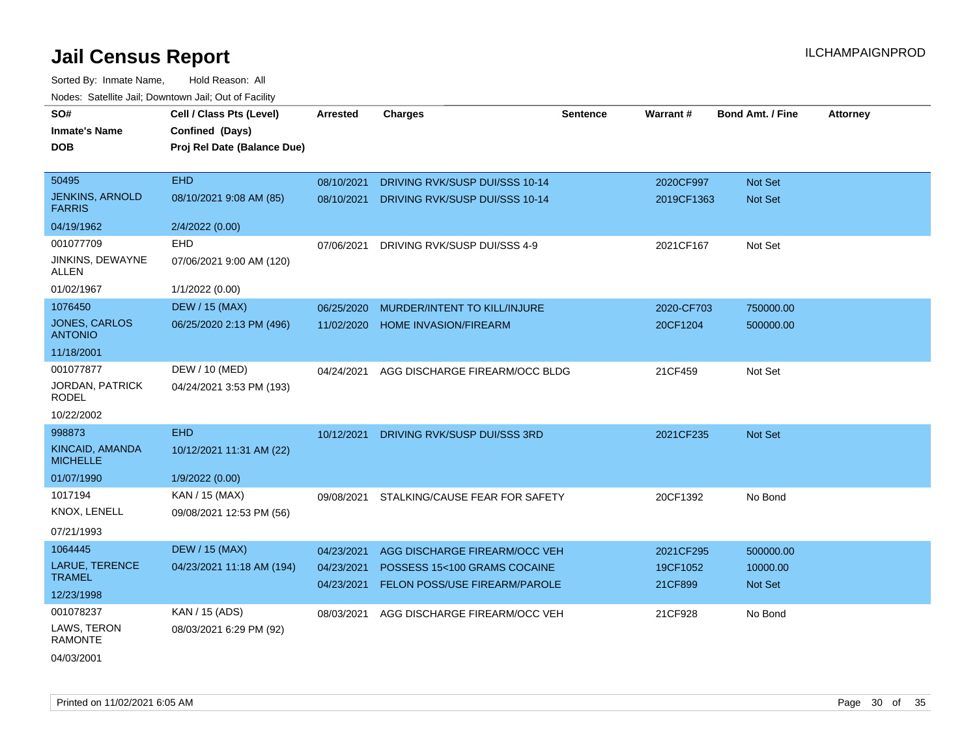| SO#                                     | Cell / Class Pts (Level)    | Arrested   | <b>Charges</b>                 | <b>Sentence</b> | Warrant#   | <b>Bond Amt. / Fine</b> | <b>Attorney</b> |
|-----------------------------------------|-----------------------------|------------|--------------------------------|-----------------|------------|-------------------------|-----------------|
| <b>Inmate's Name</b>                    | Confined (Days)             |            |                                |                 |            |                         |                 |
| <b>DOB</b>                              | Proj Rel Date (Balance Due) |            |                                |                 |            |                         |                 |
|                                         |                             |            |                                |                 |            |                         |                 |
| 50495                                   | <b>EHD</b>                  | 08/10/2021 | DRIVING RVK/SUSP DUI/SSS 10-14 |                 | 2020CF997  | Not Set                 |                 |
| <b>JENKINS, ARNOLD</b><br><b>FARRIS</b> | 08/10/2021 9:08 AM (85)     | 08/10/2021 | DRIVING RVK/SUSP DUI/SSS 10-14 |                 | 2019CF1363 | Not Set                 |                 |
| 04/19/1962                              | 2/4/2022 (0.00)             |            |                                |                 |            |                         |                 |
| 001077709                               | EHD                         | 07/06/2021 | DRIVING RVK/SUSP DUI/SSS 4-9   |                 | 2021CF167  | Not Set                 |                 |
| JINKINS, DEWAYNE<br><b>ALLEN</b>        | 07/06/2021 9:00 AM (120)    |            |                                |                 |            |                         |                 |
| 01/02/1967                              | 1/1/2022 (0.00)             |            |                                |                 |            |                         |                 |
| 1076450                                 | <b>DEW / 15 (MAX)</b>       | 06/25/2020 | MURDER/INTENT TO KILL/INJURE   |                 | 2020-CF703 | 750000.00               |                 |
| JONES, CARLOS<br><b>ANTONIO</b>         | 06/25/2020 2:13 PM (496)    | 11/02/2020 | <b>HOME INVASION/FIREARM</b>   |                 | 20CF1204   | 500000.00               |                 |
| 11/18/2001                              |                             |            |                                |                 |            |                         |                 |
| 001077877                               | DEW / 10 (MED)              | 04/24/2021 | AGG DISCHARGE FIREARM/OCC BLDG |                 | 21CF459    | Not Set                 |                 |
| <b>JORDAN, PATRICK</b><br><b>RODEL</b>  | 04/24/2021 3:53 PM (193)    |            |                                |                 |            |                         |                 |
| 10/22/2002                              |                             |            |                                |                 |            |                         |                 |
| 998873                                  | <b>EHD</b>                  | 10/12/2021 | DRIVING RVK/SUSP DUI/SSS 3RD   |                 | 2021CF235  | Not Set                 |                 |
| KINCAID, AMANDA<br><b>MICHELLE</b>      | 10/12/2021 11:31 AM (22)    |            |                                |                 |            |                         |                 |
| 01/07/1990                              | 1/9/2022 (0.00)             |            |                                |                 |            |                         |                 |
| 1017194                                 | KAN / 15 (MAX)              | 09/08/2021 | STALKING/CAUSE FEAR FOR SAFETY |                 | 20CF1392   | No Bond                 |                 |
| KNOX, LENELL                            | 09/08/2021 12:53 PM (56)    |            |                                |                 |            |                         |                 |
| 07/21/1993                              |                             |            |                                |                 |            |                         |                 |
| 1064445                                 | <b>DEW / 15 (MAX)</b>       | 04/23/2021 | AGG DISCHARGE FIREARM/OCC VEH  |                 | 2021CF295  | 500000.00               |                 |
| LARUE, TERENCE<br><b>TRAMEL</b>         | 04/23/2021 11:18 AM (194)   | 04/23/2021 | POSSESS 15<100 GRAMS COCAINE   |                 | 19CF1052   | 10000.00                |                 |
| 12/23/1998                              |                             | 04/23/2021 | FELON POSS/USE FIREARM/PAROLE  |                 | 21CF899    | Not Set                 |                 |
| 001078237                               | KAN / 15 (ADS)              | 08/03/2021 | AGG DISCHARGE FIREARM/OCC VEH  |                 | 21CF928    | No Bond                 |                 |
| LAWS, TERON<br>RAMONTE                  | 08/03/2021 6:29 PM (92)     |            |                                |                 |            |                         |                 |
| 04/03/2001                              |                             |            |                                |                 |            |                         |                 |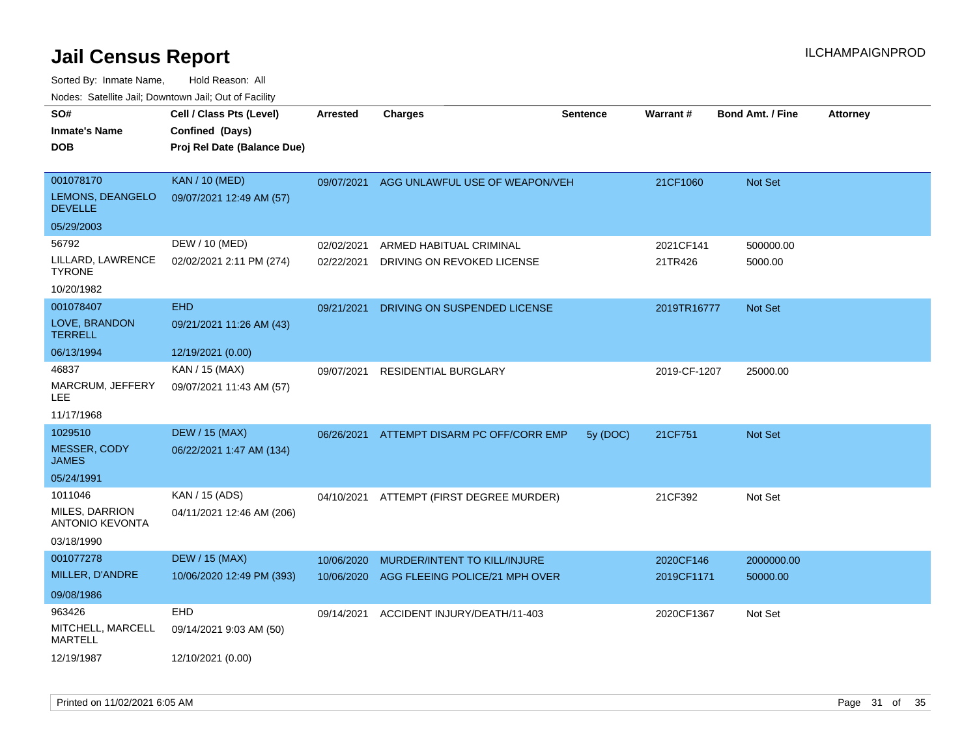Sorted By: Inmate Name, Hold Reason: All

| Nodes: Satellite Jail; Downtown Jail; Out of Facility |                             |                 |                                |                 |              |                         |                 |
|-------------------------------------------------------|-----------------------------|-----------------|--------------------------------|-----------------|--------------|-------------------------|-----------------|
| SO#                                                   | Cell / Class Pts (Level)    | <b>Arrested</b> | <b>Charges</b>                 | <b>Sentence</b> | Warrant#     | <b>Bond Amt. / Fine</b> | <b>Attorney</b> |
| <b>Inmate's Name</b>                                  | Confined (Days)             |                 |                                |                 |              |                         |                 |
| <b>DOB</b>                                            | Proj Rel Date (Balance Due) |                 |                                |                 |              |                         |                 |
|                                                       |                             |                 |                                |                 |              |                         |                 |
| 001078170                                             | <b>KAN / 10 (MED)</b>       | 09/07/2021      | AGG UNLAWFUL USE OF WEAPON/VEH |                 | 21CF1060     | Not Set                 |                 |
| LEMONS, DEANGELO<br><b>DEVELLE</b>                    | 09/07/2021 12:49 AM (57)    |                 |                                |                 |              |                         |                 |
| 05/29/2003                                            |                             |                 |                                |                 |              |                         |                 |
| 56792                                                 | DEW / 10 (MED)              | 02/02/2021      | ARMED HABITUAL CRIMINAL        |                 | 2021CF141    | 500000.00               |                 |
| LILLARD, LAWRENCE<br><b>TYRONE</b>                    | 02/02/2021 2:11 PM (274)    | 02/22/2021      | DRIVING ON REVOKED LICENSE     |                 | 21TR426      | 5000.00                 |                 |
| 10/20/1982                                            |                             |                 |                                |                 |              |                         |                 |
| 001078407                                             | <b>EHD</b>                  | 09/21/2021      | DRIVING ON SUSPENDED LICENSE   |                 | 2019TR16777  | Not Set                 |                 |
| LOVE, BRANDON<br><b>TERRELL</b>                       | 09/21/2021 11:26 AM (43)    |                 |                                |                 |              |                         |                 |
| 06/13/1994                                            | 12/19/2021 (0.00)           |                 |                                |                 |              |                         |                 |
| 46837                                                 | KAN / 15 (MAX)              | 09/07/2021      | <b>RESIDENTIAL BURGLARY</b>    |                 | 2019-CF-1207 | 25000.00                |                 |
| MARCRUM, JEFFERY<br>LEE.                              | 09/07/2021 11:43 AM (57)    |                 |                                |                 |              |                         |                 |
| 11/17/1968                                            |                             |                 |                                |                 |              |                         |                 |
| 1029510                                               | <b>DEW / 15 (MAX)</b>       | 06/26/2021      | ATTEMPT DISARM PC OFF/CORR EMP | 5y (DOC)        | 21CF751      | Not Set                 |                 |
| MESSER, CODY<br><b>JAMES</b>                          | 06/22/2021 1:47 AM (134)    |                 |                                |                 |              |                         |                 |
| 05/24/1991                                            |                             |                 |                                |                 |              |                         |                 |
| 1011046                                               | KAN / 15 (ADS)              | 04/10/2021      | ATTEMPT (FIRST DEGREE MURDER)  |                 | 21CF392      | Not Set                 |                 |
| MILES, DARRION<br><b>ANTONIO KEVONTA</b>              | 04/11/2021 12:46 AM (206)   |                 |                                |                 |              |                         |                 |
| 03/18/1990                                            |                             |                 |                                |                 |              |                         |                 |
| 001077278                                             | <b>DEW / 15 (MAX)</b>       | 10/06/2020      | MURDER/INTENT TO KILL/INJURE   |                 | 2020CF146    | 2000000.00              |                 |
| MILLER, D'ANDRE                                       | 10/06/2020 12:49 PM (393)   | 10/06/2020      | AGG FLEEING POLICE/21 MPH OVER |                 | 2019CF1171   | 50000.00                |                 |
| 09/08/1986                                            |                             |                 |                                |                 |              |                         |                 |
| 963426                                                | <b>EHD</b>                  | 09/14/2021      | ACCIDENT INJURY/DEATH/11-403   |                 | 2020CF1367   | Not Set                 |                 |
| MITCHELL, MARCELL<br><b>MARTELL</b>                   | 09/14/2021 9:03 AM (50)     |                 |                                |                 |              |                         |                 |
| 12/19/1987                                            | 12/10/2021 (0.00)           |                 |                                |                 |              |                         |                 |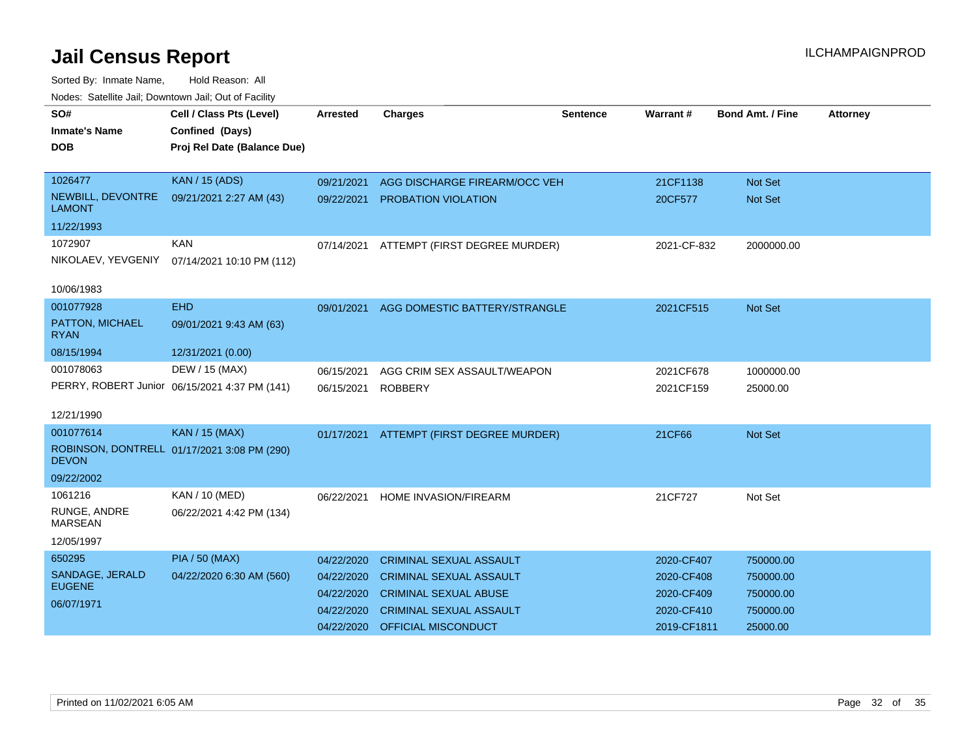| SO#<br><b>Inmate's Name</b>        | Cell / Class Pts (Level)<br>Confined (Days)   | <b>Arrested</b> | <b>Charges</b>                           | <b>Sentence</b> | Warrant#    | <b>Bond Amt. / Fine</b> | <b>Attorney</b> |
|------------------------------------|-----------------------------------------------|-----------------|------------------------------------------|-----------------|-------------|-------------------------|-----------------|
| <b>DOB</b>                         | Proj Rel Date (Balance Due)                   |                 |                                          |                 |             |                         |                 |
| 1026477                            | <b>KAN / 15 (ADS)</b>                         | 09/21/2021      | AGG DISCHARGE FIREARM/OCC VEH            |                 | 21CF1138    | <b>Not Set</b>          |                 |
| NEWBILL, DEVONTRE<br><b>LAMONT</b> | 09/21/2021 2:27 AM (43)                       | 09/22/2021      | PROBATION VIOLATION                      |                 | 20CF577     | <b>Not Set</b>          |                 |
| 11/22/1993                         |                                               |                 |                                          |                 |             |                         |                 |
| 1072907                            | <b>KAN</b>                                    | 07/14/2021      | ATTEMPT (FIRST DEGREE MURDER)            |                 | 2021-CF-832 | 2000000.00              |                 |
| NIKOLAEV, YEVGENIY                 | 07/14/2021 10:10 PM (112)                     |                 |                                          |                 |             |                         |                 |
| 10/06/1983                         |                                               |                 |                                          |                 |             |                         |                 |
| 001077928                          | <b>EHD</b>                                    | 09/01/2021      | AGG DOMESTIC BATTERY/STRANGLE            |                 | 2021CF515   | Not Set                 |                 |
| PATTON, MICHAEL<br><b>RYAN</b>     | 09/01/2021 9:43 AM (63)                       |                 |                                          |                 |             |                         |                 |
| 08/15/1994                         | 12/31/2021 (0.00)                             |                 |                                          |                 |             |                         |                 |
| 001078063                          | DEW / 15 (MAX)                                | 06/15/2021      | AGG CRIM SEX ASSAULT/WEAPON              |                 | 2021CF678   | 1000000.00              |                 |
|                                    | PERRY, ROBERT Junior 06/15/2021 4:37 PM (141) | 06/15/2021      | <b>ROBBERY</b>                           |                 | 2021CF159   | 25000.00                |                 |
| 12/21/1990                         |                                               |                 |                                          |                 |             |                         |                 |
| 001077614                          | <b>KAN / 15 (MAX)</b>                         |                 |                                          |                 |             |                         |                 |
|                                    | ROBINSON, DONTRELL 01/17/2021 3:08 PM (290)   |                 | 01/17/2021 ATTEMPT (FIRST DEGREE MURDER) |                 | 21CF66      | <b>Not Set</b>          |                 |
| <b>DEVON</b>                       |                                               |                 |                                          |                 |             |                         |                 |
| 09/22/2002                         |                                               |                 |                                          |                 |             |                         |                 |
| 1061216                            | KAN / 10 (MED)                                | 06/22/2021      | <b>HOME INVASION/FIREARM</b>             |                 | 21CF727     | Not Set                 |                 |
| RUNGE, ANDRE<br><b>MARSEAN</b>     | 06/22/2021 4:42 PM (134)                      |                 |                                          |                 |             |                         |                 |
| 12/05/1997                         |                                               |                 |                                          |                 |             |                         |                 |
| 650295                             | <b>PIA / 50 (MAX)</b>                         | 04/22/2020      | <b>CRIMINAL SEXUAL ASSAULT</b>           |                 | 2020-CF407  | 750000.00               |                 |
| SANDAGE, JERALD                    | 04/22/2020 6:30 AM (560)                      | 04/22/2020      | CRIMINAL SEXUAL ASSAULT                  |                 | 2020-CF408  | 750000.00               |                 |
| <b>EUGENE</b>                      |                                               | 04/22/2020      | <b>CRIMINAL SEXUAL ABUSE</b>             |                 | 2020-CF409  | 750000.00               |                 |
| 06/07/1971                         |                                               | 04/22/2020      | <b>CRIMINAL SEXUAL ASSAULT</b>           |                 | 2020-CF410  | 750000.00               |                 |
|                                    |                                               | 04/22/2020      | OFFICIAL MISCONDUCT                      |                 | 2019-CF1811 | 25000.00                |                 |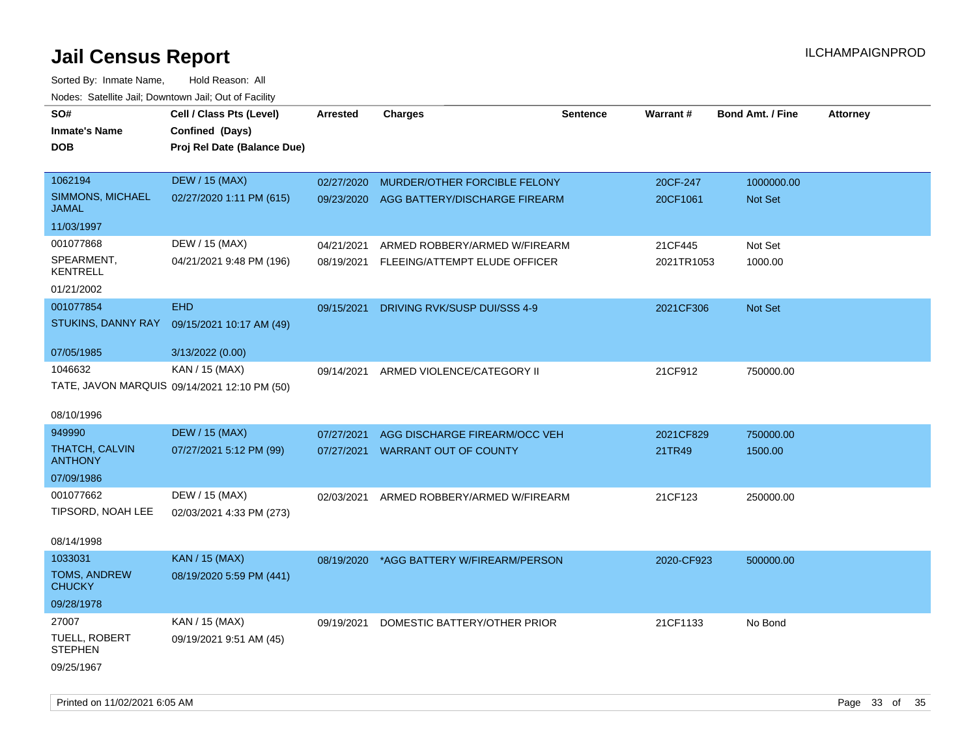| SO#                                     | Cell / Class Pts (Level)                     | Arrested   | <b>Charges</b>                           | <b>Sentence</b> | Warrant#   | <b>Bond Amt. / Fine</b> | <b>Attorney</b> |
|-----------------------------------------|----------------------------------------------|------------|------------------------------------------|-----------------|------------|-------------------------|-----------------|
| <b>Inmate's Name</b>                    | Confined (Days)                              |            |                                          |                 |            |                         |                 |
|                                         |                                              |            |                                          |                 |            |                         |                 |
| DOB                                     | Proj Rel Date (Balance Due)                  |            |                                          |                 |            |                         |                 |
| 1062194                                 | <b>DEW / 15 (MAX)</b>                        | 02/27/2020 | MURDER/OTHER FORCIBLE FELONY             |                 | 20CF-247   | 1000000.00              |                 |
| SIMMONS, MICHAEL                        | 02/27/2020 1:11 PM (615)                     | 09/23/2020 | AGG BATTERY/DISCHARGE FIREARM            |                 | 20CF1061   | Not Set                 |                 |
| <b>JAMAL</b>                            |                                              |            |                                          |                 |            |                         |                 |
| 11/03/1997                              |                                              |            |                                          |                 |            |                         |                 |
| 001077868                               | DEW / 15 (MAX)                               | 04/21/2021 | ARMED ROBBERY/ARMED W/FIREARM            |                 | 21CF445    | Not Set                 |                 |
| SPEARMENT,<br><b>KENTRELL</b>           | 04/21/2021 9:48 PM (196)                     |            | 08/19/2021 FLEEING/ATTEMPT ELUDE OFFICER |                 | 2021TR1053 | 1000.00                 |                 |
| 01/21/2002                              |                                              |            |                                          |                 |            |                         |                 |
| 001077854                               | <b>EHD</b>                                   | 09/15/2021 | DRIVING RVK/SUSP DUI/SSS 4-9             |                 | 2021CF306  | Not Set                 |                 |
| STUKINS, DANNY RAY                      | 09/15/2021 10:17 AM (49)                     |            |                                          |                 |            |                         |                 |
|                                         |                                              |            |                                          |                 |            |                         |                 |
| 07/05/1985                              | 3/13/2022 (0.00)                             |            |                                          |                 |            |                         |                 |
| 1046632                                 | KAN / 15 (MAX)                               | 09/14/2021 | ARMED VIOLENCE/CATEGORY II               |                 | 21CF912    | 750000.00               |                 |
|                                         | TATE, JAVON MARQUIS 09/14/2021 12:10 PM (50) |            |                                          |                 |            |                         |                 |
| 08/10/1996                              |                                              |            |                                          |                 |            |                         |                 |
| 949990                                  | <b>DEW / 15 (MAX)</b>                        | 07/27/2021 | AGG DISCHARGE FIREARM/OCC VEH            |                 | 2021CF829  | 750000.00               |                 |
| <b>THATCH, CALVIN</b><br><b>ANTHONY</b> | 07/27/2021 5:12 PM (99)                      | 07/27/2021 | <b>WARRANT OUT OF COUNTY</b>             |                 | 21TR49     | 1500.00                 |                 |
| 07/09/1986                              |                                              |            |                                          |                 |            |                         |                 |
| 001077662                               | DEW / 15 (MAX)                               | 02/03/2021 | ARMED ROBBERY/ARMED W/FIREARM            |                 | 21CF123    | 250000.00               |                 |
| TIPSORD, NOAH LEE                       | 02/03/2021 4:33 PM (273)                     |            |                                          |                 |            |                         |                 |
|                                         |                                              |            |                                          |                 |            |                         |                 |
| 08/14/1998                              |                                              |            |                                          |                 |            |                         |                 |
| 1033031                                 | <b>KAN / 15 (MAX)</b>                        | 08/19/2020 | *AGG BATTERY W/FIREARM/PERSON            |                 | 2020-CF923 | 500000.00               |                 |
| TOMS, ANDREW<br><b>CHUCKY</b>           | 08/19/2020 5:59 PM (441)                     |            |                                          |                 |            |                         |                 |
| 09/28/1978                              |                                              |            |                                          |                 |            |                         |                 |
| 27007                                   | KAN / 15 (MAX)                               | 09/19/2021 | DOMESTIC BATTERY/OTHER PRIOR             |                 | 21CF1133   | No Bond                 |                 |
| <b>TUELL, ROBERT</b><br><b>STEPHEN</b>  | 09/19/2021 9:51 AM (45)                      |            |                                          |                 |            |                         |                 |
| 09/25/1967                              |                                              |            |                                          |                 |            |                         |                 |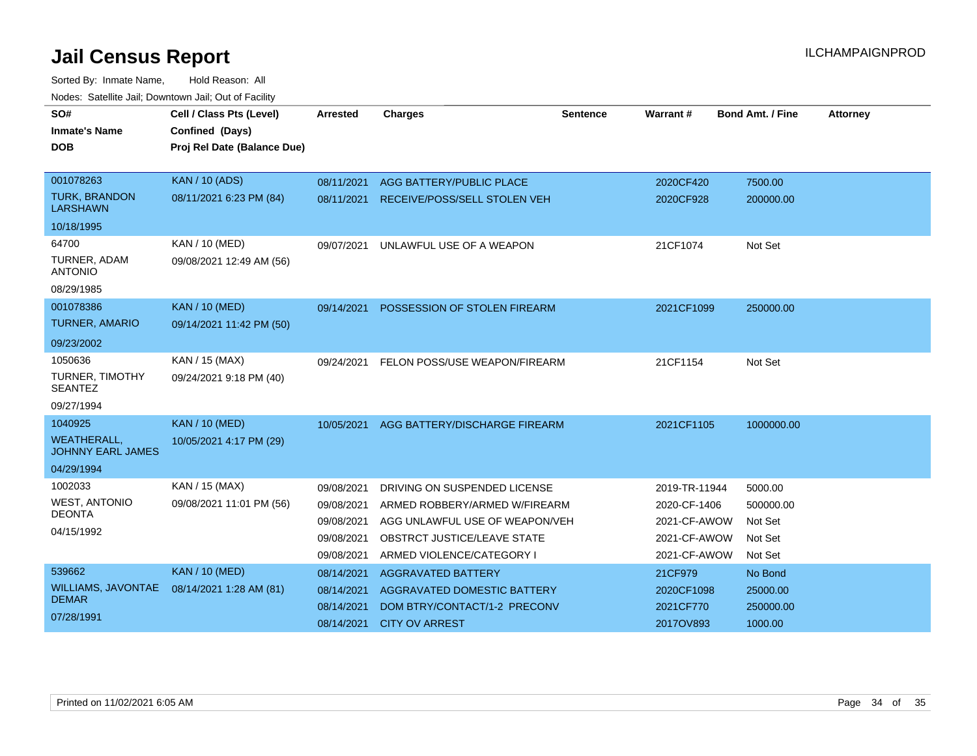| SO#<br><b>Inmate's Name</b><br><b>DOB</b>      | Cell / Class Pts (Level)<br>Confined (Days)<br>Proj Rel Date (Balance Due) | <b>Arrested</b> | <b>Charges</b>                      | <b>Sentence</b> | <b>Warrant#</b> | <b>Bond Amt. / Fine</b> | <b>Attorney</b> |
|------------------------------------------------|----------------------------------------------------------------------------|-----------------|-------------------------------------|-----------------|-----------------|-------------------------|-----------------|
|                                                |                                                                            |                 |                                     |                 |                 |                         |                 |
| 001078263                                      | <b>KAN / 10 (ADS)</b>                                                      | 08/11/2021      | AGG BATTERY/PUBLIC PLACE            |                 | 2020CF420       | 7500.00                 |                 |
| <b>TURK, BRANDON</b><br><b>LARSHAWN</b>        | 08/11/2021 6:23 PM (84)                                                    | 08/11/2021      | <b>RECEIVE/POSS/SELL STOLEN VEH</b> |                 | 2020CF928       | 200000.00               |                 |
| 10/18/1995                                     |                                                                            |                 |                                     |                 |                 |                         |                 |
| 64700                                          | KAN / 10 (MED)                                                             | 09/07/2021      | UNLAWFUL USE OF A WEAPON            |                 | 21CF1074        | Not Set                 |                 |
| TURNER, ADAM<br><b>ANTONIO</b>                 | 09/08/2021 12:49 AM (56)                                                   |                 |                                     |                 |                 |                         |                 |
| 08/29/1985                                     |                                                                            |                 |                                     |                 |                 |                         |                 |
| 001078386                                      | <b>KAN / 10 (MED)</b>                                                      | 09/14/2021      | POSSESSION OF STOLEN FIREARM        |                 | 2021CF1099      | 250000.00               |                 |
| <b>TURNER, AMARIO</b>                          | 09/14/2021 11:42 PM (50)                                                   |                 |                                     |                 |                 |                         |                 |
| 09/23/2002                                     |                                                                            |                 |                                     |                 |                 |                         |                 |
| 1050636                                        | KAN / 15 (MAX)                                                             | 09/24/2021      | FELON POSS/USE WEAPON/FIREARM       |                 | 21CF1154        | Not Set                 |                 |
| TURNER, TIMOTHY<br><b>SEANTEZ</b>              | 09/24/2021 9:18 PM (40)                                                    |                 |                                     |                 |                 |                         |                 |
| 09/27/1994                                     |                                                                            |                 |                                     |                 |                 |                         |                 |
| 1040925                                        | <b>KAN / 10 (MED)</b>                                                      | 10/05/2021      | AGG BATTERY/DISCHARGE FIREARM       |                 | 2021CF1105      | 1000000.00              |                 |
| <b>WEATHERALL.</b><br><b>JOHNNY EARL JAMES</b> | 10/05/2021 4:17 PM (29)                                                    |                 |                                     |                 |                 |                         |                 |
| 04/29/1994                                     |                                                                            |                 |                                     |                 |                 |                         |                 |
| 1002033                                        | <b>KAN / 15 (MAX)</b>                                                      | 09/08/2021      | DRIVING ON SUSPENDED LICENSE        |                 | 2019-TR-11944   | 5000.00                 |                 |
| <b>WEST, ANTONIO</b>                           | 09/08/2021 11:01 PM (56)                                                   | 09/08/2021      | ARMED ROBBERY/ARMED W/FIREARM       |                 | 2020-CF-1406    | 500000.00               |                 |
| <b>DEONTA</b>                                  |                                                                            | 09/08/2021      | AGG UNLAWFUL USE OF WEAPON/VEH      |                 | 2021-CF-AWOW    | Not Set                 |                 |
| 04/15/1992                                     |                                                                            | 09/08/2021      | OBSTRCT JUSTICE/LEAVE STATE         |                 | 2021-CF-AWOW    | Not Set                 |                 |
|                                                |                                                                            | 09/08/2021      | ARMED VIOLENCE/CATEGORY I           |                 | 2021-CF-AWOW    | Not Set                 |                 |
| 539662                                         | <b>KAN / 10 (MED)</b>                                                      |                 |                                     |                 |                 |                         |                 |
| <b>WILLIAMS, JAVONTAE</b>                      | 08/14/2021 1:28 AM (81)                                                    | 08/14/2021      | AGGRAVATED BATTERY                  |                 | 21CF979         | No Bond                 |                 |
| <b>DEMAR</b>                                   |                                                                            | 08/14/2021      | <b>AGGRAVATED DOMESTIC BATTERY</b>  |                 | 2020CF1098      | 25000.00                |                 |
| 07/28/1991                                     |                                                                            | 08/14/2021      | DOM BTRY/CONTACT/1-2 PRECONV        |                 | 2021CF770       | 250000.00               |                 |
|                                                |                                                                            | 08/14/2021      | <b>CITY OV ARREST</b>               |                 | 2017OV893       | 1000.00                 |                 |